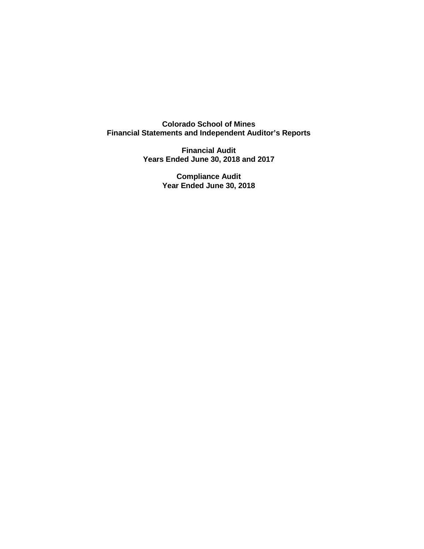**Colorado School of Mines Financial Statements and Independent Auditor's Reports**

> **Financial Audit Years Ended June 30, 2018 and 2017**

> > **Compliance Audit Year Ended June 30, 2018**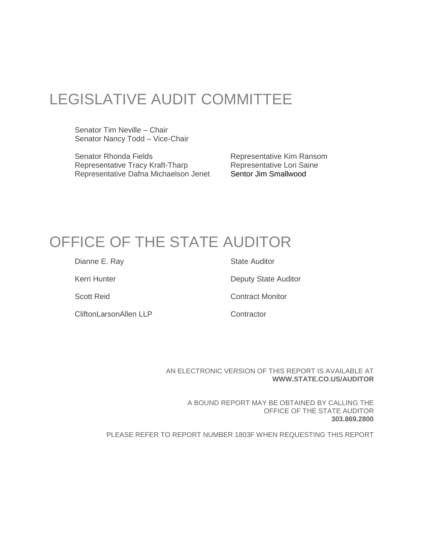# LEGISLATIVE AUDIT COMMITTEE

Senator Tim Neville – Chair Senator Nancy Todd – Vice-Chair

Senator Rhonda Fields<br>
Representative Tracy Kraft-Tharp<br>
Representative Lori Saine<br>
Representative Lori Saine Representative Tracy Kraft-Tharp **Representative Lori Sangle**<br>Representative Dafna Michaelson Jenet **Sentor Jim Smallwood** Representative Dafna Michaelson Jenet

## OFFICE OF THE STATE AUDITOR

Dianne E. Ray State Auditor

CliftonLarsonAllen LLP Contractor

Kerri Hunter **Deputy State Auditor** 

Scott Reid Contract Monitor

AN ELECTRONIC VERSION OF THIS REPORT IS AVAILABLE AT **WWW.STATE.CO.US/AUDITOR**

A BOUND REPORT MAY BE OBTAINED BY CALLING THE OFFICE OF THE STATE AUDITOR **303.869.2800**

PLEASE REFER TO REPORT NUMBER 1803F WHEN REQUESTING THIS REPORT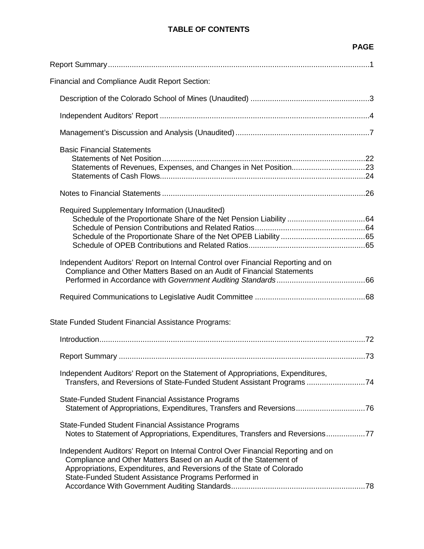### **TABLE OF CONTENTS**

|                                                                                                                                                                                                                                                                                          | <b>PAGE</b> |
|------------------------------------------------------------------------------------------------------------------------------------------------------------------------------------------------------------------------------------------------------------------------------------------|-------------|
|                                                                                                                                                                                                                                                                                          |             |
| <b>Financial and Compliance Audit Report Section:</b>                                                                                                                                                                                                                                    |             |
|                                                                                                                                                                                                                                                                                          |             |
|                                                                                                                                                                                                                                                                                          |             |
|                                                                                                                                                                                                                                                                                          |             |
| <b>Basic Financial Statements</b>                                                                                                                                                                                                                                                        |             |
|                                                                                                                                                                                                                                                                                          |             |
| Required Supplementary Information (Unaudited)                                                                                                                                                                                                                                           |             |
| Independent Auditors' Report on Internal Control over Financial Reporting and on<br>Compliance and Other Matters Based on an Audit of Financial Statements                                                                                                                               |             |
|                                                                                                                                                                                                                                                                                          |             |
| State Funded Student Financial Assistance Programs:                                                                                                                                                                                                                                      |             |
|                                                                                                                                                                                                                                                                                          |             |
|                                                                                                                                                                                                                                                                                          |             |
| Independent Auditors' Report on the Statement of Appropriations, Expenditures,<br>Transfers, and Reversions of State-Funded Student Assistant Programs 74                                                                                                                                |             |
| State-Funded Student Financial Assistance Programs<br>Statement of Appropriations, Expenditures, Transfers and Reversions76                                                                                                                                                              |             |
| State-Funded Student Financial Assistance Programs<br>Notes to Statement of Appropriations, Expenditures, Transfers and Reversions77                                                                                                                                                     |             |
| Independent Auditors' Report on Internal Control Over Financial Reporting and on<br>Compliance and Other Matters Based on an Audit of the Statement of<br>Appropriations, Expenditures, and Reversions of the State of Colorado<br>State-Funded Student Assistance Programs Performed in |             |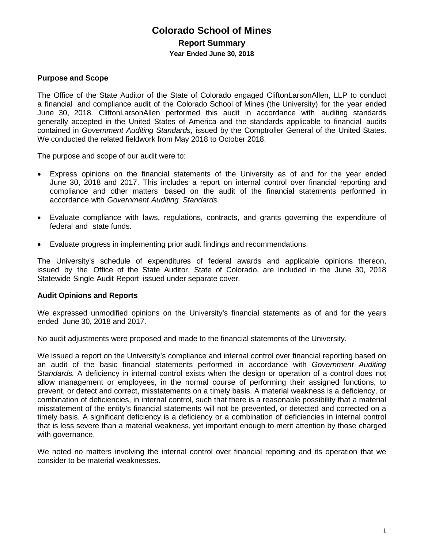### **Colorado School of Mines Report Summary Year Ended June 30, 2018**

### **Purpose and Scope**

The Office of the State Auditor of the State of Colorado engaged CliftonLarsonAllen, LLP to conduct a financial and compliance audit of the Colorado School of Mines (the University) for the year ended June 30, 2018. CliftonLarsonAllen performed this audit in accordance with auditing standards generally accepted in the United States of America and the standards applicable to financial audits contained in *Government Auditing Standards*, issued by the Comptroller General of the United States. We conducted the related fieldwork from May 2018 to October 2018.

The purpose and scope of our audit were to:

- Express opinions on the financial statements of the University as of and for the year ended June 30, 2018 and 2017. This includes a report on internal control over financial reporting and compliance and other matters based on the audit of the financial statements performed in accordance with *Government Auditing Standards*.
- Evaluate compliance with laws, regulations, contracts, and grants governing the expenditure of federal and state funds.
- Evaluate progress in implementing prior audit findings and recommendations.

The University's schedule of expenditures of federal awards and applicable opinions thereon, issued by the Office of the State Auditor, State of Colorado, are included in the June 30, 2018 Statewide Single Audit Report issued under separate cover.

#### **Audit Opinions and Reports**

We expressed unmodified opinions on the University's financial statements as of and for the years ended June 30, 2018 and 2017.

No audit adjustments were proposed and made to the financial statements of the University.

We issued a report on the University's compliance and internal control over financial reporting based on an audit of the basic financial statements performed in accordance with *Government Auditing Standards.* A deficiency in internal control exists when the design or operation of a control does not allow management or employees, in the normal course of performing their assigned functions, to prevent, or detect and correct, misstatements on a timely basis. A material weakness is a deficiency, or combination of deficiencies, in internal control, such that there is a reasonable possibility that a material misstatement of the entity's financial statements will not be prevented, or detected and corrected on a timely basis. A significant deficiency is a deficiency or a combination of deficiencies in internal control that is less severe than a material weakness, yet important enough to merit attention by those charged with governance.

We noted no matters involving the internal control over financial reporting and its operation that we consider to be material weaknesses.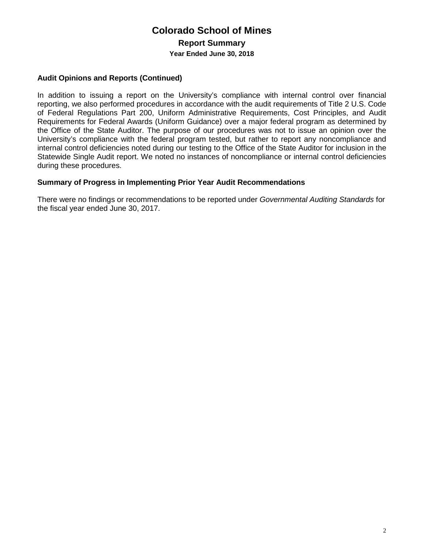### **Colorado School of Mines Report Summary Year Ended June 30, 2018**

### **Audit Opinions and Reports (Continued)**

In addition to issuing a report on the University's compliance with internal control over financial reporting, we also performed procedures in accordance with the audit requirements of Title 2 U.S. Code of Federal Regulations Part 200, Uniform Administrative Requirements, Cost Principles, and Audit Requirements for Federal Awards (Uniform Guidance) over a major federal program as determined by the Office of the State Auditor. The purpose of our procedures was not to issue an opinion over the University's compliance with the federal program tested, but rather to report any noncompliance and internal control deficiencies noted during our testing to the Office of the State Auditor for inclusion in the Statewide Single Audit report. We noted no instances of noncompliance or internal control deficiencies during these procedures.

### **Summary of Progress in Implementing Prior Year Audit Recommendations**

There were no findings or recommendations to be reported under *Governmental Auditing Standards* for the fiscal year ended June 30, 2017.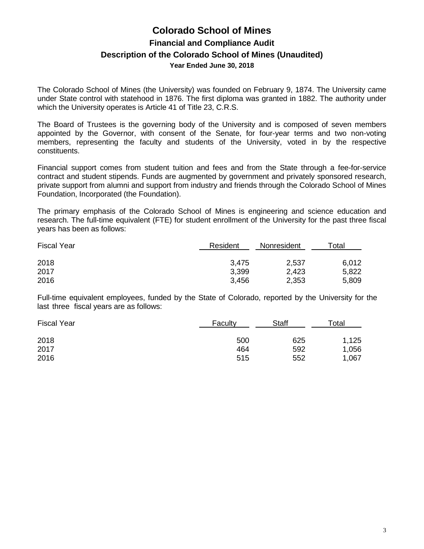### **Colorado School of Mines Financial and Compliance Audit Description of the Colorado School of Mines (Unaudited) Year Ended June 30, 2018**

The Colorado School of Mines (the University) was founded on February 9, 1874. The University came under State control with statehood in 1876. The first diploma was granted in 1882. The authority under which the University operates is Article 41 of Title 23, C.R.S.

The Board of Trustees is the governing body of the University and is composed of seven members appointed by the Governor, with consent of the Senate, for four-year terms and two non-voting members, representing the faculty and students of the University, voted in by the respective constituents.

Financial support comes from student tuition and fees and from the State through a fee-for-service contract and student stipends. Funds are augmented by government and privately sponsored research, private support from alumni and support from industry and friends through the Colorado School of Mines Foundation, Incorporated (the Foundation).

The primary emphasis of the Colorado School of Mines is engineering and science education and research. The full-time equivalent (FTE) for student enrollment of the University for the past three fiscal years has been as follows:

| <b>Fiscal Year</b> | Resident | Nonresident | Гotal |  |
|--------------------|----------|-------------|-------|--|
| 2018               | 3,475    | 2,537       | 6,012 |  |
| 2017               | 3,399    | 2,423       | 5,822 |  |
| 2016               | 3,456    | 2,353       | 5,809 |  |

Full-time equivalent employees, funded by the State of Colorado, reported by the University for the last three fiscal years are as follows:

| <b>Fiscal Year</b> | Faculty | <b>Staff</b> | Total |  |
|--------------------|---------|--------------|-------|--|
| 2018               | 500     | 625          | 1,125 |  |
| 2017               | 464     | 592          | 1,056 |  |
| 2016               | 515     | 552          | 1,067 |  |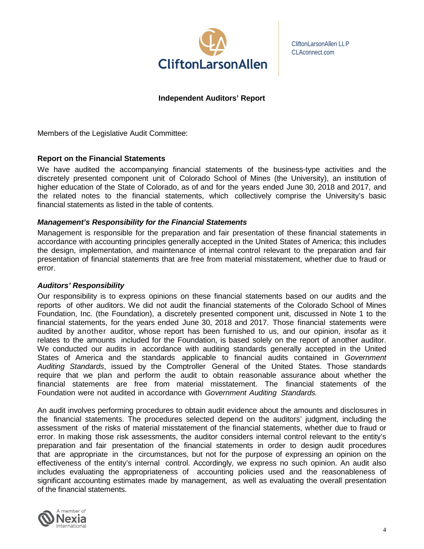

CliftonLarsonAllen LLP CLAconnect.com

#### **Independent Auditors' Report**

Members of the Legislative Audit Committee:

#### **Report on the Financial Statements**

We have audited the accompanying financial statements of the business-type activities and the discretely presented component unit of Colorado School of Mines (the University), an institution of higher education of the State of Colorado, as of and for the years ended June 30, 2018 and 2017, and the related notes to the financial statements, which collectively comprise the University's basic financial statements as listed in the table of contents.

#### *Management's Responsibility for the Financial Statements*

Management is responsible for the preparation and fair presentation of these financial statements in accordance with accounting principles generally accepted in the United States of America; this includes the design, implementation, and maintenance of internal control relevant to the preparation and fair presentation of financial statements that are free from material misstatement, whether due to fraud or error.

#### *Auditors' Responsibility*

Our responsibility is to express opinions on these financial statements based on our audits and the reports of other auditors. We did not audit the financial statements of the Colorado School of Mines Foundation, Inc. (the Foundation), a discretely presented component unit, discussed in Note 1 to the financial statements, for the years ended June 30, 2018 and 2017. Those financial statements were audited by another auditor, whose report has been furnished to us, and our opinion, insofar as it relates to the amounts included for the Foundation, is based solely on the report of another auditor. We conducted our audits in accordance with auditing standards generally accepted in the United States of America and the standards applicable to financial audits contained in *Government Auditing Standards*, issued by the Comptroller General of the United States. Those standards require that we plan and perform the audit to obtain reasonable assurance about whether the financial statements are free from material misstatement. The financial statements of the Foundation were not audited in accordance with *Government Auditing Standards.*

An audit involves performing procedures to obtain audit evidence about the amounts and disclosures in the financial statements. The procedures selected depend on the auditors' judgment, including the assessment of the risks of material misstatement of the financial statements, whether due to fraud or error. In making those risk assessments, the auditor considers internal control relevant to the entity's preparation and fair presentation of the financial statements in order to design audit procedures that are appropriate in the circumstances, but not for the purpose of expressing an opinion on the effectiveness of the entity's internal control. Accordingly, we express no such opinion. An audit also includes evaluating the appropriateness of accounting policies used and the reasonableness of significant accounting estimates made by management, as well as evaluating the overall presentation of the financial statements.

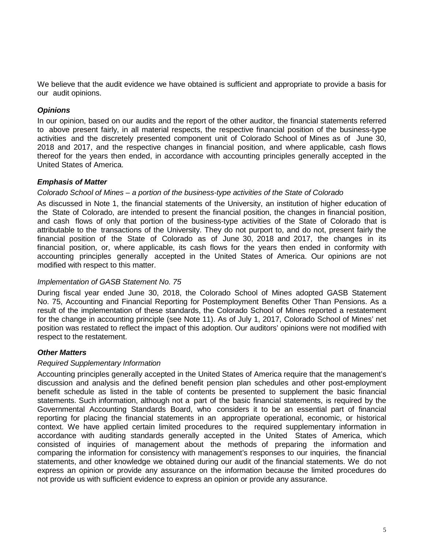We believe that the audit evidence we have obtained is sufficient and appropriate to provide a basis for our audit opinions.

### *Opinions*

In our opinion, based on our audits and the report of the other auditor, the financial statements referred to above present fairly, in all material respects, the respective financial position of the business-type activities and the discretely presented component unit of Colorado School of Mines as of June 30, 2018 and 2017, and the respective changes in financial position, and where applicable, cash flows thereof for the years then ended, in accordance with accounting principles generally accepted in the United States of America.

### *Emphasis of Matter*

#### *Colorado School of Mines – a portion of the business-type activities of the State of Colorado*

As discussed in Note 1, the financial statements of the University, an institution of higher education of the State of Colorado, are intended to present the financial position, the changes in financial position, and cash flows of only that portion of the business-type activities of the State of Colorado that is attributable to the transactions of the University. They do not purport to, and do not, present fairly the financial position of the State of Colorado as of June 30, 2018 and 2017, the changes in its financial position, or, where applicable, its cash flows for the years then ended in conformity with accounting principles generally accepted in the United States of America. Our opinions are not modified with respect to this matter.

### *Implementation of GASB Statement No. 75*

During fiscal year ended June 30, 2018, the Colorado School of Mines adopted GASB Statement No. 75, Accounting and Financial Reporting for Postemployment Benefits Other Than Pensions. As a result of the implementation of these standards, the Colorado School of Mines reported a restatement for the change in accounting principle (see Note 11). As of July 1, 2017, Colorado School of Mines' net position was restated to reflect the impact of this adoption. Our auditors' opinions were not modified with respect to the restatement.

### *Other Matters*

### *Required Supplementary Information*

Accounting principles generally accepted in the United States of America require that the management's discussion and analysis and the defined benefit pension plan schedules and other post-employment benefit schedule as listed in the table of contents be presented to supplement the basic financial statements. Such information, although not a part of the basic financial statements, is required by the Governmental Accounting Standards Board, who considers it to be an essential part of financial reporting for placing the financial statements in an appropriate operational, economic, or historical context. We have applied certain limited procedures to the required supplementary information in accordance with auditing standards generally accepted in the United States of America, which consisted of inquiries of management about the methods of preparing the information and comparing the information for consistency with management's responses to our inquiries, the financial statements, and other knowledge we obtained during our audit of the financial statements. We do not express an opinion or provide any assurance on the information because the limited procedures do not provide us with sufficient evidence to express an opinion or provide any assurance.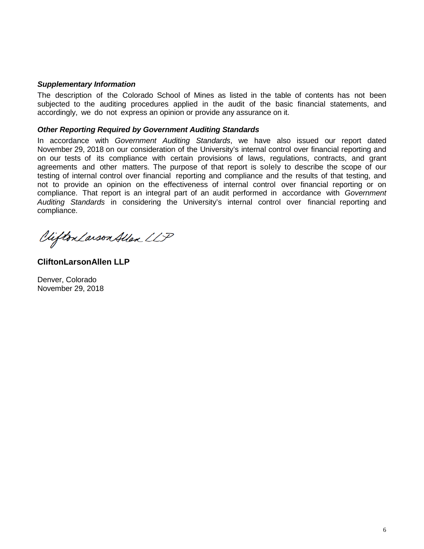#### *Supplementary Information*

The description of the Colorado School of Mines as listed in the table of contents has not been subjected to the auditing procedures applied in the audit of the basic financial statements, and accordingly, we do not express an opinion or provide any assurance on it.

#### *Other Reporting Required by Government Auditing Standards*

In accordance with *Government Auditing Standards*, we have also issued our report dated November 29, 2018 on our consideration of the University's internal control over financial reporting and on our tests of its compliance with certain provisions of laws, regulations, contracts, and grant agreements and other matters. The purpose of that report is solely to describe the scope of our testing of internal control over financial reporting and compliance and the results of that testing, and not to provide an opinion on the effectiveness of internal control over financial reporting or on compliance. That report is an integral part of an audit performed in accordance with *Government Auditing Standards* in considering the University's internal control over financial reporting and compliance.

Clifton Larson Allen LLP

**CliftonLarsonAllen LLP**

Denver, Colorado November 29, 2018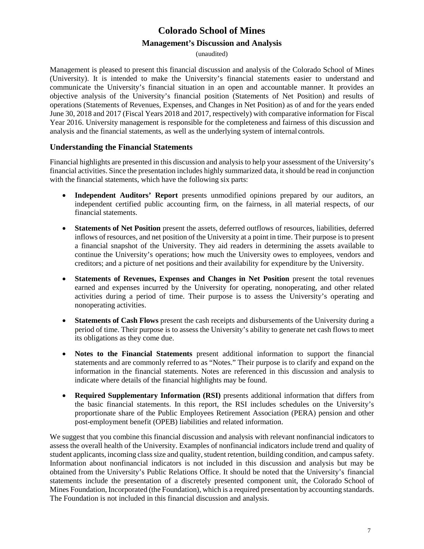(unaudited)

Management is pleased to present this financial discussion and analysis of the Colorado School of Mines (University). It is intended to make the University's financial statements easier to understand and communicate the University's financial situation in an open and accountable manner. It provides an objective analysis of the University's financial position (Statements of Net Position) and results of operations (Statements of Revenues, Expenses, and Changes in Net Position) as of and for the years ended June 30, 2018 and 2017 (Fiscal Years 2018 and 2017, respectively) with comparative information for Fiscal Year 2016. University management is responsible for the completeness and fairness of this discussion and analysis and the financial statements, as well as the underlying system of internal controls.

### **Understanding the Financial Statements**

Financial highlights are presented in this discussion and analysis to help your assessment of the University's financial activities. Since the presentation includes highly summarized data, it should be read in conjunction with the financial statements, which have the following six parts:

- **Independent Auditors' Report** presents unmodified opinions prepared by our auditors, an independent certified public accounting firm, on the fairness, in all material respects, of our financial statements.
- **Statements of Net Position** present the assets, deferred outflows of resources, liabilities, deferred inflows of resources, and net position of the University at a point in time. Their purpose is to present a financial snapshot of the University. They aid readers in determining the assets available to continue the University's operations; how much the University owes to employees, vendors and creditors; and a picture of net positions and their availability for expenditure by the University.
- **Statements of Revenues, Expenses and Changes in Net Position** present the total revenues earned and expenses incurred by the University for operating, nonoperating, and other related activities during a period of time. Their purpose is to assess the University's operating and nonoperating activities.
- **Statements of Cash Flows** present the cash receipts and disbursements of the University during a period of time. Their purpose is to assess the University's ability to generate net cash flows to meet its obligations as they come due.
- **Notes to the Financial Statements** present additional information to support the financial statements and are commonly referred to as "Notes." Their purpose is to clarify and expand on the information in the financial statements. Notes are referenced in this discussion and analysis to indicate where details of the financial highlights may be found.
- **Required Supplementary Information (RSI)** presents additional information that differs from the basic financial statements. In this report, the RSI includes schedules on the University's proportionate share of the Public Employees Retirement Association (PERA) pension and other post-employment benefit (OPEB) liabilities and related information.

We suggest that you combine this financial discussion and analysis with relevant nonfinancial indicators to assess the overall health of the University. Examples of nonfinancial indicators include trend and quality of student applicants, incoming class size and quality, student retention, building condition, and campus safety. Information about nonfinancial indicators is not included in this discussion and analysis but may be obtained from the University's Public Relations Office. It should be noted that the University's financial statements include the presentation of a discretely presented component unit, the Colorado School of Mines Foundation, Incorporated (the Foundation), which is a required presentation by accounting standards. The Foundation is not included in this financial discussion and analysis.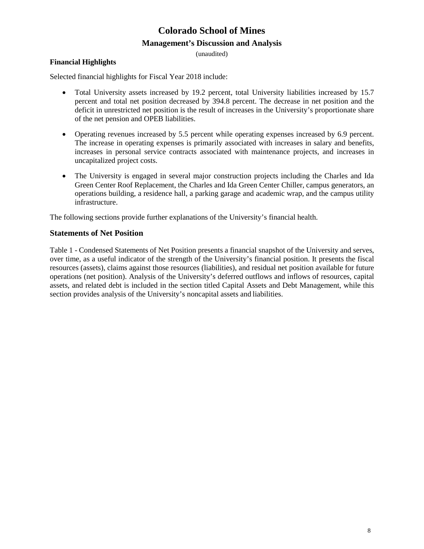(unaudited)

#### **Financial Highlights**

Selected financial highlights for Fiscal Year 2018 include:

- Total University assets increased by 19.2 percent, total University liabilities increased by 15.7 percent and total net position decreased by 394.8 percent. The decrease in net position and the deficit in unrestricted net position is the result of increases in the University's proportionate share of the net pension and OPEB liabilities.
- Operating revenues increased by 5.5 percent while operating expenses increased by 6.9 percent. The increase in operating expenses is primarily associated with increases in salary and benefits, increases in personal service contracts associated with maintenance projects, and increases in uncapitalized project costs.
- The University is engaged in several major construction projects including the Charles and Ida Green Center Roof Replacement, the Charles and Ida Green Center Chiller, campus generators, an operations building, a residence hall, a parking garage and academic wrap, and the campus utility infrastructure.

The following sections provide further explanations of the University's financial health.

#### **Statements of Net Position**

Table 1 - Condensed Statements of Net Position presents a financial snapshot of the University and serves, over time, as a useful indicator of the strength of the University's financial position. It presents the fiscal resources (assets), claims against those resources (liabilities), and residual net position available for future operations (net position). Analysis of the University's deferred outflows and inflows of resources, capital assets, and related debt is included in the section titled Capital Assets and Debt Management, while this section provides analysis of the University's noncapital assets and liabilities.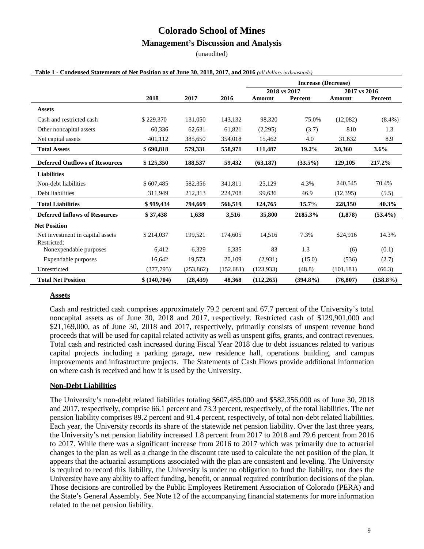#### **Management's Discussion and Analysis**

(unaudited)

|                                                 |             |            |            | <b>Increase (Decrease)</b>   |                |            |             |
|-------------------------------------------------|-------------|------------|------------|------------------------------|----------------|------------|-------------|
|                                                 |             |            |            | 2018 vs 2017<br>2017 vs 2016 |                |            |             |
|                                                 | 2018        | 2017       | 2016       | <b>Amount</b>                | <b>Percent</b> | Amount     | Percent     |
| <b>Assets</b>                                   |             |            |            |                              |                |            |             |
| Cash and restricted cash                        | \$229,370   | 131,050    | 143,132    | 98,320                       | 75.0%          | (12,082)   | $(8.4\%)$   |
| Other noncapital assets                         | 60,336      | 62,631     | 61,821     | (2,295)                      | (3.7)          | 810        | 1.3         |
| Net capital assets                              | 401,112     | 385,650    | 354,018    | 15,462                       | 4.0            | 31,632     | 8.9         |
| <b>Total Assets</b>                             | \$690.818   | 579,331    | 558,971    | 111,487                      | 19.2%          | 20,360     | $3.6\%$     |
| <b>Deferred Outflows of Resources</b>           | \$125,350   | 188,537    | 59,432     | (63, 187)                    | $(33.5\%)$     | 129,105    | 217.2%      |
| <b>Liabilities</b>                              |             |            |            |                              |                |            |             |
| Non-debt liabilities                            | \$607,485   | 582,356    | 341,811    | 25,129                       | 4.3%           | 240,545    | 70.4%       |
| Debt liabilities                                | 311,949     | 212,313    | 224,708    | 99,636                       | 46.9           | (12, 395)  | (5.5)       |
| <b>Total Liabilities</b>                        | \$919,434   | 794.669    | 566.519    | 124,765                      | 15.7%          | 228,150    | 40.3%       |
| <b>Deferred Inflows of Resources</b>            | \$37,438    | 1,638      | 3,516      | 35,800                       | 2185.3%        | (1,878)    | $(53.4\%)$  |
| <b>Net Position</b>                             |             |            |            |                              |                |            |             |
| Net investment in capital assets<br>Restricted: | \$214,037   | 199,521    | 174,605    | 14,516                       | 7.3%           | \$24,916   | 14.3%       |
| Nonexpendable purposes                          | 6,412       | 6,329      | 6,335      | 83                           | 1.3            | (6)        | (0.1)       |
| Expendable purposes                             | 16,642      | 19,573     | 20.109     | (2,931)                      | (15.0)         | (536)      | (2.7)       |
| Unrestricted                                    | (377, 795)  | (253, 862) | (152, 681) | (123, 933)                   | (48.8)         | (101, 181) | (66.3)      |
| <b>Total Net Position</b>                       | \$(140,704) | (28, 439)  | 48,368     | (112, 265)                   | $(394.8\%)$    | (76, 807)  | $(158.8\%)$ |

#### **Table 1 - Condensed Statements of Net Position as of June 30, 2018, 2017, and 2016** *(all dollars inthousands)*

#### **Assets**

Cash and restricted cash comprises approximately 79.2 percent and 67.7 percent of the University's total noncapital assets as of June 30, 2018 and 2017, respectively. Restricted cash of \$129,901,000 and \$21,169,000, as of June 30, 2018 and 2017, respectively, primarily consists of unspent revenue bond proceeds that will be used for capital related activity as well as unspent gifts, grants, and contract revenues. Total cash and restricted cash increased during Fiscal Year 2018 due to debt issuances related to various capital projects including a parking garage, new residence hall, operations building, and campus improvements and infrastructure projects. The Statements of Cash Flows provide additional information on where cash is received and how it is used by the University.

#### **Non-Debt Liabilities**

The University's non-debt related liabilities totaling \$607,485,000 and \$582,356,000 as of June 30, 2018 and 2017, respectively, comprise 66.1 percent and 73.3 percent, respectively, of the total liabilities. The net pension liability comprises 89.2 percent and 91.4 percent, respectively, of total non-debt related liabilities. Each year, the University records its share of the statewide net pension liability. Over the last three years, the University's net pension liability increased 1.8 percent from 2017 to 2018 and 79.6 percent from 2016 to 2017. While there was a significant increase from 2016 to 2017 which was primarily due to actuarial changes to the plan as well as a change in the discount rate used to calculate the net position of the plan, it appears that the actuarial assumptions associated with the plan are consistent and leveling. The University is required to record this liability, the University is under no obligation to fund the liability, nor does the University have any ability to affect funding, benefit, or annual required contribution decisions of the plan. Those decisions are controlled by the Public Employees Retirement Association of Colorado (PERA) and the State's General Assembly. See Note 12 of the accompanying financial statements for more information related to the net pension liability.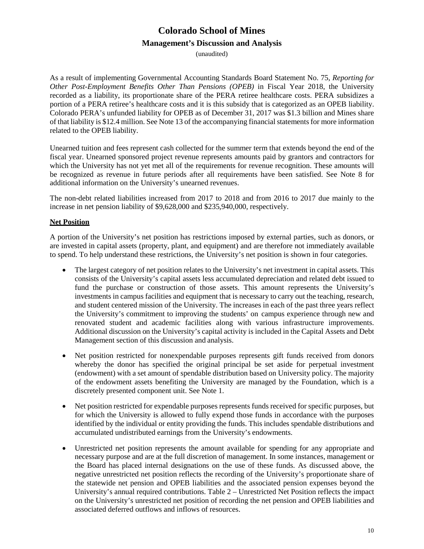(unaudited)

As a result of implementing Governmental Accounting Standards Board Statement No. 75, *Reporting for Other Post-Employment Benefits Other Than Pensions (OPEB)* in Fiscal Year 2018, the University recorded as a liability, its proportionate share of the PERA retiree healthcare costs. PERA subsidizes a portion of a PERA retiree's healthcare costs and it is this subsidy that is categorized as an OPEB liability. Colorado PERA's unfunded liability for OPEB as of December 31, 2017 was \$1.3 billion and Mines share of that liability is \$12.4 million. See Note 13 of the accompanying financial statements for more information related to the OPEB liability.

Unearned tuition and fees represent cash collected for the summer term that extends beyond the end of the fiscal year. Unearned sponsored project revenue represents amounts paid by grantors and contractors for which the University has not yet met all of the requirements for revenue recognition. These amounts will be recognized as revenue in future periods after all requirements have been satisfied. See Note 8 for additional information on the University's unearned revenues.

The non-debt related liabilities increased from 2017 to 2018 and from 2016 to 2017 due mainly to the increase in net pension liability of \$9,628,000 and \$235,940,000, respectively.

### **Net Position**

A portion of the University's net position has restrictions imposed by external parties, such as donors, or are invested in capital assets (property, plant, and equipment) and are therefore not immediately available to spend. To help understand these restrictions, the University's net position is shown in four categories.

- The largest category of net position relates to the University's net investment in capital assets. This consists of the University's capital assets less accumulated depreciation and related debt issued to fund the purchase or construction of those assets. This amount represents the University's investments in campus facilities and equipment that is necessary to carry out the teaching, research, and student centered mission of the University. The increases in each of the past three years reflect the University's commitment to improving the students' on campus experience through new and renovated student and academic facilities along with various infrastructure improvements. Additional discussion on the University's capital activity is included in the Capital Assets and Debt Management section of this discussion and analysis.
- Net position restricted for nonexpendable purposes represents gift funds received from donors whereby the donor has specified the original principal be set aside for perpetual investment (endowment) with a set amount of spendable distribution based on University policy. The majority of the endowment assets benefiting the University are managed by the Foundation, which is a discretely presented component unit. See Note 1.
- Net position restricted for expendable purposes represents funds received for specific purposes, but for which the University is allowed to fully expend those funds in accordance with the purposes identified by the individual or entity providing the funds. This includes spendable distributions and accumulated undistributed earnings from the University's endowments.
- Unrestricted net position represents the amount available for spending for any appropriate and necessary purpose and are at the full discretion of management. In some instances, management or the Board has placed internal designations on the use of these funds. As discussed above, the negative unrestricted net position reflects the recording of the University's proportionate share of the statewide net pension and OPEB liabilities and the associated pension expenses beyond the University's annual required contributions. Table 2 – Unrestricted Net Position reflects the impact on the University's unrestricted net position of recording the net pension and OPEB liabilities and associated deferred outflows and inflows of resources.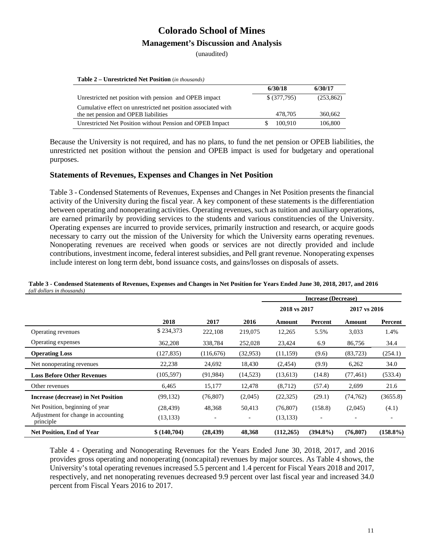(unaudited)

**Table 2 – Unrestricted Net Position** (*in thousands)*

|                                                                | 6/30/18       | 6/30/17    |
|----------------------------------------------------------------|---------------|------------|
| Unrestricted net position with pension and OPEB impact         | $$$ (377,795) | (253, 862) |
| Cumulative effect on unrestricted net position associated with |               |            |
| the net pension and OPEB liabilities                           | 478.705       | 360,662    |
| Unrestricted Net Position without Pension and OPEB Impact      | 100.910       | 106,800    |

Because the University is not required, and has no plans, to fund the net pension or OPEB liabilities, the unrestricted net position without the pension and OPEB impact is used for budgetary and operational purposes.

#### **Statements of Revenues, Expenses and Changes in Net Position**

Table 3 - Condensed Statements of Revenues, Expenses and Changes in Net Position presents the financial activity of the University during the fiscal year. A key component of these statements is the differentiation between operating and nonoperating activities. Operating revenues, such as tuition and auxiliary operations, are earned primarily by providing services to the students and various constituencies of the University. Operating expenses are incurred to provide services, primarily instruction and research, or acquire goods necessary to carry out the mission of the University for which the University earns operating revenues. Nonoperating revenues are received when goods or services are not directly provided and include contributions, investment income, federal interest subsidies, and Pell grant revenue. Nonoperating expenses include interest on long term debt, bond issuance costs, and gains/losses on disposals of assets.

|                                                  |             |            | <b>Increase (Decrease)</b> |              |             |              |                          |
|--------------------------------------------------|-------------|------------|----------------------------|--------------|-------------|--------------|--------------------------|
|                                                  |             |            |                            | 2018 vs 2017 |             | 2017 vs 2016 |                          |
|                                                  | 2018        | 2017       | 2016                       | Amount       | Percent     | Amount       | Percent                  |
| Operating revenues                               | \$234,373   | 222,108    | 219,075                    | 12,265       | 5.5%        | 3,033        | 1.4%                     |
| Operating expenses                               | 362,208     | 338,784    | 252,028                    | 23,424       | 6.9         | 86,756       | 34.4                     |
| <b>Operating Loss</b>                            | (127, 835)  | (116, 676) | (32, 953)                  | (11,159)     | (9.6)       | (83, 723)    | (254.1)                  |
| Net nonoperating revenues                        | 22,238      | 24,692     | 18,430                     | (2,454)      | (9.9)       | 6,262        | 34.0                     |
| <b>Loss Before Other Revenues</b>                | (105, 597)  | (91, 984)  | (14,523)                   | (13,613)     | (14.8)      | (77, 461)    | (533.4)                  |
| Other revenues                                   | 6,465       | 15,177     | 12,478                     | (8,712)      | (57.4)      | 2,699        | 21.6                     |
| <b>Increase (decrease) in Net Position</b>       | (99, 132)   | (76, 807)  | (2,045)                    | (22, 325)    | (29.1)      | (74, 762)    | (3655.8)                 |
| Net Position, beginning of year                  | (28, 439)   | 48,368     | 50,413                     | (76, 807)    | (158.8)     | (2,045)      | (4.1)                    |
| Adjustment for change in accounting<br>principle | (13, 133)   |            | $\overline{\phantom{a}}$   | (13, 133)    |             |              | $\overline{\phantom{a}}$ |
| Net Position, End of Year                        | \$(140,704) | (28, 439)  | 48,368                     | (112, 265)   | $(394.8\%)$ | (76, 807)    | $(158.8\%)$              |

**Table 3 - Condensed Statements of Revenues, Expenses and Changes in Net Position for Years Ended June 30, 2018, 2017, and 2016** *(all dollars in thousands)*

Table 4 - Operating and Nonoperating Revenues for the Years Ended June 30, 2018, 2017, and 2016 provides gross operating and nonoperating (noncapital) revenues by major sources. As Table 4 shows, the University's total operating revenues increased 5.5 percent and 1.4 percent for Fiscal Years 2018 and 2017, respectively, and net nonoperating revenues decreased 9.9 percent over last fiscal year and increased 34.0 percent from Fiscal Years 2016 to 2017.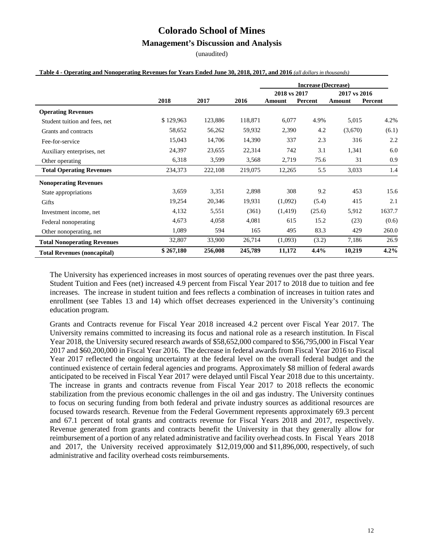### **Management's Discussion and Analysis**

(unaudited)

|                                    |           |         |         | <b>Increase (Decrease)</b> |         |              |         |
|------------------------------------|-----------|---------|---------|----------------------------|---------|--------------|---------|
|                                    |           |         |         | 2018 vs 2017               |         | 2017 vs 2016 |         |
|                                    | 2018      | 2017    | 2016    | Amount                     | Percent | Amount       | Percent |
| <b>Operating Revenues</b>          |           |         |         |                            |         |              |         |
| Student tuition and fees, net      | \$129,963 | 123,886 | 118,871 | 6,077                      | 4.9%    | 5,015        | 4.2%    |
| Grants and contracts               | 58,652    | 56,262  | 59,932  | 2,390                      | 4.2     | (3,670)      | (6.1)   |
| Fee-for-service                    | 15,043    | 14,706  | 14,390  | 337                        | 2.3     | 316          | 2.2     |
| Auxiliary enterprises, net         | 24,397    | 23,655  | 22,314  | 742                        | 3.1     | 1,341        | 6.0     |
| Other operating                    | 6,318     | 3,599   | 3,568   | 2,719                      | 75.6    | 31           | 0.9     |
| <b>Total Operating Revenues</b>    | 234,373   | 222,108 | 219,075 | 12,265                     | 5.5     | 3,033        | 1.4     |
| <b>Nonoperating Revenues</b>       |           |         |         |                            |         |              |         |
| State appropriations               | 3,659     | 3,351   | 2,898   | 308                        | 9.2     | 453          | 15.6    |
| Gifts                              | 19,254    | 20,346  | 19,931  | (1,092)                    | (5.4)   | 415          | 2.1     |
| Investment income, net             | 4,132     | 5,551   | (361)   | (1, 419)                   | (25.6)  | 5,912        | 1637.7  |
| Federal nonoperating               | 4,673     | 4,058   | 4,081   | 615                        | 15.2    | (23)         | (0.6)   |
| Other nonoperating, net            | 1,089     | 594     | 165     | 495                        | 83.3    | 429          | 260.0   |
| <b>Total Nonoperating Revenues</b> | 32,807    | 33,900  | 26,714  | (1,093)                    | (3.2)   | 7,186        | 26.9    |
| <b>Total Revenues (noncapital)</b> | \$267,180 | 256,008 | 245,789 | 11,172                     | 4.4%    | 10,219       | 4.2%    |

#### Table 4 - Operating and Nonoperating Revenues for Years Ended June 30, 2018, 2017, and 2016 (all dollars in thousands)

The University has experienced increases in most sources of operating revenues over the past three years. Student Tuition and Fees (net) increased 4.9 percent from Fiscal Year 2017 to 2018 due to tuition and fee increases. The increase in student tuition and fees reflects a combination of increases in tuition rates and enrollment (see Tables 13 and 14) which offset decreases experienced in the University's continuing education program.

Grants and Contracts revenue for Fiscal Year 2018 increased 4.2 percent over Fiscal Year 2017. The University remains committed to increasing its focus and national role as a research institution. In Fiscal Year 2018, the University secured research awards of \$58,652,000 compared to \$56,795,000 in Fiscal Year 2017 and \$60,200,000 in Fiscal Year 2016. The decrease in federal awards from Fiscal Year 2016 to Fiscal Year 2017 reflected the ongoing uncertainty at the federal level on the overall federal budget and the continued existence of certain federal agencies and programs. Approximately \$8 million of federal awards anticipated to be received in Fiscal Year 2017 were delayed until Fiscal Year 2018 due to this uncertainty. The increase in grants and contracts revenue from Fiscal Year 2017 to 2018 reflects the economic stabilization from the previous economic challenges in the oil and gas industry. The University continues to focus on securing funding from both federal and private industry sources as additional resources are focused towards research. Revenue from the Federal Government represents approximately 69.3 percent and 67.1 percent of total grants and contracts revenue for Fiscal Years 2018 and 2017, respectively. Revenue generated from grants and contracts benefit the University in that they generally allow for reimbursement of a portion of any related administrative and facility overhead costs. In Fiscal Years 2018 and 2017, the University received approximately \$12,019,000 and \$11,896,000, respectively, of such administrative and facility overhead costs reimbursements.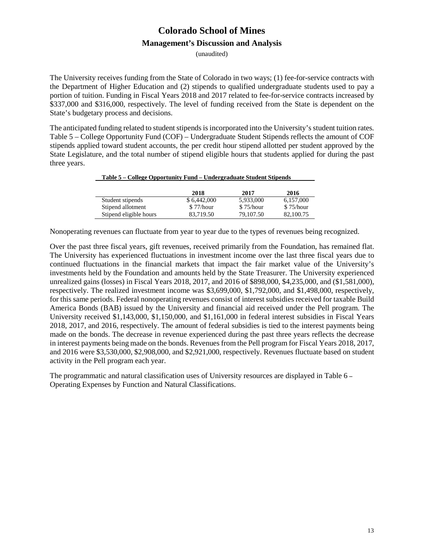(unaudited)

The University receives funding from the State of Colorado in two ways; (1) fee-for-service contracts with the Department of Higher Education and (2) stipends to qualified undergraduate students used to pay a portion of tuition. Funding in Fiscal Years 2018 and 2017 related to fee-for-service contracts increased by \$337,000 and \$316,000, respectively. The level of funding received from the State is dependent on the State's budgetary process and decisions.

The anticipated funding related to student stipends is incorporated into the University's student tuition rates. Table 5 – College Opportunity Fund (COF) – Undergraduate Student Stipends reflects the amount of COF stipends applied toward student accounts, the per credit hour stipend allotted per student approved by the State Legislature, and the total number of stipend eligible hours that students applied for during the past three years.

|                        | 2018        | 2017      | 2016      |
|------------------------|-------------|-----------|-----------|
| Student stipends       | \$6.442,000 | 5,933,000 | 6,157,000 |
| Stipend allotment      | \$77/hour   | \$75/hour | \$75/hour |
| Stipend eligible hours | 83.719.50   | 79,107.50 | 82,100.75 |

 **Table 5 – College Opportunity Fund – Undergraduate Student Stipends**

Nonoperating revenues can fluctuate from year to year due to the types of revenues being recognized.

Over the past three fiscal years, gift revenues, received primarily from the Foundation, has remained flat. The University has experienced fluctuations in investment income over the last three fiscal years due to continued fluctuations in the financial markets that impact the fair market value of the University's investments held by the Foundation and amounts held by the State Treasurer. The University experienced unrealized gains (losses) in Fiscal Years 2018, 2017, and 2016 of \$898,000, \$4,235,000, and (\$1,581,000), respectively. The realized investment income was \$3,699,000, \$1,792,000, and \$1,498,000, respectively, for this same periods. Federal nonoperating revenues consist of interest subsidies received for taxable Build America Bonds (BAB) issued by the University and financial aid received under the Pell program. The University received \$1,143,000, \$1,150,000, and \$1,161,000 in federal interest subsidies in Fiscal Years 2018, 2017, and 2016, respectively. The amount of federal subsidies is tied to the interest payments being made on the bonds. The decrease in revenue experienced during the past three years reflects the decrease in interest payments being made on the bonds. Revenues from the Pell program for Fiscal Years 2018, 2017, and 2016 were \$3,530,000, \$2,908,000, and \$2,921,000, respectively. Revenues fluctuate based on student activity in the Pell program each year.

The programmatic and natural classification uses of University resources are displayed in Table 6 **–** Operating Expenses by Function and Natural Classifications.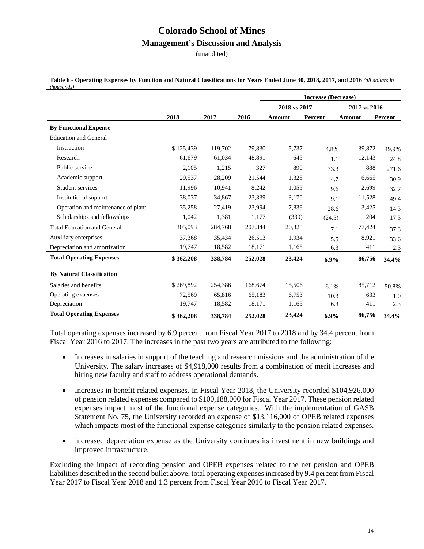#### **Management's Discussion and Analysis**

(unaudited)

| thousands)                         |           |         |         |              | <b>Increase (Decrease)</b> |               |         |
|------------------------------------|-----------|---------|---------|--------------|----------------------------|---------------|---------|
|                                    |           |         |         | 2018 vs 2017 |                            | 2017 vs 2016  |         |
|                                    | 2018      | 2017    | 2016    | Amount       | Percent                    | <b>Amount</b> | Percent |
| <b>By Functional Expense</b>       |           |         |         |              |                            |               |         |
| <b>Education and General</b>       |           |         |         |              |                            |               |         |
| Instruction                        | \$125,439 | 119,702 | 79,830  | 5,737        | 4.8%                       | 39,872        | 49.9%   |
| Research                           | 61.679    | 61,034  | 48,891  | 645          | 1.1                        | 12,143        | 24.8    |
| Public service                     | 2,105     | 1,215   | 327     | 890          | 73.3                       | 888           | 271.6   |
| Academic support                   | 29,537    | 28,209  | 21,544  | 1,328        | 4.7                        | 6,665         | 30.9    |
| Student services                   | 11,996    | 10,941  | 8,242   | 1,055        | 9.6                        | 2,699         | 32.7    |
| Institutional support              | 38,037    | 34,867  | 23,339  | 3,170        | 9.1                        | 11,528        | 49.4    |
| Operation and maintenance of plant | 35,258    | 27,419  | 23,994  | 7,839        | 28.6                       | 3,425         | 14.3    |
| Scholarships and fellowships       | 1,042     | 1,381   | 1,177   | (339)        | (24.5)                     | 204           | 17.3    |
| <b>Total Education and General</b> | 305,093   | 284,768 | 207,344 | 20,325       | 7.1                        | 77,424        | 37.3    |
| Auxiliary enterprises              | 37,368    | 35,434  | 26,513  | 1,934        | 5.5                        | 8,921         | 33.6    |
| Depreciation and amortization      | 19,747    | 18,582  | 18,171  | 1,165        | 6.3                        | 411           | 2.3     |
| <b>Total Operating Expenses</b>    | \$362,208 | 338,784 | 252,028 | 23,424       | $6.9\%$                    | 86,756        | 34.4%   |
| <b>By Natural Classification</b>   |           |         |         |              |                            |               |         |
| Salaries and benefits              | \$269,892 | 254,386 | 168,674 | 15,506       | 6.1%                       | 85,712        | 50.8%   |
| Operating expenses                 | 72.569    | 65,816  | 65.183  | 6.753        | 10.3                       | 633           | 1.0     |
| Depreciation                       | 19,747    | 18,582  | 18,171  | 1,165        | 6.3                        | 411           | 2.3     |
| <b>Total Operating Expenses</b>    | \$362,208 | 338,784 | 252,028 | 23,424       | 6.9%                       | 86,756        | 34.4%   |

**Table 6 - Operating Expenses by Function and Natural Classifications for Years Ended June 30, 2018, 2017, and 2016** *(all dollars in thousands)*

Total operating expenses increased by 6.9 percent from Fiscal Year 2017 to 2018 and by 34.4 percent from Fiscal Year 2016 to 2017. The increases in the past two years are attributed to the following:

- Increases in salaries in support of the teaching and research missions and the administration of the University. The salary increases of \$4,918,000 results from a combination of merit increases and hiring new faculty and staff to address operational demands.
- Increases in benefit related expenses. In Fiscal Year 2018, the University recorded \$104,926,000 of pension related expenses compared to \$100,188,000 for Fiscal Year 2017. These pension related expenses impact most of the functional expense categories. With the implementation of GASB Statement No. 75, the University recorded an expense of \$13,116,000 of OPEB related expenses which impacts most of the functional expense categories similarly to the pension related expenses.
- Increased depreciation expense as the University continues its investment in new buildings and improved infrastructure.

Excluding the impact of recording pension and OPEB expenses related to the net pension and OPEB liabilities described in the second bullet above, total operating expenses increased by 9.4 percent from Fiscal Year 2017 to Fiscal Year 2018 and 1.3 percent from Fiscal Year 2016 to Fiscal Year 2017.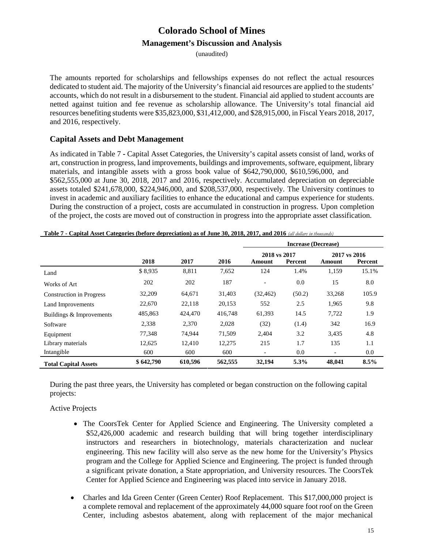(unaudited)

The amounts reported for scholarships and fellowships expenses do not reflect the actual resources dedicated to student aid. The majority of the University's financial aid resources are applied to the students' accounts, which do not result in a disbursement to the student. Financial aid applied to student accounts are netted against tuition and fee revenue as scholarship allowance. The University's total financial aid resources benefiting students were \$35,823,000, \$31,412,000, and \$28,915,000, in Fiscal Years 2018, 2017, and 2016, respectively.

### **Capital Assets and Debt Management**

As indicated in Table 7 **-** Capital Asset Categories, the University's capital assets consist of land, works of art, construction in progress, land improvements, buildings and improvements, software, equipment, library materials, and intangible assets with a gross book value of \$642,790,000, \$610,596,000, and \$562,555,000 at June 30, 2018, 2017 and 2016, respectively. Accumulated depreciation on depreciable assets totaled \$241,678,000, \$224,946,000, and \$208,537,000, respectively. The University continues to invest in academic and auxiliary facilities to enhance the educational and campus experience for students. During the construction of a project, costs are accumulated in construction in progress. Upon completion of the project, the costs are moved out of construction in progress into the appropriate asset classification.

|                                 |           |         |         | <b>Increase (Decrease)</b> |         |                          |         |
|---------------------------------|-----------|---------|---------|----------------------------|---------|--------------------------|---------|
|                                 |           |         |         | 2018 vs 2017               |         | 2017 vs 2016             |         |
|                                 | 2018      | 2017    | 2016    | Amount                     | Percent | Amount                   | Percent |
| Land                            | \$8,935   | 8,811   | 7,652   | 124                        | 1.4%    | 1,159                    | 15.1%   |
| Works of Art                    | 202       | 202     | 187     |                            | 0.0     | 15                       | 8.0     |
| <b>Construction in Progress</b> | 32,209    | 64,671  | 31,403  | (32, 462)                  | (50.2)  | 33,268                   | 105.9   |
| Land Improvements               | 22,670    | 22,118  | 20,153  | 552                        | 2.5     | 1,965                    | 9.8     |
| Buildings & Improvements        | 485,863   | 424,470 | 416,748 | 61,393                     | 14.5    | 7,722                    | 1.9     |
| Software                        | 2,338     | 2,370   | 2,028   | (32)                       | (1.4)   | 342                      | 16.9    |
| Equipment                       | 77,348    | 74,944  | 71,509  | 2,404                      | 3.2     | 3,435                    | 4.8     |
| Library materials               | 12,625    | 12.410  | 12,275  | 215                        | 1.7     | 135                      | 1.1     |
| Intangible                      | 600       | 600     | 600     | $\overline{\phantom{a}}$   | 0.0     | $\overline{\phantom{a}}$ | $0.0\,$ |
| <b>Total Capital Assets</b>     | \$642,790 | 610,596 | 562,555 | 32,194                     | 5.3%    | 48,041                   | 8.5%    |

**Table 7 - Capital Asset Categories (before depreciation) as of June 30, 2018, 2017, and 2016** *(all dollars in thousands)*

During the past three years, the University has completed or began construction on the following capital projects:

#### Active Projects

- The CoorsTek Center for Applied Science and Engineering. The University completed a \$52,426,000 academic and research building that will bring together interdisciplinary instructors and researchers in biotechnology, materials characterization and nuclear engineering. This new facility will also serve as the new home for the University's Physics program and the College for Applied Science and Engineering. The project is funded through a significant private donation, a State appropriation, and University resources. The CoorsTek Center for Applied Science and Engineering was placed into service in January 2018.
- Charles and Ida Green Center (Green Center) Roof Replacement. This \$17,000,000 project is a complete removal and replacement of the approximately 44,000 square foot roof on the Green Center, including asbestos abatement, along with replacement of the major mechanical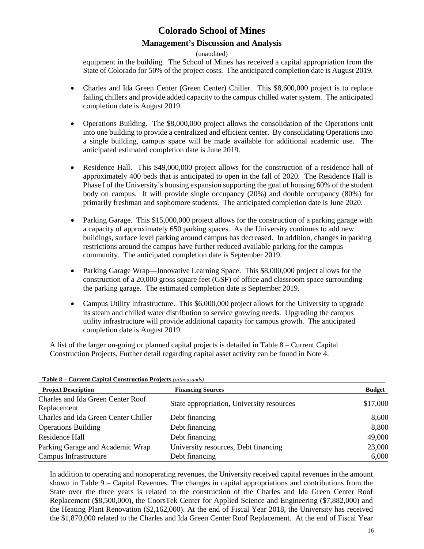### **Management's Discussion and Analysis**

(unaudited)

equipment in the building. The School of Mines has received a capital appropriation from the State of Colorado for 50% of the project costs. The anticipated completion date is August 2019.

- Charles and Ida Green Center (Green Center) Chiller. This \$8,600,000 project is to replace failing chillers and provide added capacity to the campus chilled water system. The anticipated completion date is August 2019.
- Operations Building. The \$8,000,000 project allows the consolidation of the Operations unit into one building to provide a centralized and efficient center. By consolidating Operations into a single building, campus space will be made available for additional academic use. The anticipated estimated completion date is June 2019.
- Residence Hall. This \$49,000,000 project allows for the construction of a residence hall of approximately 400 beds that is anticipated to open in the fall of 2020. The Residence Hall is Phase I of the University's housing expansion supporting the goal of housing 60% of the student body on campus. It will provide single occupancy (20%) and double occupancy (80%) for primarily freshman and sophomore students. The anticipated completion date is June 2020.
- Parking Garage. This \$15,000,000 project allows for the construction of a parking garage with a capacity of approximately 650 parking spaces. As the University continues to add new buildings, surface level parking around campus has decreased. In addition, changes in parking restrictions around the campus have further reduced available parking for the campus community. The anticipated completion date is September 2019.
- Parking Garage Wrap—Innovative Learning Space. This \$8,000,000 project allows for the construction of a 20,000 gross square feet (GSF) of office and classroom space surrounding the parking garage. The estimated completion date is September 2019.
- Campus Utility Infrastructure. This \$6,000,000 project allows for the University to upgrade its steam and chilled water distribution to service growing needs. Upgrading the campus utility infrastructure will provide additional capacity for campus growth. The anticipated completion date is August 2019.

A list of the larger on-going or planned capital projects is detailed in Table 8 – Current Capital Construction Projects. Further detail regarding capital asset activity can be found in Note 4.

| <b>Project Description</b>                       | <b>Financing Sources</b>                  | <b>Budget</b> |
|--------------------------------------------------|-------------------------------------------|---------------|
| Charles and Ida Green Center Roof<br>Replacement | State appropriation, University resources | \$17,000      |
| Charles and Ida Green Center Chiller             | Debt financing                            | 8,600         |
| <b>Operations Building</b>                       | Debt financing                            | 8,800         |
| Residence Hall                                   | Debt financing                            | 49,000        |
| Parking Garage and Academic Wrap                 | University resources, Debt financing      | 23,000        |
| Campus Infrastructure                            | Debt financing                            | 6,000         |

**Table 8 – Current Capital Construction Projects** *(inthousands)*

In addition to operating and nonoperating revenues, the University received capital revenues in the amount shown in Table 9 – Capital Revenues. The changes in capital appropriations and contributions from the State over the three years is related to the construction of the Charles and Ida Green Center Roof Replacement (\$8,500,000), the CoorsTek Center for Applied Science and Engineering (\$7,882,000) and the Heating Plant Renovation (\$2,162,000). At the end of Fiscal Year 2018, the University has received the \$1,870,000 related to the Charles and Ida Green Center Roof Replacement. At the end of Fiscal Year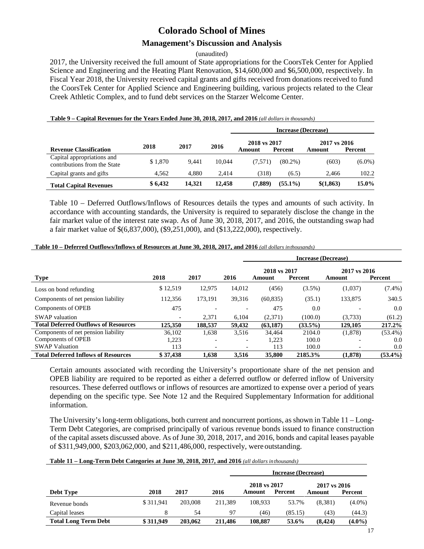### **Management's Discussion and Analysis**

(unaudited)

2017, the University received the full amount of State appropriations for the CoorsTek Center for Applied Science and Engineering and the Heating Plant Renovation, \$14,600,000 and \$6,500,000, respectively. In Fiscal Year 2018, the University received capital grants and gifts received from donations received to fund the CoorsTek Center for Applied Science and Engineering building, various projects related to the Clear Creek Athletic Complex, and to fund debt services on the Starzer Welcome Center.

Table 9 – Capital Revenues for the Years Ended June 30, 2018, 2017, and 2016 (all dollars in thousands)

|                                                            |         |        |        |                        | <b>Increase (Decrease)</b> |                        |           |
|------------------------------------------------------------|---------|--------|--------|------------------------|----------------------------|------------------------|-----------|
| <b>Revenue Classification</b>                              | 2018    | 2017   | 2016   | 2018 vs 2017<br>Amount | Percent                    | 2017 vs 2016<br>Amount | Percent   |
| Capital appropriations and<br>contributions from the State | \$1.870 | 9.441  | 10.044 | (7.571)                | $(80.2\%)$                 | (603)                  | $(6.0\%)$ |
| Capital grants and gifts                                   | 4.562   | 4.880  | 2.414  | (318)                  | (6.5)                      | 2.466                  | 102.2     |
| <b>Total Capital Revenues</b>                              | \$6,432 | 14.321 | 12.458 | (7,889)                | $(55.1\%)$                 | \$(1,863)              | 15.0%     |

Table 10 – Deferred Outflows/Inflows of Resources details the types and amounts of such activity. In accordance with accounting standards, the University is required to separately disclose the change in the fair market value of the interest rate swap. As of June 30, 2018, 2017, and 2016, the outstanding swap had a fair market value of \$(6,837,000), (\$9,251,000), and (\$13,222,000), respectively.

|--|

|                                             |          |         |                          | Increase (Decrease) |            |              |            |
|---------------------------------------------|----------|---------|--------------------------|---------------------|------------|--------------|------------|
|                                             |          |         |                          | 2018 vs 2017        |            | 2017 vs 2016 |            |
| <b>Type</b>                                 | 2018     | 2017    | 2016                     | Amount              | Percent    | Amount       | Percent    |
| Loss on bond refunding                      | \$12,519 | 12,975  | 14,012                   | (456)               | $(3.5\%)$  | (1,037)      | $(7.4\%)$  |
| Components of net pension liability         | 112,356  | 173.191 | 39.316                   | (60, 835)           | (35.1)     | 133,875      | 340.5      |
| Components of OPEB                          | 475      |         |                          | 475                 | 0.0        |              | 0.0        |
| <b>SWAP</b> valuation                       |          | 2.371   | 6.104                    | (2,371)             | (100.0)    | (3,733)      | (61.2)     |
| <b>Total Deferred Outflows of Resources</b> | 125,350  | 188,537 | 59,432                   | (63, 187)           | $(33.5\%)$ | 129,105      | 217.2%     |
| Components of net pension liability         | 36.102   | 1,638   | 3,516                    | 34.464              | 2104.0     | (1,878)      | $(53.4\%)$ |
| Components of OPEB                          | 1,223    |         | $\overline{\phantom{0}}$ | 1,223               | 100.0      |              | 0.0        |
| <b>SWAP Valuation</b>                       | 113      |         |                          | 113                 | 100.0      |              | 0.0        |
| <b>Total Deferred Inflows of Resources</b>  | \$37,438 | 1.638   | 3.516                    | 35,800              | 2185.3%    | (1.878)      | $(53.4\%)$ |

Certain amounts associated with recording the University's proportionate share of the net pension and OPEB liability are required to be reported as either a deferred outflow or deferred inflow of University resources. These deferred outflows or inflows of resources are amortized to expense over a period of years depending on the specific type. See Note 12 and the Required Supplementary Information for additional information.

The University's long-term obligations, both current and noncurrent portions, as shown in Table 11 – Long-Term Debt Categories, are comprised principally of various revenue bonds issued to finance construction of the capital assets discussed above. As of June 30, 2018, 2017, and 2016, bonds and capital leases payable of \$311,949,000, \$203,062,000, and \$211,486,000, respectively, were outstanding.

| Table 11 – Long-Term Debt Categories at June 30, 2018, 2017, and 2016 (all dollars in thousands) |
|--------------------------------------------------------------------------------------------------|
|--------------------------------------------------------------------------------------------------|

|                             |           |         |         | <b>Increase (Decrease)</b> |         |                        |           |  |  |
|-----------------------------|-----------|---------|---------|----------------------------|---------|------------------------|-----------|--|--|
| <b>Debt Type</b>            | 2018      | 2017    | 2016    | 2018 vs 2017<br>Amount     | Percent | 2017 vs 2016<br>Amount | Percent   |  |  |
| Revenue bonds               | \$311.941 | 203,008 | 211.389 | 108.933                    | 53.7%   | (8.381)                | $(4.0\%)$ |  |  |
| Capital leases              |           | 54      | 97      | (46)                       | (85.15) | (43)                   | (44.3)    |  |  |
| <b>Total Long Term Debt</b> | \$311,949 | 203,062 | 211.486 | 108.887                    | 53.6%   | (8, 424)               | $(4.0\%)$ |  |  |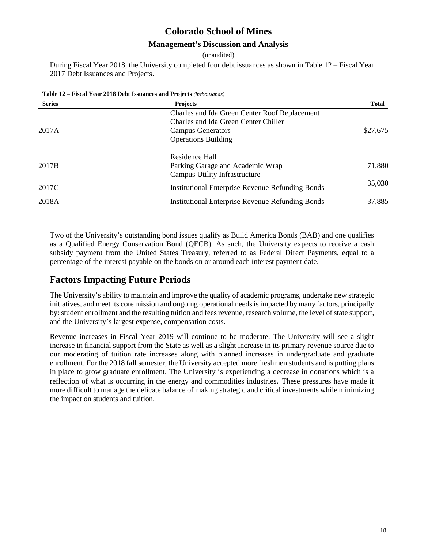### **Management's Discussion and Analysis**

(unaudited)

During Fiscal Year 2018, the University completed four debt issuances as shown in Table 12 – Fiscal Year 2017 Debt Issuances and Projects.

**Table 12 – Fiscal Year 2018 Debt Issuances and Projects** *(inthousands)*

| <b>Series</b>     | <b>Projects</b>                                         | <b>Total</b> |
|-------------------|---------------------------------------------------------|--------------|
|                   | Charles and Ida Green Center Roof Replacement           |              |
|                   | Charles and Ida Green Center Chiller                    |              |
| 2017A             | Campus Generators                                       | \$27,675     |
|                   | <b>Operations Building</b>                              |              |
|                   | Residence Hall                                          |              |
| 2017 <sub>B</sub> | Parking Garage and Academic Wrap                        | 71,880       |
|                   | Campus Utility Infrastructure                           |              |
| 2017C             | <b>Institutional Enterprise Revenue Refunding Bonds</b> | 35,030       |
| 2018A             | <b>Institutional Enterprise Revenue Refunding Bonds</b> | 37,885       |

Two of the University's outstanding bond issues qualify as Build America Bonds (BAB) and one qualifies as a Qualified Energy Conservation Bond (QECB). As such, the University expects to receive a cash subsidy payment from the United States Treasury, referred to as Federal Direct Payments, equal to a percentage of the interest payable on the bonds on or around each interest payment date.

### **Factors Impacting Future Periods**

The University's ability to maintain and improve the quality of academic programs, undertake new strategic initiatives, and meet its core mission and ongoing operational needs is impacted by many factors, principally by: student enrollment and the resulting tuition and fees revenue, research volume, the level of state support, and the University's largest expense, compensation costs.

Revenue increases in Fiscal Year 2019 will continue to be moderate. The University will see a slight increase in financial support from the State as well as a slight increase in its primary revenue source due to our moderating of tuition rate increases along with planned increases in undergraduate and graduate enrollment. For the 2018 fall semester, the University accepted more freshmen students and is putting plans in place to grow graduate enrollment. The University is experiencing a decrease in donations which is a reflection of what is occurring in the energy and commodities industries. These pressures have made it more difficult to manage the delicate balance of making strategic and critical investments while minimizing the impact on students and tuition.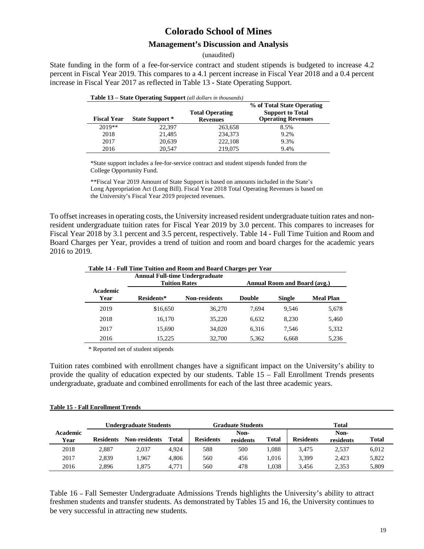### **Management's Discussion and Analysis**

#### (unaudited)

State funding in the form of a fee-for-service contract and student stipends is budgeted to increase 4.2 percent in Fiscal Year 2019. This compares to a 4.1 percent increase in Fiscal Year 2018 and a 0.4 percent increase in Fiscal Year 2017 as reflected in Table 13 **-** State Operating Support.

| <b>Fiscal Year</b> | State Support * | $\mathbf{D}\mathbf{u}\mathbf{u}\mathbf{v}$ $\mathbf{D}\mathbf{v}\mathbf{u}\mathbf{v}$ $\mathbf{D}\mathbf{u}\mathbf{v}$ and $\mathbf{u}\mathbf{v}$ are monoming<br><b>Total Operating</b><br><b>Revenues</b> | % of Total State Operating<br><b>Support to Total</b><br><b>Operating Revenues</b> |
|--------------------|-----------------|-------------------------------------------------------------------------------------------------------------------------------------------------------------------------------------------------------------|------------------------------------------------------------------------------------|
| $2019**$           | 22.397          | 263,658                                                                                                                                                                                                     | 8.5%                                                                               |
| 2018               | 21,485          | 234,373                                                                                                                                                                                                     | 9.2%                                                                               |
| 2017               | 20,639          | 222,108                                                                                                                                                                                                     | 9.3%                                                                               |
| 2016               | 20.547          | 219,075                                                                                                                                                                                                     | 9.4%                                                                               |

| Table 13 - State Operating Support (all dollars in thousands) |
|---------------------------------------------------------------|
|---------------------------------------------------------------|

\*State support includes a fee-for-service contract and student stipends funded from the College Opportunity Fund.

\*\*Fiscal Year 2019 Amount of State Support is based on amounts included in the State's Long Appropriation Act (Long Bill). Fiscal Year 2018 Total Operating Revenues is based on the University's Fiscal Year 2019 projected revenues.

To offset increases in operating costs, the University increased resident undergraduate tuition rates and nonresident undergraduate tuition rates for Fiscal Year 2019 by 3.0 percent. This compares to increases for Fiscal Year 2018 by 3.1 percent and 3.5 percent, respectively. Table 14 **-** Full Time Tuition and Room and Board Charges per Year, provides a trend of tuition and room and board charges for the academic years 2016 to 2019.

|                  | <b>Annual Full-time Undergraduate</b><br><b>Tuition Rates</b> |                      |               | <b>Annual Room and Board (avg.)</b> |                  |
|------------------|---------------------------------------------------------------|----------------------|---------------|-------------------------------------|------------------|
| Academic<br>Year | Residents*                                                    | <b>Non-residents</b> | <b>Double</b> | <b>Single</b>                       | <b>Meal Plan</b> |
| 2019             | \$16,650                                                      | 36,270               | 7.694         | 9.546                               | 5,678            |
| 2018             | 16.170                                                        | 35,220               | 6.632         | 8.230                               | 5,460            |
| 2017             | 15.690                                                        | 34,020               | 6.316         | 7.546                               | 5,332            |
| 2016             | 15.225                                                        | 32.700               | 5.362         | 6.668                               | 5.236            |

**Table 14 - Full Time Tuition and Room and Board Charges per Year** 

\* Reported net of student stipends

Tuition rates combined with enrollment changes have a significant impact on the University's ability to provide the quality of education expected by our students. Table 15 – Fall Enrollment Trends presents undergraduate, graduate and combined enrollments for each of the last three academic years.

|                  | Undergraduate Students |                      | Graduate Students |                  |                   | Total        |                  |                   |       |
|------------------|------------------------|----------------------|-------------------|------------------|-------------------|--------------|------------------|-------------------|-------|
| Academic<br>Year | <b>Residents</b>       | <b>Non-residents</b> | <b>Total</b>      | <b>Residents</b> | Non-<br>residents | <b>Total</b> | <b>Residents</b> | Non-<br>residents | Total |
| 2018             | 2.887                  | 2.037                | 4.924             | 588              | 500               | .088         | 3,475            | 2,537             | 6,012 |
| 2017             | 2,839                  | .967                 | 4.806             | 560              | 456               | .016         | 3,399            | 2,423             | 5,822 |
| 2016             | 2.896                  | .875                 | 4.771             | 560              | 478               | .038         | 3.456            | 2.353             | 5,809 |

Table 16 **–** Fall Semester Undergraduate Admissions Trends highlights the University's ability to attract freshmen students and transfer students. As demonstrated by Tables 15 and 16, the University continues to be very successful in attracting new students.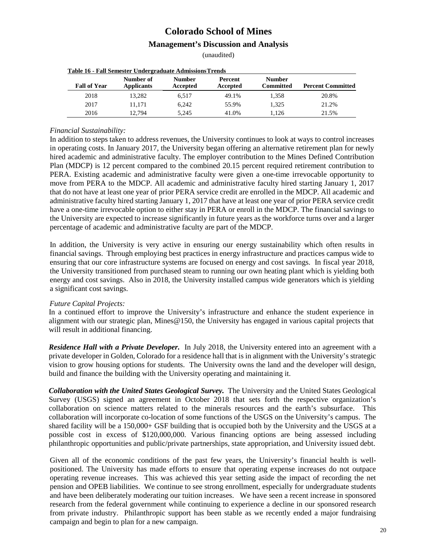(unaudited)

| <b>Table 16 - Fall Semester Undergraduate Admissions Trends</b> |                                |                           |                     |                            |                          |  |  |  |
|-----------------------------------------------------------------|--------------------------------|---------------------------|---------------------|----------------------------|--------------------------|--|--|--|
| <b>Fall of Year</b>                                             | Number of<br><b>Applicants</b> | <b>Number</b><br>Accepted | Percent<br>Accepted | <b>Number</b><br>Committed | <b>Percent Committed</b> |  |  |  |
| 2018                                                            | 13.282                         | 6.517                     | 49.1%               | 1.358                      | 20.8%                    |  |  |  |
| 2017                                                            | 11.171                         | 6.242                     | 55.9%               | 1.325                      | 21.2%                    |  |  |  |
| 2016                                                            | 12.794                         | 5.245                     | 41.0%               | 1.126                      | 21.5%                    |  |  |  |

#### *Financial Sustainability:*

In addition to steps taken to address revenues, the University continues to look at ways to control increases in operating costs. In January 2017, the University began offering an alternative retirement plan for newly hired academic and administrative faculty. The employer contribution to the Mines Defined Contribution Plan (MDCP) is 12 percent compared to the combined 20.15 percent required retirement contribution to PERA. Existing academic and administrative faculty were given a one-time irrevocable opportunity to move from PERA to the MDCP. All academic and administrative faculty hired starting January 1, 2017 that do not have at least one year of prior PERA service credit are enrolled in the MDCP. All academic and administrative faculty hired starting January 1, 2017 that have at least one year of prior PERA service credit have a one-time irrevocable option to either stay in PERA or enroll in the MDCP. The financial savings to the University are expected to increase significantly in future years as the workforce turns over and a larger percentage of academic and administrative faculty are part of the MDCP.

In addition, the University is very active in ensuring our energy sustainability which often results in financial savings. Through employing best practices in energy infrastructure and practices campus wide to ensuring that our core infrastructure systems are focused on energy and cost savings. In fiscal year 2018, the University transitioned from purchased steam to running our own heating plant which is yielding both energy and cost savings. Also in 2018, the University installed campus wide generators which is yielding a significant cost savings.

#### *Future Capital Projects:*

In a continued effort to improve the University's infrastructure and enhance the student experience in alignment with our strategic plan, Mines@150, the University has engaged in various capital projects that will result in additional financing.

*Residence Hall with a Private Developer.* In July 2018, the University entered into an agreement with a private developer in Golden, Colorado for a residence hall that is in alignment with the University's strategic vision to grow housing options for students. The University owns the land and the developer will design, build and finance the building with the University operating and maintaining it.

**Collaboration with the United States Geological Survey.** The University and the United States Geological Survey (USGS) signed an agreement in October 2018 that sets forth the respective organization's collaboration on science matters related to the minerals resources and the earth's subsurface. This collaboration will incorporate co-location of some functions of the USGS on the University's campus. The shared facility will be a 150,000+ GSF building that is occupied both by the University and the USGS at a possible cost in excess of \$120,000,000. Various financing options are being assessed including philanthropic opportunities and public/private partnerships, state appropriation, and University issued debt.

Given all of the economic conditions of the past few years, the University's financial health is wellpositioned. The University has made efforts to ensure that operating expense increases do not outpace operating revenue increases. This was achieved this year setting aside the impact of recording the net pension and OPEB liabilities. We continue to see strong enrollment, especially for undergraduate students and have been deliberately moderating our tuition increases. We have seen a recent increase in sponsored research from the federal government while continuing to experience a decline in our sponsored research from private industry. Philanthropic support has been stable as we recently ended a major fundraising campaign and begin to plan for a new campaign.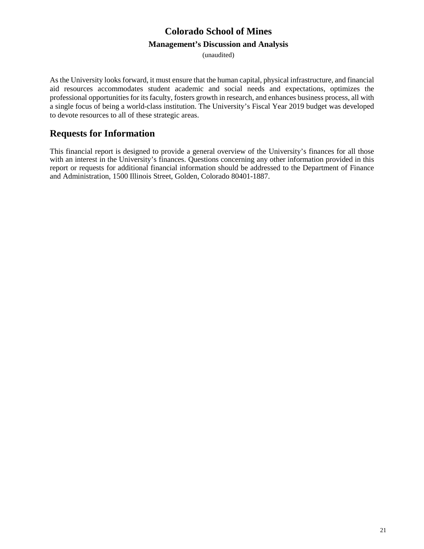(unaudited)

As the University looks forward, it must ensure that the human capital, physical infrastructure, and financial aid resources accommodates student academic and social needs and expectations, optimizes the professional opportunities for its faculty, fosters growth in research, and enhances business process, all with a single focus of being a world-class institution. The University's Fiscal Year 2019 budget was developed to devote resources to all of these strategic areas.

### **Requests for Information**

This financial report is designed to provide a general overview of the University's finances for all those with an interest in the University's finances. Questions concerning any other information provided in this report or requests for additional financial information should be addressed to the Department of Finance and Administration, 1500 Illinois Street, Golden, Colorado 80401-1887.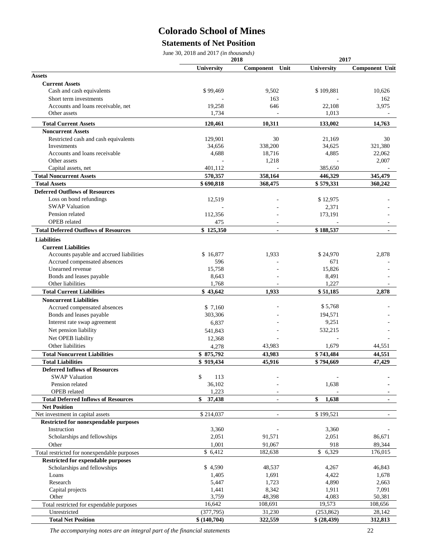### **Statements of Net Position**

June 30, 2018 and 2017 *(in thousands)*

|                                              | 2018         |                   |             | 2017                  |  |
|----------------------------------------------|--------------|-------------------|-------------|-----------------------|--|
|                                              | University   | Unit<br>Component | University  | <b>Component Unit</b> |  |
| <b>Assets</b>                                |              |                   |             |                       |  |
| <b>Current Assets</b>                        |              |                   |             |                       |  |
| Cash and cash equivalents                    | \$99,469     | 9,502             | \$109,881   | 10,626                |  |
| Short term investments                       |              | 163               |             | 162                   |  |
| Accounts and loans receivable, net           | 19,258       | 646               | 22,108      | 3,975                 |  |
| Other assets                                 | 1,734        |                   | 1,013       |                       |  |
| <b>Total Current Assets</b>                  | 120,461      | 10,311            | 133,002     | 14,763                |  |
| <b>Noncurrent Assets</b>                     |              |                   |             |                       |  |
| Restricted cash and cash equivalents         | 129,901      | 30                | 21,169      | 30                    |  |
| Investments                                  | 34,656       | 338,200           | 34,625      | 321,380               |  |
| Accounts and loans receivable                | 4,688        | 18,716            | 4,885       | 22,062                |  |
| Other assets                                 |              | 1,218             |             | 2,007                 |  |
| Capital assets, net                          | 401,112      |                   | 385,650     |                       |  |
| <b>Total Noncurrent Assets</b>               | 570,357      | 358,164           | 446,329     | 345,479               |  |
| <b>Total Assets</b>                          | \$690,818    | 368,475           | \$579,331   | 360,242               |  |
| <b>Deferred Outflows of Resources</b>        |              |                   |             |                       |  |
| Loss on bond refundings                      | 12,519       |                   | \$12,975    |                       |  |
| <b>SWAP Valuation</b>                        |              |                   | 2,371       |                       |  |
| Pension related                              | 112,356      |                   | 173,191     |                       |  |
| <b>OPEB</b> related                          | 475          | $\overline{a}$    |             |                       |  |
| <b>Total Deferred Outflows of Resources</b>  | \$125,350    | $\blacksquare$    | \$188,537   | $\blacksquare$        |  |
| <b>Liabilities</b>                           |              |                   |             |                       |  |
| <b>Current Liabilities</b>                   |              |                   |             |                       |  |
| Accounts payable and accrued liabilities     | \$16,877     | 1,933             | \$24,970    | 2,878                 |  |
| Accrued compensated absences                 | 596          |                   | 671         |                       |  |
| Unearned revenue                             | 15,758       |                   | 15,826      |                       |  |
| Bonds and leases payable                     | 8,643        |                   | 8,491       |                       |  |
| Other liabilities                            | 1,768        |                   | 1,227       |                       |  |
| <b>Total Current Liabilities</b>             | \$43,642     | 1,933             | \$51,185    | 2,878                 |  |
| <b>Noncurrent Liabilities</b>                |              |                   |             |                       |  |
| Accrued compensated absences                 | \$7,160      |                   | \$5,768     |                       |  |
| Bonds and leases payable                     | 303,306      |                   | 194,571     |                       |  |
| Interest rate swap agreement                 | 6,837        |                   | 9,251       |                       |  |
| Net pension liability                        | 541,843      |                   | 532,215     |                       |  |
| Net OPEB liability                           | 12,368       |                   |             |                       |  |
| Other liabilities                            | 4,278        | 43,983            | 1,679       | 44,551                |  |
| <b>Total Noncurrent Liabilities</b>          | \$875,792    | 43,983            | \$743,484   | 44,551                |  |
| <b>Total Liabilities</b>                     | \$919,434    | 45,916            | \$794,669   | 47,429                |  |
| <b>Deferred Inflows of Resources</b>         |              |                   |             |                       |  |
| <b>SWAP Valuation</b>                        | \$<br>113    |                   |             |                       |  |
| Pension related                              | 36,102       |                   | 1,638       |                       |  |
| <b>OPEB</b> related                          | 1,223        |                   |             |                       |  |
| <b>Total Deferred Inflows of Resources</b>   | \$<br>37,438 |                   | \$<br>1,638 | ٠                     |  |
| <b>Net Position</b>                          |              |                   |             |                       |  |
| Net investment in capital assets             | \$214,037    |                   | \$199,521   |                       |  |
| <b>Restricted for nonexpendable purposes</b> |              |                   |             |                       |  |
| Instruction                                  | 3,360        |                   | 3,360       |                       |  |
| Scholarships and fellowships                 | 2,051        | 91,571            | 2,051       | 86,671                |  |
| Other                                        | 1,001        | 91,067            | 918         | 89,344                |  |
| Total restricted for nonexpendable purposes  | \$ 6,412     | 182,638           | \$6,329     | 176,015               |  |
| <b>Restricted for expendable purposes</b>    |              |                   |             |                       |  |
| Scholarships and fellowships                 | \$4,590      | 48,537            | 4,267       | 46,843                |  |
| Loans                                        | 1,405        | 1,691             | 4,422       | 1,678                 |  |
| Research                                     | 5,447        | 1,723             | 4,890       | 2,663                 |  |
| Capital projects                             | 1,441        | 8,342             | 1,911       | 7,091                 |  |
| Other                                        | 3,759        | 48,398            | 4,083       | 50,381                |  |
| Total restricted for expendable purposes     | 16,642       | 108,691           | 19,573      | 108,656               |  |
| Unrestricted                                 | (377, 795)   | 31,230            | (253, 862)  | 28,142                |  |
| <b>Total Net Position</b>                    | \$(140,704)  | 322,559           | \$ (28,439) | 312,813               |  |

*The accompanying notes are an integral part of the financial statements* 22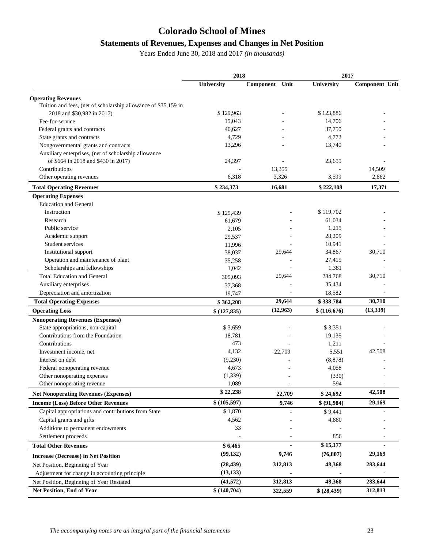### **Statements of Revenues, Expenses and Changes in Net Position**

Years Ended June 30, 2018 and 2017 *(in thousands)*

|                                                                | 2018        |                   | 2017        |                |  |
|----------------------------------------------------------------|-------------|-------------------|-------------|----------------|--|
|                                                                | University  | Unit<br>Component | University  | Component Unit |  |
| <b>Operating Revenues</b>                                      |             |                   |             |                |  |
| Tuition and fees, (net of scholarship allowance of \$35,159 in |             |                   |             |                |  |
| 2018 and \$30,982 in 2017)                                     | \$129,963   |                   | \$123,886   |                |  |
| Fee-for-service                                                | 15,043      |                   | 14,706      |                |  |
| Federal grants and contracts                                   | 40,627      |                   | 37,750      |                |  |
| State grants and contracts                                     | 4,729       |                   | 4,772       |                |  |
| Nongovernmental grants and contracts                           | 13,296      |                   | 13,740      |                |  |
| Auxiliary enterprises, (net of scholarship allowance           |             |                   |             |                |  |
| of \$664 in 2018 and \$430 in 2017)                            | 24,397      |                   | 23,655      |                |  |
| Contributions                                                  |             | 13,355            |             | 14,509         |  |
| Other operating revenues                                       | 6,318       | 3,326             | 3,599       | 2,862          |  |
| <b>Total Operating Revenues</b>                                | \$234,373   | 16,681            | \$222,108   | 17,371         |  |
| <b>Operating Expenses</b>                                      |             |                   |             |                |  |
| <b>Education and General</b>                                   |             |                   |             |                |  |
| Instruction                                                    | \$125,439   |                   | \$119,702   |                |  |
| Research                                                       | 61,679      |                   | 61,034      |                |  |
| Public service                                                 | 2,105       |                   | 1,215       |                |  |
| Academic support                                               | 29,537      |                   | 28,209      |                |  |
| Student services                                               | 11,996      |                   | 10,941      |                |  |
| Institutional support                                          | 38,037      | 29,644            | 34,867      | 30,710         |  |
| Operation and maintenance of plant                             | 35,258      |                   | 27,419      |                |  |
| Scholarships and fellowships                                   | 1,042       |                   | 1,381       |                |  |
| <b>Total Education and General</b>                             | 305,093     | 29,644            | 284,768     | 30,710         |  |
| Auxiliary enterprises                                          | 37,368      |                   | 35,434      |                |  |
| Depreciation and amortization                                  | 19,747      |                   | 18,582      |                |  |
| <b>Total Operating Expenses</b>                                | \$362,208   | 29,644            | \$338,784   | 30,710         |  |
| <b>Operating Loss</b>                                          | \$(127,835) | (12, 963)         | \$(116,676) | (13, 339)      |  |
| <b>Nonoperating Revenues (Expenses)</b>                        |             |                   |             |                |  |
| State appropriations, non-capital                              | \$3,659     |                   | \$3,351     |                |  |
| Contributions from the Foundation                              | 18,781      |                   | 19,135      |                |  |
| Contributions                                                  | 473         |                   | 1,211       |                |  |
| Investment income, net                                         | 4,132       | 22,709            | 5,551       | 42,508         |  |
| Interest on debt                                               | (9,230)     |                   | (8, 878)    |                |  |
| Federal nonoperating revenue                                   | 4,673       |                   | 4,058       |                |  |
| Other nonoperating expenses                                    | (1, 339)    |                   | (330)       |                |  |
| Other nonoperating revenue                                     | 1,089       |                   | 594         |                |  |
| <b>Net Nonoperating Revenues (Expenses)</b>                    | \$22,238    | 22,709            | \$24,692    | 42,508         |  |
| <b>Income (Loss) Before Other Revenues</b>                     | \$(105,597) | 9,746             | \$ (91,984) | 29,169         |  |
| Capital appropriations and contributions from State            | \$1,870     |                   | \$9,441     |                |  |
| Capital grants and gifts                                       | 4,562       |                   | 4,880       |                |  |
| Additions to permanent endowments                              | 33          |                   |             |                |  |
| Settlement proceeds                                            |             |                   | 856         |                |  |
| <b>Total Other Revenues</b>                                    | \$6,465     |                   | \$15,177    |                |  |
| <b>Increase (Decrease) in Net Position</b>                     | (99, 132)   | 9,746             | (76, 807)   | 29,169         |  |
| Net Position, Beginning of Year                                | (28, 439)   | 312,813           | 48,368      | 283,644        |  |
| Adjustment for change in accounting principle                  | (13, 133)   |                   |             |                |  |
| Net Position, Beginning of Year Restated                       | (41, 572)   | 312,813           | 48,368      | 283,644        |  |
|                                                                |             |                   |             |                |  |
| Net Position, End of Year                                      | \$(140,704) | 322,559           | \$ (28,439) | 312,813        |  |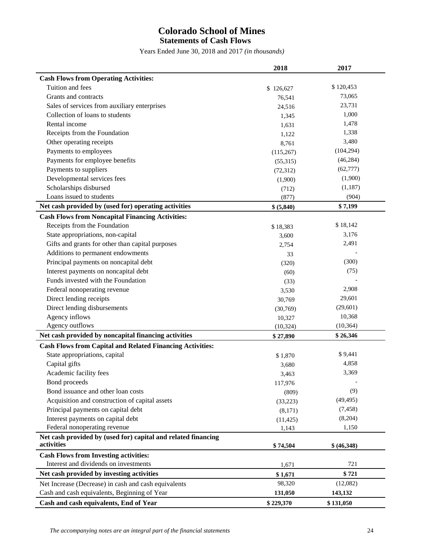### **Colorado School of Mines Statements of Cash Flows**

Years Ended June 30, 2018 and 2017 *(in thousands)*

|                                                                             | 2018       | 2017               |
|-----------------------------------------------------------------------------|------------|--------------------|
| <b>Cash Flows from Operating Activities:</b>                                |            |                    |
| Tuition and fees                                                            | \$126,627  | \$120,453          |
| Grants and contracts                                                        | 76,541     | 73,065             |
| Sales of services from auxiliary enterprises                                | 24,516     | 23,731             |
| Collection of loans to students                                             | 1,345      | 1,000              |
| Rental income                                                               | 1,631      | 1,478              |
| Receipts from the Foundation                                                | 1,122      | 1,338              |
| Other operating receipts                                                    | 8,761      | 3,480              |
| Payments to employees                                                       | (115, 267) | (104, 294)         |
| Payments for employee benefits                                              | (55,315)   | (46, 284)          |
| Payments to suppliers                                                       | (72, 312)  | (62, 777)          |
| Developmental services fees                                                 | (1,900)    | (1,900)            |
| Scholarships disbursed                                                      | (712)      | (1,187)            |
| Loans issued to students                                                    | (877)      | (904)              |
| Net cash provided by (used for) operating activities                        | \$ (5,840) | \$7,199            |
| <b>Cash Flows from Noncapital Financing Activities:</b>                     |            |                    |
| Receipts from the Foundation                                                |            | \$18,142           |
| State appropriations, non-capital                                           | \$18,383   | 3,176              |
| Gifts and grants for other than capital purposes                            | 3,600      | 2,491              |
| Additions to permanent endowments                                           | 2,754      |                    |
| Principal payments on noncapital debt                                       | 33         | (300)              |
| Interest payments on noncapital debt                                        | (320)      | (75)               |
| Funds invested with the Foundation                                          | (60)       |                    |
|                                                                             | (33)       | 2,908              |
| Federal nonoperating revenue                                                | 3,530      | 29,601             |
| Direct lending receipts                                                     | 30,769     |                    |
| Direct lending disbursements                                                | (30,769)   | (29,601)<br>10,368 |
| Agency inflows<br>Agency outflows                                           | 10,327     |                    |
|                                                                             | (10, 324)  | (10, 364)          |
| Net cash provided by noncapital financing activities                        | \$27,890   | \$26,346           |
| <b>Cash Flows from Capital and Related Financing Activities:</b>            |            |                    |
| State appropriations, capital                                               | \$1,870    | \$9,441            |
| Capital gifts                                                               | 3,680      | 4,858              |
| Academic facility fees                                                      | 3,463      | 3,369              |
| Bond proceeds                                                               | 117,976    |                    |
| Bond issuance and other loan costs                                          | (809)      | (9)                |
| Acquisition and construction of capital assets                              | (33,223)   | (49, 495)          |
| Principal payments on capital debt                                          | (8,171)    | (7, 458)           |
| Interest payments on capital debt                                           | (11, 425)  | (8,204)            |
| Federal nonoperating revenue                                                | 1,143      | 1,150              |
| Net cash provided by (used for) capital and related financing<br>activities | \$74,504   | \$ (46,348)        |
| <b>Cash Flows from Investing activities:</b>                                |            |                    |
| Interest and dividends on investments                                       | 1,671      | 721                |
| Net cash provided by investing activities                                   | \$1,671    | \$721              |
| Net Increase (Decrease) in cash and cash equivalents                        | 98,320     | (12,082)           |
| Cash and cash equivalents, Beginning of Year                                | 131,050    | 143,132            |
| Cash and cash equivalents, End of Year                                      | \$229,370  | \$131,050          |
|                                                                             |            |                    |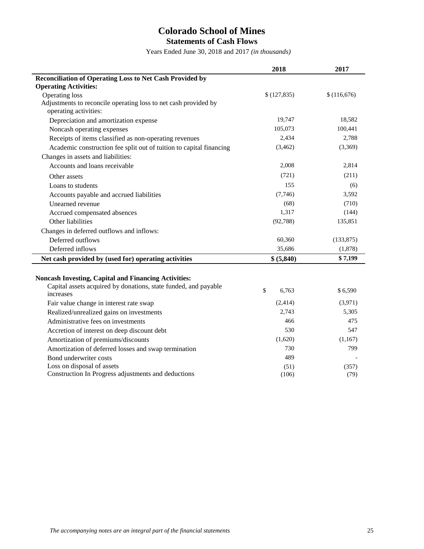### **Colorado School of Mines Statements of Cash Flows**

Years Ended June 30, 2018 and 2017 *(in thousands)*

|                                                                                   | 2018        | 2017        |
|-----------------------------------------------------------------------------------|-------------|-------------|
| Reconciliation of Operating Loss to Net Cash Provided by                          |             |             |
| <b>Operating Activities:</b>                                                      |             |             |
| Operating loss                                                                    | \$(127,835) | \$(116,676) |
| Adjustments to reconcile operating loss to net cash provided by                   |             |             |
| operating activities:                                                             |             |             |
| Depreciation and amortization expense                                             | 19,747      | 18,582      |
| Noncash operating expenses                                                        | 105,073     | 100,441     |
| Receipts of items classified as non-operating revenues                            | 2,434       | 2,788       |
| Academic construction fee split out of tuition to capital financing               | (3,462)     | (3,369)     |
| Changes in assets and liabilities:                                                |             |             |
| Accounts and loans receivable                                                     | 2,008       | 2,814       |
| Other assets                                                                      | (721)       | (211)       |
| Loans to students                                                                 | 155         | (6)         |
| Accounts payable and accrued liabilities                                          | (7,746)     | 3,592       |
| Unearned revenue                                                                  | (68)        | (710)       |
| Accrued compensated absences                                                      | 1,317       | (144)       |
| Other liabilities                                                                 | (92, 788)   | 135,851     |
| Changes in deferred outflows and inflows:                                         |             |             |
| Deferred outflows                                                                 | 60,360      | (133, 875)  |
| Deferred inflows                                                                  | 35,686      | (1,878)     |
| Net cash provided by (used for) operating activities                              | \$ (5,840)  | \$7,199     |
|                                                                                   |             |             |
| <b>Noncash Investing, Capital and Financing Activities:</b>                       |             |             |
| Capital assets acquired by donations, state funded, and payable                   |             |             |
|                                                                                   |             |             |
| increases                                                                         | \$<br>6,763 | \$6,590     |
| Fair value change in interest rate swap                                           | (2, 414)    | (3,971)     |
| Realized/unrealized gains on investments                                          | 2,743       | 5,305       |
| Administrative fees on investments                                                | 466         | 475         |
| Accretion of interest on deep discount debt                                       | 530         | 547         |
| Amortization of premiums/discounts                                                | (1,620)     | (1,167)     |
| Amortization of deferred losses and swap termination                              | 730         | 799         |
| Bond underwriter costs                                                            | 489         |             |
| Loss on disposal of assets<br>Construction In Progress adjustments and deductions | (51)        | (357)       |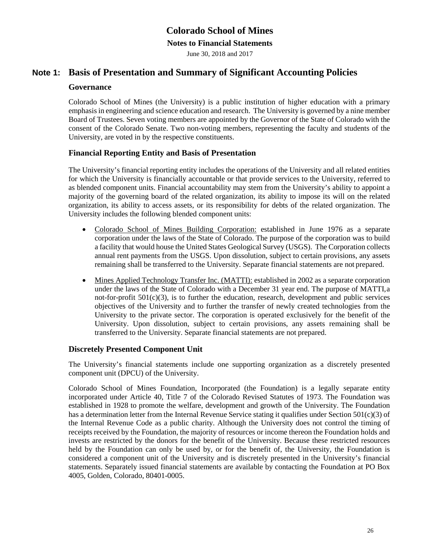#### **Notes to Financial Statements**

June 30, 2018 and 2017

### **Note 1: Basis of Presentation and Summary of Significant Accounting Policies**

#### **Governance**

Colorado School of Mines (the University) is a public institution of higher education with a primary emphasisin engineering and science education and research. The University is governed by a nine member Board of Trustees. Seven voting members are appointed by the Governor of the State of Colorado with the consent of the Colorado Senate. Two non-voting members, representing the faculty and students of the University, are voted in by the respective constituents.

### **Financial Reporting Entity and Basis of Presentation**

The University's financial reporting entity includes the operations of the University and all related entities for which the University is financially accountable or that provide services to the University, referred to as blended component units. Financial accountability may stem from the University's ability to appoint a majority of the governing board of the related organization, its ability to impose its will on the related organization, its ability to access assets, or its responsibility for debts of the related organization. The University includes the following blended component units:

- Colorado School of Mines Building Corporation: established in June 1976 as a separate corporation under the laws of the State of Colorado. The purpose of the corporation was to build a facility that would house the United States Geological Survey (USGS). The Corporation collects annual rent payments from the USGS. Upon dissolution, subject to certain provisions, any assets remaining shall be transferred to the University. Separate financial statements are not prepared.
- Mines Applied Technology Transfer Inc. (MATTI): established in 2002 as a separate corporation under the laws of the State of Colorado with a December 31 year end. The purpose of MATTI,a not-for-profit  $501(c)(3)$ , is to further the education, research, development and public services objectives of the University and to further the transfer of newly created technologies from the University to the private sector. The corporation is operated exclusively for the benefit of the University. Upon dissolution, subject to certain provisions, any assets remaining shall be transferred to the University. Separate financial statements are not prepared.

### **Discretely Presented Component Unit**

The University's financial statements include one supporting organization as a discretely presented component unit (DPCU) of the University.

Colorado School of Mines Foundation, Incorporated (the Foundation) is a legally separate entity incorporated under Article 40, Title 7 of the Colorado Revised Statutes of 1973. The Foundation was established in 1928 to promote the welfare, development and growth of the University. The Foundation has a determination letter from the Internal Revenue Service stating it qualifies under Section 501(c)(3) of the Internal Revenue Code as a public charity. Although the University does not control the timing of receipts received by the Foundation, the majority of resources or income thereon the Foundation holds and invests are restricted by the donors for the benefit of the University. Because these restricted resources held by the Foundation can only be used by, or for the benefit of, the University, the Foundation is considered a component unit of the University and is discretely presented in the University's financial statements. Separately issued financial statements are available by contacting the Foundation at PO Box 4005, Golden, Colorado, 80401-0005.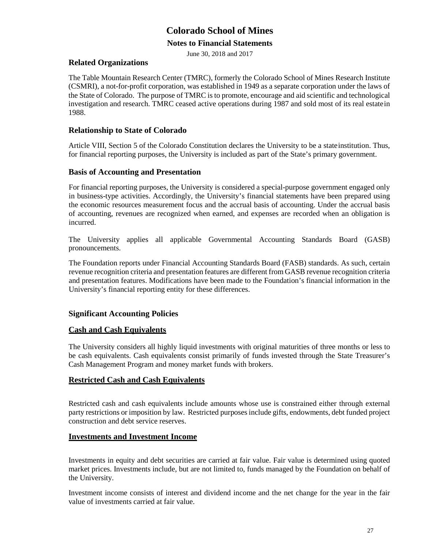#### **Notes to Financial Statements**

June 30, 2018 and 2017

#### **Related Organizations**

The Table Mountain Research Center (TMRC), formerly the Colorado School of Mines Research Institute (CSMRI), a not-for-profit corporation, was established in 1949 as a separate corporation under the laws of the State of Colorado. The purpose of TMRC is to promote, encourage and aid scientific and technological investigation and research. TMRC ceased active operations during 1987 and sold most of its real estatein 1988.

### **Relationship to State of Colorado**

Article VIII, Section 5 of the Colorado Constitution declares the University to be a stateinstitution. Thus, for financial reporting purposes, the University is included as part of the State's primary government.

#### **Basis of Accounting and Presentation**

For financial reporting purposes, the University is considered a special-purpose government engaged only in business-type activities. Accordingly, the University's financial statements have been prepared using the economic resources measurement focus and the accrual basis of accounting. Under the accrual basis of accounting, revenues are recognized when earned, and expenses are recorded when an obligation is incurred.

The University applies all applicable Governmental Accounting Standards Board (GASB) pronouncements.

The Foundation reports under Financial Accounting Standards Board (FASB) standards. As such, certain revenue recognition criteria and presentation features are different from GASB revenue recognition criteria and presentation features. Modifications have been made to the Foundation's financial information in the University's financial reporting entity for these differences.

### **Significant Accounting Policies**

### **Cash and Cash Equivalents**

The University considers all highly liquid investments with original maturities of three months or less to be cash equivalents. Cash equivalents consist primarily of funds invested through the State Treasurer's Cash Management Program and money market funds with brokers.

### **Restricted Cash and Cash Equivalents**

Restricted cash and cash equivalents include amounts whose use is constrained either through external party restrictions or imposition by law. Restricted purposesinclude gifts, endowments, debt funded project construction and debt service reserves.

#### **Investments and Investment Income**

Investments in equity and debt securities are carried at fair value. Fair value is determined using quoted market prices. Investments include, but are not limited to, funds managed by the Foundation on behalf of the University.

Investment income consists of interest and dividend income and the net change for the year in the fair value of investments carried at fair value.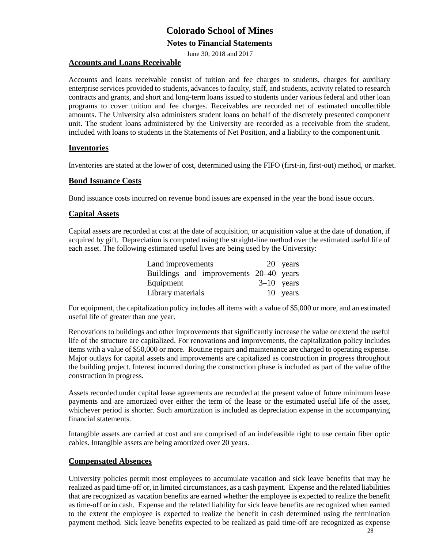#### **Notes to Financial Statements**

June 30, 2018 and 2017

#### **Accounts and Loans Receivable**

Accounts and loans receivable consist of tuition and fee charges to students, charges for auxiliary enterprise services provided to students, advances to faculty, staff, and students, activity related to research contracts and grants, and short and long-term loans issued to students under various federal and other loan programs to cover tuition and fee charges. Receivables are recorded net of estimated uncollectible amounts. The University also administers student loans on behalf of the discretely presented component unit. The student loans administered by the University are recorded as a receivable from the student, included with loans to students in the Statements of Net Position, and a liability to the component unit.

#### **Inventories**

Inventories are stated at the lower of cost, determined using the FIFO (first-in, first-out) method, or market.

### **Bond Issuance Costs**

Bond issuance costs incurred on revenue bond issues are expensed in the year the bond issue occurs.

#### **Capital Assets**

Capital assets are recorded at cost at the date of acquisition, or acquisition value at the date of donation, if acquired by gift. Depreciation is computed using the straight-line method over the estimated useful life of each asset. The following estimated useful lives are being used by the University:

| Land improvements                      |              | 20 years |
|----------------------------------------|--------------|----------|
| Buildings and improvements 20–40 years |              |          |
| Equipment                              | $3-10$ years |          |
| Library materials                      |              | 10 years |

For equipment, the capitalization policy includes all items with a value of \$5,000 or more, and an estimated useful life of greater than one year.

Renovations to buildings and other improvements that significantly increase the value or extend the useful life of the structure are capitalized. For renovations and improvements, the capitalization policy includes items with a value of \$50,000 or more. Routine repairs and maintenance are charged to operating expense. Major outlays for capital assets and improvements are capitalized as construction in progress throughout the building project. Interest incurred during the construction phase is included as part of the value ofthe construction in progress.

Assets recorded under capital lease agreements are recorded at the present value of future minimum lease payments and are amortized over either the term of the lease or the estimated useful life of the asset, whichever period is shorter. Such amortization is included as depreciation expense in the accompanying financial statements.

Intangible assets are carried at cost and are comprised of an indefeasible right to use certain fiber optic cables. Intangible assets are being amortized over 20 years.

### **Compensated Absences**

University policies permit most employees to accumulate vacation and sick leave benefits that may be realized as paid time-off or, in limited circumstances, as a cash payment. Expense and the related liabilities that are recognized as vacation benefits are earned whether the employee is expected to realize the benefit as time-off or in cash. Expense and the related liability for sick leave benefits are recognized when earned to the extent the employee is expected to realize the benefit in cash determined using the termination payment method. Sick leave benefits expected to be realized as paid time-off are recognized as expense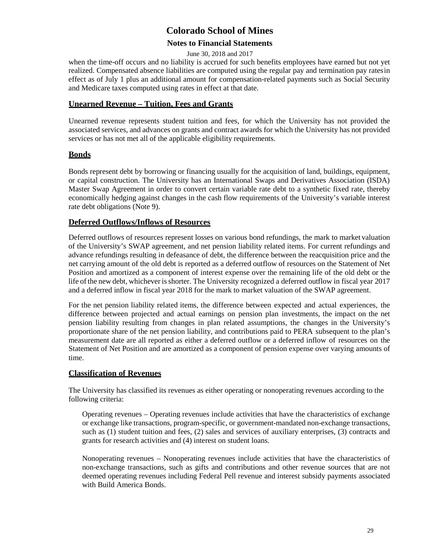### **Notes to Financial Statements**

#### June 30, 2018 and 2017

when the time-off occurs and no liability is accrued for such benefits employees have earned but not yet realized. Compensated absence liabilities are computed using the regular pay and termination pay ratesin effect as of July 1 plus an additional amount for compensation-related payments such as Social Security and Medicare taxes computed using rates in effect at that date.

### **Unearned Revenue – Tuition, Fees and Grants**

Unearned revenue represents student tuition and fees, for which the University has not provided the associated services, and advances on grants and contract awards for which the University has not provided services or has not met all of the applicable eligibility requirements.

### **Bonds**

Bonds represent debt by borrowing or financing usually for the acquisition of land, buildings, equipment, or capital construction. The University has an International Swaps and Derivatives Association (ISDA) Master Swap Agreement in order to convert certain variable rate debt to a synthetic fixed rate, thereby economically hedging against changes in the cash flow requirements of the University's variable interest rate debt obligations (Note 9).

### **Deferred Outflows/Inflows of Resources**

Deferred outflows of resources represent losses on various bond refundings, the mark to market valuation of the University's SWAP agreement, and net pension liability related items. For current refundings and advance refundings resulting in defeasance of debt, the difference between the reacquisition price and the net carrying amount of the old debt is reported as a deferred outflow of resources on the Statement of Net Position and amortized as a component of interest expense over the remaining life of the old debt or the life of the new debt, whichever isshorter. The University recognized a deferred outflow in fiscal year 2017 and a deferred inflow in fiscal year 2018 for the mark to market valuation of the SWAP agreement.

For the net pension liability related items, the difference between expected and actual experiences, the difference between projected and actual earnings on pension plan investments, the impact on the net pension liability resulting from changes in plan related assumptions, the changes in the University's proportionate share of the net pension liability, and contributions paid to PERA subsequent to the plan's measurement date are all reported as either a deferred outflow or a deferred inflow of resources on the Statement of Net Position and are amortized as a component of pension expense over varying amounts of time.

### **Classification of Revenues**

The University has classified its revenues as either operating or nonoperating revenues according to the following criteria:

Operating revenues – Operating revenues include activities that have the characteristics of exchange or exchange like transactions, program-specific, or government-mandated non-exchange transactions, such as (1) student tuition and fees, (2) sales and services of auxiliary enterprises, (3) contracts and grants for research activities and (4) interest on student loans.

Nonoperating revenues – Nonoperating revenues include activities that have the characteristics of non-exchange transactions, such as gifts and contributions and other revenue sources that are not deemed operating revenues including Federal Pell revenue and interest subsidy payments associated with Build America Bonds.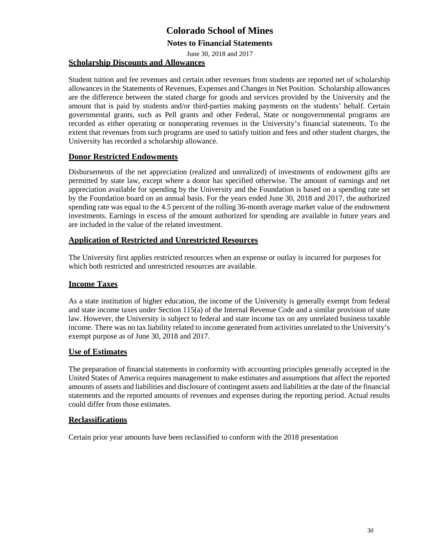### **Notes to Financial Statements**

June 30, 2018 and 2017

### **Scholarship Discounts and Allowances**

Student tuition and fee revenues and certain other revenues from students are reported net of scholarship allowances in the Statements of Revenues, Expenses and Changes in Net Position. Scholarship allowances are the difference between the stated charge for goods and services provided by the University and the amount that is paid by students and/or third-parties making payments on the students' behalf. Certain governmental grants, such as Pell grants and other Federal, State or nongovernmental programs are recorded as either operating or nonoperating revenues in the University's financial statements. To the extent that revenues from such programs are used to satisfy tuition and fees and other student charges, the University has recorded a scholarship allowance.

### **Donor Restricted Endowments**

Disbursements of the net appreciation (realized and unrealized) of investments of endowment gifts are permitted by state law, except where a donor has specified otherwise. The amount of earnings and net appreciation available for spending by the University and the Foundation is based on a spending rate set by the Foundation board on an annual basis. For the years ended June 30, 2018 and 2017, the authorized spending rate was equal to the 4.5 percent of the rolling 36-month average market value of the endowment investments. Earnings in excess of the amount authorized for spending are available in future years and are included in the value of the related investment.

### **Application of Restricted and Unrestricted Resources**

The University first applies restricted resources when an expense or outlay is incurred for purposes for which both restricted and unrestricted resources are available.

### **Income Taxes**

As a state institution of higher education, the income of the University is generally exempt from federal and state income taxes under Section 115(a) of the Internal Revenue Code and a similar provision of state law. However, the University is subject to federal and state income tax on any unrelated business taxable income. There was no tax liability related to income generated from activities unrelated to the University's exempt purpose as of June 30, 2018 and 2017.

### **Use of Estimates**

The preparation of financial statements in conformity with accounting principles generally accepted in the United States of America requires management to make estimates and assumptions that affect the reported amounts of assets and liabilities and disclosure of contingent assets and liabilities at the date of the financial statements and the reported amounts of revenues and expenses during the reporting period. Actual results could differ from those estimates.

### **Reclassifications**

Certain prior year amounts have been reclassified to conform with the 2018 presentation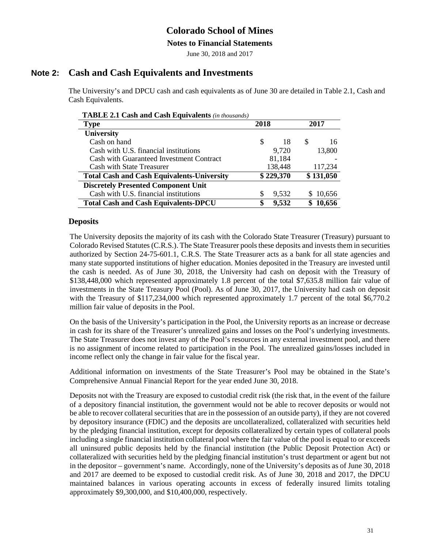#### **Notes to Financial Statements**

June 30, 2018 and 2017

### **Note 2: Cash and Cash Equivalents and Investments**

The University's and DPCU cash and cash equivalents as of June 30 are detailed in Table 2.1, Cash and Cash Equivalents.

| <b>TABLE 2.1 Cash and Cash Equivalents</b> (in thousands) |           |         |      |           |
|-----------------------------------------------------------|-----------|---------|------|-----------|
| <b>Type</b>                                               | 2018      |         | 2017 |           |
| University                                                |           |         |      |           |
| Cash on hand                                              | S         | 18      | S    | 16        |
| Cash with U.S. financial institutions                     |           | 9,720   |      | 13,800    |
| Cash with Guaranteed Investment Contract                  |           | 81,184  |      |           |
| <b>Cash with State Treasurer</b>                          |           | 138,448 |      | 117,234   |
| <b>Total Cash and Cash Equivalents-University</b>         | \$229,370 |         |      | \$131,050 |
| <b>Discretely Presented Component Unit</b>                |           |         |      |           |
| Cash with U.S. financial institutions                     | \$        | 9,532   |      | \$10,656  |
| <b>Total Cash and Cash Equivalents-DPCU</b>               | \$        | 9,532   | S.   | 10,656    |

### **Deposits**

The University deposits the majority of its cash with the Colorado State Treasurer (Treasury) pursuant to Colorado Revised Statutes (C.R.S.). The State Treasurer pools these deposits and invests them in securities authorized by Section 24-75-601.1, C.R.S. The State Treasurer acts as a bank for all state agencies and many state supported institutions of higher education. Monies deposited in the Treasury are invested until the cash is needed. As of June 30, 2018, the University had cash on deposit with the Treasury of \$138,448,000 which represented approximately 1.8 percent of the total \$7,635.8 million fair value of investments in the State Treasury Pool (Pool). As of June 30, 2017, the University had cash on deposit with the Treasury of \$117,234,000 which represented approximately 1.7 percent of the total \$6,770.2 million fair value of deposits in the Pool.

On the basis of the University's participation in the Pool, the University reports as an increase or decrease in cash for its share of the Treasurer's unrealized gains and losses on the Pool's underlying investments. The State Treasurer does not invest any of the Pool's resources in any external investment pool, and there is no assignment of income related to participation in the Pool. The unrealized gains/losses included in income reflect only the change in fair value for the fiscal year.

Additional information on investments of the State Treasurer's Pool may be obtained in the State's Comprehensive Annual Financial Report for the year ended June 30, 2018.

Deposits not with the Treasury are exposed to custodial credit risk (the risk that, in the event of the failure of a depository financial institution, the government would not be able to recover deposits or would not be able to recover collateral securities that are in the possession of an outside party), if they are not covered by depository insurance (FDIC) and the deposits are uncollateralized, collateralized with securities held by the pledging financial institution, except for deposits collateralized by certain types of collateral pools including a single financial institution collateral pool where the fair value of the pool is equal to or exceeds all uninsured public deposits held by the financial institution (the Public Deposit Protection Act) or collateralized with securities held by the pledging financial institution's trust department or agent but not in the depositor – government's name. Accordingly, none of the University's deposits as of June 30, 2018 and 2017 are deemed to be exposed to custodial credit risk. As of June 30, 2018 and 2017, the DPCU maintained balances in various operating accounts in excess of federally insured limits totaling approximately \$9,300,000, and \$10,400,000, respectively.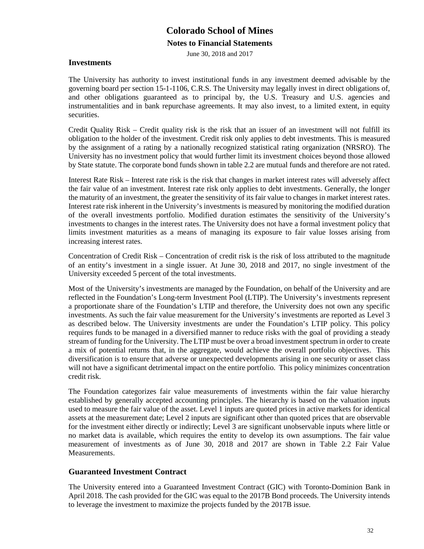**Notes to Financial Statements** 

June 30, 2018 and 2017

### **Investments**

The University has authority to invest institutional funds in any investment deemed advisable by the governing board per section 15-1-1106, C.R.S. The University may legally invest in direct obligations of, and other obligations guaranteed as to principal by, the U.S. Treasury and U.S. agencies and instrumentalities and in bank repurchase agreements. It may also invest, to a limited extent, in equity securities.

Credit Quality Risk – Credit quality risk is the risk that an issuer of an investment will not fulfill its obligation to the holder of the investment. Credit risk only applies to debt investments. This is measured by the assignment of a rating by a nationally recognized statistical rating organization (NRSRO). The University has no investment policy that would further limit its investment choices beyond those allowed by State statute. The corporate bond funds shown in table 2.2 are mutual funds and therefore are not rated.

Interest Rate Risk – Interest rate risk is the risk that changes in market interest rates will adversely affect the fair value of an investment. Interest rate risk only applies to debt investments. Generally, the longer the maturity of an investment, the greater the sensitivity of its fair value to changes in market interest rates. Interest rate risk inherent in the University's investments is measured by monitoring the modified duration of the overall investments portfolio. Modified duration estimates the sensitivity of the University's investments to changes in the interest rates. The University does not have a formal investment policy that limits investment maturities as a means of managing its exposure to fair value losses arising from increasing interest rates.

Concentration of Credit Risk – Concentration of credit risk is the risk of loss attributed to the magnitude of an entity's investment in a single issuer. At June 30, 2018 and 2017, no single investment of the University exceeded 5 percent of the total investments.

Most of the University's investments are managed by the Foundation, on behalf of the University and are reflected in the Foundation's Long-term Investment Pool (LTIP). The University's investments represent a proportionate share of the Foundation's LTIP and therefore, the University does not own any specific investments. As such the fair value measurement for the University's investments are reported as Level 3 as described below. The University investments are under the Foundation's LTIP policy. This policy requires funds to be managed in a diversified manner to reduce risks with the goal of providing a steady stream of funding for the University. The LTIP must be over a broad investment spectrum in order to create a mix of potential returns that, in the aggregate, would achieve the overall portfolio objectives. This diversification is to ensure that adverse or unexpected developments arising in one security or asset class will not have a significant detrimental impact on the entire portfolio. This policy minimizes concentration credit risk.

The Foundation categorizes fair value measurements of investments within the fair value hierarchy established by generally accepted accounting principles. The hierarchy is based on the valuation inputs used to measure the fair value of the asset. Level 1 inputs are quoted prices in active markets for identical assets at the measurement date; Level 2 inputs are significant other than quoted prices that are observable for the investment either directly or indirectly; Level 3 are significant unobservable inputs where little or no market data is available, which requires the entity to develop its own assumptions. The fair value measurement of investments as of June 30, 2018 and 2017 are shown in Table 2.2 Fair Value Measurements.

### **Guaranteed Investment Contract**

The University entered into a Guaranteed Investment Contract (GIC) with Toronto-Dominion Bank in April 2018. The cash provided for the GIC was equal to the 2017B Bond proceeds. The University intends to leverage the investment to maximize the projects funded by the 2017B issue.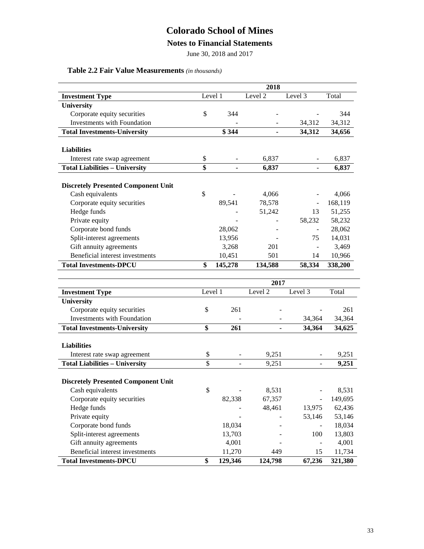### **Notes to Financial Statements**

June 30, 2018 and 2017

### **Table 2.2 Fair Value Measurements** *(in thousands)*

|                                            |         |                | 2018               |                          |         |
|--------------------------------------------|---------|----------------|--------------------|--------------------------|---------|
| <b>Investment Type</b>                     | Level 1 |                | Level <sub>2</sub> | Level 3                  | Total   |
| University                                 |         |                |                    |                          |         |
| Corporate equity securities                | \$      | 344            |                    |                          | 344     |
| Investments with Foundation                |         |                |                    | 34,312                   | 34,312  |
| <b>Total Investments-University</b>        |         | \$344          | $\blacksquare$     | 34,312                   | 34,656  |
|                                            |         |                |                    |                          |         |
| <b>Liabilities</b>                         |         |                |                    |                          |         |
| Interest rate swap agreement               | \$      |                | 6,837              |                          | 6,837   |
| <b>Total Liabilities - University</b>      | \$      |                | 6,837              | $\blacksquare$           | 6,837   |
|                                            |         |                |                    |                          |         |
| <b>Discretely Presented Component Unit</b> |         |                |                    |                          |         |
| Cash equivalents                           | \$      |                | 4,066              |                          | 4,066   |
| Corporate equity securities                |         | 89,541         | 78,578             | $\overline{\phantom{a}}$ | 168,119 |
| Hedge funds                                |         |                | 51,242             | 13                       | 51,255  |
| Private equity                             |         |                |                    | 58,232                   | 58,232  |
| Corporate bond funds                       |         | 28,062         |                    |                          | 28,062  |
| Split-interest agreements                  |         | 13,956         |                    | 75                       | 14,031  |
| Gift annuity agreements                    |         | 3,268          | 201                | $\blacksquare$           | 3,469   |
| Beneficial interest investments            |         | 10,451         | 501                | 14                       | 10,966  |
| <b>Total Investments-DPCU</b>              | \$      | 145,278        | 134,588            | 58,334                   | 338,200 |
|                                            |         |                |                    |                          |         |
|                                            |         |                | 2017               |                          |         |
| <b>Investment Type</b>                     | Level 1 |                | Level 2            | Level 3                  | Total   |
| <b>University</b>                          |         |                |                    |                          |         |
| Corporate equity securities                | \$      | 261            |                    |                          | 261     |
| Investments with Foundation                |         |                |                    | 34,364                   | 34,364  |
| <b>Total Investments-University</b>        | \$      | 261            |                    | 34,364                   | 34,625  |
|                                            |         |                |                    |                          |         |
| <b>Liabilities</b>                         |         |                |                    |                          |         |
| Interest rate swap agreement               | \$      |                | 9,251              |                          | 9,251   |
| <b>Total Liabilities - University</b>      | \$      | $\blacksquare$ | 9,251              | $\blacksquare$           | 9,251   |
|                                            |         |                |                    |                          |         |
| <b>Discretely Presented Component Unit</b> |         |                |                    |                          |         |
| Cash equivalents                           | \$      |                | 8,531              |                          | 8,531   |
| Corporate equity securities                |         | 82,338         | 67,357             | $\overline{\phantom{a}}$ | 149,695 |
| Hedge funds                                |         |                | 48,461             | 13,975                   | 62,436  |
| Private equity                             |         |                |                    | 53,146                   | 53,146  |
| Corporate bond funds                       |         | 18,034         |                    |                          | 18,034  |
| Split-interest agreements                  |         | 13,703         |                    | 100                      | 13,803  |
| Gift annuity agreements                    |         | 4,001          |                    | $\overline{\phantom{a}}$ | 4,001   |
| Beneficial interest investments            |         | 11,270         | 449                | 15                       | 11,734  |
| <b>Total Investments-DPCU</b>              | \$      | 129,346        | 124,798            | 67,236                   | 321,380 |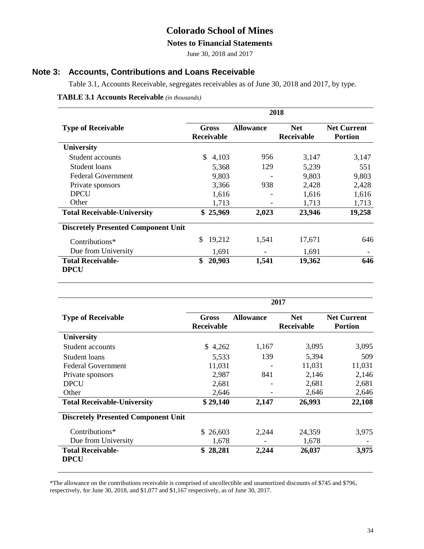### **Colorado School of Mines**

#### **Notes to Financial Statements**

June 30, 2018 and 2017

### **Note 3: Accounts, Contributions and Loans Receivable**

Table 3.1, Accounts Receivable, segregates receivables as of June 30, 2018 and 2017, by type.

#### **TABLE 3.1 Accounts Receivable** *(in thousands)*

|                                            | 2018 |                            |                  |                                 |                                      |  |  |
|--------------------------------------------|------|----------------------------|------------------|---------------------------------|--------------------------------------|--|--|
| <b>Type of Receivable</b>                  |      | Gross<br><b>Receivable</b> | <b>Allowance</b> | <b>Net</b><br><b>Receivable</b> | <b>Net Current</b><br><b>Portion</b> |  |  |
| <b>University</b>                          |      |                            |                  |                                 |                                      |  |  |
| Student accounts                           | \$.  | 4,103                      | 956              | 3,147                           | 3,147                                |  |  |
| Student loans                              |      | 5,368                      | 129              | 5,239                           | 551                                  |  |  |
| Federal Government                         |      | 9,803                      |                  | 9,803                           | 9,803                                |  |  |
| Private sponsors                           |      | 3,366                      | 938              | 2,428                           | 2,428                                |  |  |
| <b>DPCU</b>                                |      | 1,616                      |                  | 1,616                           | 1,616                                |  |  |
| Other                                      |      | 1,713                      |                  | 1,713                           | 1,713                                |  |  |
| <b>Total Receivable-University</b>         |      | \$25,969                   | 2,023            | 23,946                          | 19,258                               |  |  |
| <b>Discretely Presented Component Unit</b> |      |                            |                  |                                 |                                      |  |  |
| Contributions*                             | \$   | 19,212                     | 1,541            | 17,671                          | 646                                  |  |  |
| Due from University                        |      | 1,691                      |                  | 1,691                           |                                      |  |  |
| <b>Total Receivable-</b>                   | \$   | 20,903                     | 1,541            | 19,362                          | 646                                  |  |  |
| <b>DPCU</b>                                |      |                            |                  |                                 |                                      |  |  |

|                                            |                            | 2017             |                                 |                                      |  |  |  |  |
|--------------------------------------------|----------------------------|------------------|---------------------------------|--------------------------------------|--|--|--|--|
| <b>Type of Receivable</b>                  | Gross<br><b>Receivable</b> | <b>Allowance</b> | <b>Net</b><br><b>Receivable</b> | <b>Net Current</b><br><b>Portion</b> |  |  |  |  |
| <b>University</b>                          |                            |                  |                                 |                                      |  |  |  |  |
| Student accounts                           | \$4,262                    | 1,167            | 3,095                           | 3,095                                |  |  |  |  |
| Student loans                              | 5,533                      | 139              | 5,394                           | 509                                  |  |  |  |  |
| <b>Federal Government</b>                  | 11,031                     |                  | 11,031                          | 11,031                               |  |  |  |  |
| Private sponsors                           | 2,987                      | 841              | 2,146                           | 2,146                                |  |  |  |  |
| <b>DPCU</b>                                | 2,681                      |                  | 2,681                           | 2,681                                |  |  |  |  |
| Other                                      | 2,646                      |                  | 2,646                           | 2,646                                |  |  |  |  |
| <b>Total Receivable-University</b>         | \$29,140                   | 2,147            | 26,993                          | 22,108                               |  |  |  |  |
| <b>Discretely Presented Component Unit</b> |                            |                  |                                 |                                      |  |  |  |  |
| Contributions*                             | \$26,603                   | 2,244            | 24,359                          | 3,975                                |  |  |  |  |
| Due from University                        | 1,678                      |                  | 1,678                           |                                      |  |  |  |  |
| <b>Total Receivable-</b><br><b>DPCU</b>    | 28,281<br>S                | 2,244            | 26,037                          | 3,975                                |  |  |  |  |

\*The allowance on the contributions receivable is comprised of uncollectible and unamortized discounts of \$745 and \$796, respectively, for June 30, 2018, and \$1,077 and \$1,167 respectively, as of June 30, 2017.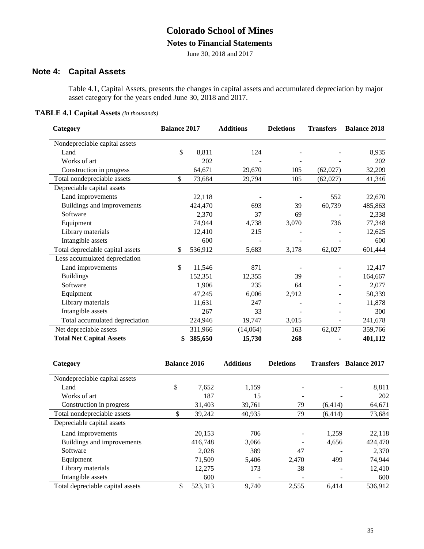# **Colorado School of Mines**

### **Notes to Financial Statements**

June 30, 2018 and 2017

### **Note 4: Capital Assets**

Table 4.1, Capital Assets, presents the changes in capital assets and accumulated depreciation by major asset category for the years ended June 30, 2018 and 2017.

| <b>TABLE 4.1 Capital Assets</b> (in thousands) |  |
|------------------------------------------------|--|
|------------------------------------------------|--|

| Category                         | <b>Balance 2017</b> |         | <b>Additions</b> | <b>Deletions</b> | <b>Transfers</b> | <b>Balance 2018</b> |
|----------------------------------|---------------------|---------|------------------|------------------|------------------|---------------------|
| Nondepreciable capital assets    |                     |         |                  |                  |                  |                     |
| Land                             | \$                  | 8,811   | 124              |                  |                  | 8,935               |
| Works of art                     |                     | 202     |                  |                  |                  | 202                 |
| Construction in progress         |                     | 64,671  | 29,670           | 105              | (62,027)         | 32,209              |
| Total nondepreciable assets      | \$                  | 73,684  | 29,794           | 105              | (62,027)         | 41,346              |
| Depreciable capital assets       |                     |         |                  |                  |                  |                     |
| Land improvements                |                     | 22,118  |                  |                  | 552              | 22,670              |
| Buildings and improvements       |                     | 424,470 | 693              | 39               | 60,739           | 485,863             |
| Software                         |                     | 2,370   | 37               | 69               |                  | 2,338               |
| Equipment                        |                     | 74,944  | 4,738            | 3,070            | 736              | 77,348              |
| Library materials                |                     | 12,410  | 215              |                  |                  | 12,625              |
| Intangible assets                |                     | 600     |                  |                  |                  | 600                 |
| Total depreciable capital assets | \$                  | 536,912 | 5,683            | 3,178            | 62,027           | 601,444             |
| Less accumulated depreciation    |                     |         |                  |                  |                  |                     |
| Land improvements                | \$                  | 11,546  | 871              |                  |                  | 12,417              |
| <b>Buildings</b>                 |                     | 152,351 | 12,355           | 39               |                  | 164,667             |
| Software                         |                     | 1,906   | 235              | 64               |                  | 2,077               |
| Equipment                        |                     | 47,245  | 6,006            | 2,912            |                  | 50,339              |
| Library materials                |                     | 11,631  | 247              |                  |                  | 11,878              |
| Intangible assets                |                     | 267     | 33               |                  |                  | 300                 |
| Total accumulated depreciation   |                     | 224,946 | 19,747           | 3,015            | $\blacksquare$   | 241,678             |
| Net depreciable assets           |                     | 311,966 | (14,064)         | 163              | 62,027           | 359,766             |
| <b>Total Net Capital Assets</b>  | \$                  | 385,650 | 15,730           | 268              |                  | 401,112             |

| Category                         | <b>Balance 2016</b> |         | <b>Additions</b> | <b>Deletions</b> |          | <b>Transfers</b> Balance 2017 |
|----------------------------------|---------------------|---------|------------------|------------------|----------|-------------------------------|
| Nondepreciable capital assets    |                     |         |                  |                  |          |                               |
| Land                             | \$                  | 7.652   | 1,159            |                  |          | 8,811                         |
| Works of art                     |                     | 187     | 15               |                  |          | 202                           |
| Construction in progress         |                     | 31,403  | 39,761           | 79               | (6, 414) | 64,671                        |
| Total nondepreciable assets      | \$                  | 39,242  | 40,935           | 79               | (6, 414) | 73,684                        |
| Depreciable capital assets       |                     |         |                  |                  |          |                               |
| Land improvements                |                     | 20,153  | 706              |                  | 1.259    | 22,118                        |
| Buildings and improvements       |                     | 416,748 | 3,066            |                  | 4,656    | 424,470                       |
| Software                         |                     | 2.028   | 389              | 47               |          | 2,370                         |
| Equipment                        |                     | 71,509  | 5,406            | 2,470            | 499      | 74,944                        |
| Library materials                |                     | 12,275  | 173              | 38               | ۰        | 12,410                        |
| Intangible assets                |                     | 600     | -                |                  |          | 600                           |
| Total depreciable capital assets | \$.                 | 523.313 | 9,740            | 2,555            | 6,414    | 536,912                       |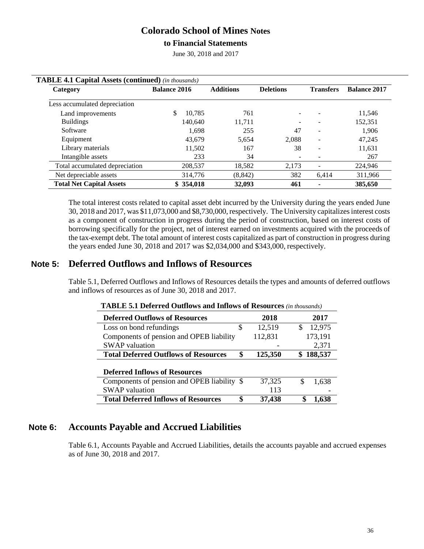### **to Financial Statements**

June 30, 2018 and 2017

| <b>TABLE 4.1 Capital Assets (continued)</b> (in thousands) |                     |           |                  |                  |                          |                     |
|------------------------------------------------------------|---------------------|-----------|------------------|------------------|--------------------------|---------------------|
| Category                                                   | <b>Balance 2016</b> |           | <b>Additions</b> | <b>Deletions</b> | <b>Transfers</b>         | <b>Balance 2017</b> |
| Less accumulated depreciation                              |                     |           |                  |                  |                          |                     |
| Land improvements                                          |                     | 10.785    | 761              |                  |                          | 11,546              |
| <b>Buildings</b>                                           |                     | 140.640   | 11.711           |                  |                          | 152.351             |
| Software                                                   |                     | 1.698     | 255              | 47               | ÷                        | 1,906               |
| Equipment                                                  |                     | 43.679    | 5.654            | 2.088            | $\overline{\phantom{a}}$ | 47,245              |
| Library materials                                          |                     | 11.502    | 167              | 38               | $\overline{\phantom{a}}$ | 11,631              |
| Intangible assets                                          |                     | 233       | 34               |                  |                          | 267                 |
| Total accumulated depreciation                             |                     | 208,537   | 18,582           | 2,173            |                          | 224,946             |
| Net depreciable assets                                     |                     | 314,776   | (8, 842)         | 382              | 6,414                    | 311,966             |
| <b>Total Net Capital Assets</b>                            |                     | \$354,018 | 32,093           | 461              |                          | 385,650             |

The total interest costs related to capital asset debt incurred by the University during the years ended June 30, 2018 and 2017, was \$11,073,000 and \$8,730,000, respectively. The University capitalizesinterest costs as a component of construction in progress during the period of construction, based on interest costs of borrowing specifically for the project, net of interest earned on investments acquired with the proceeds of the tax-exempt debt. The total amount of interest costs capitalized as part of construction in progress during the years ended June 30, 2018 and 2017 was \$2,034,000 and \$343,000, respectively.

### **Note 5: Deferred Outflows and Inflows of Resources**

Table 5.1, Deferred Outflows and Inflows of Resources details the types and amounts of deferred outflows and inflows of resources as of June 30, 2018 and 2017.

| <b>TADLE 3.1 DUULUU QUURWS and Inflows of INSOLICES</b> ( <i>in mousunus)</i> |    |         |               |
|-------------------------------------------------------------------------------|----|---------|---------------|
| <b>Deferred Outflows of Resources</b>                                         |    | 2018    | 2017          |
| Loss on bond refundings                                                       | S  | 12,519  | 12,975<br>\$. |
| Components of pension and OPEB liability                                      |    | 112,831 | 173,191       |
| <b>SWAP</b> valuation                                                         |    |         | 2,371         |
| <b>Total Deferred Outflows of Resources</b>                                   | \$ | 125,350 | \$188,537     |
|                                                                               |    |         |               |
| <b>Deferred Inflows of Resources</b>                                          |    |         |               |
| Components of pension and OPEB liability \$                                   |    | 37,325  | 1,638         |
| <b>SWAP</b> valuation                                                         |    | 113     |               |
| <b>Total Deferred Inflows of Resources</b>                                    | \$ | 37,438  | 1.638         |

| <b>TABLE 5.1 Deferred Outflows and Inflows of Resources</b> (in thousands) |  |
|----------------------------------------------------------------------------|--|
|----------------------------------------------------------------------------|--|

### **Note 6: Accounts Payable and Accrued Liabilities**

Table 6.1, Accounts Payable and Accrued Liabilities, details the accounts payable and accrued expenses as of June 30, 2018 and 2017.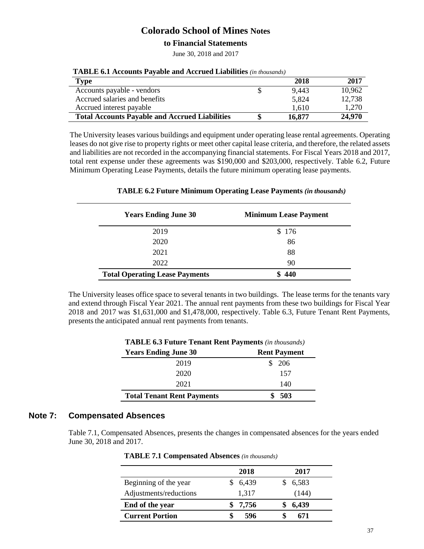#### **to Financial Statements**

June 30, 2018 and 2017

| Type                                                  | 2018   | 2017   |
|-------------------------------------------------------|--------|--------|
| Accounts payable - vendors                            | 9,443  | 10,962 |
| Accrued salaries and benefits                         | 5,824  | 12,738 |
| Accrued interest payable                              | 1,610  | 1,270  |
| <b>Total Accounts Payable and Accrued Liabilities</b> | 16,877 | 24,970 |

| <b>TABLE 6.1 Accounts Payable and Accrued Liabilities</b> (in thousands) |  |
|--------------------------------------------------------------------------|--|
|--------------------------------------------------------------------------|--|

The University leases various buildings and equipment under operating lease rental agreements. Operating leases do not give rise to property rights or meet other capital lease criteria, and therefore, the related assets and liabilities are not recorded in the accompanying financial statements. For Fiscal Years 2018 and 2017, total rent expense under these agreements was \$190,000 and \$203,000, respectively. Table 6.2, Future Minimum Operating Lease Payments, details the future minimum operating lease payments.

### **TABLE 6.2 Future Minimum Operating Lease Payments** *(in thousands)*

| <b>Years Ending June 30</b>           | <b>Minimum Lease Payment</b> |
|---------------------------------------|------------------------------|
| 2019                                  | \$176                        |
| 2020                                  | 86                           |
| 2021                                  | 88                           |
| 2022                                  | 90                           |
| <b>Total Operating Lease Payments</b> | 440                          |

The University leases office space to several tenants in two buildings. The lease terms for the tenants vary and extend through Fiscal Year 2021. The annual rent payments from these two buildings for Fiscal Year 2018 and 2017 was \$1,631,000 and \$1,478,000, respectively. Table 6.3, Future Tenant Rent Payments, presents the anticipated annual rent payments from tenants.

| <b>IABLE 0.5 FULUTE TENANT REAL PAYMENTS</b> ( <i>in thousands</i> ) |                     |  |  |  |
|----------------------------------------------------------------------|---------------------|--|--|--|
| <b>Years Ending June 30</b>                                          | <b>Rent Payment</b> |  |  |  |
| 2019                                                                 | \$206               |  |  |  |
| 2020                                                                 | 157                 |  |  |  |
| 2021                                                                 | 140                 |  |  |  |
| <b>Total Tenant Rent Payments</b>                                    | 503                 |  |  |  |

### **TABLE 6.3 Future Tenant Rent Payments** *(in thousands)*

### **Note 7: Compensated Absences**

Table 7.1, Compensated Absences, presents the changes in compensated absences for the years ended June 30, 2018 and 2017.

**TABLE 7.1 Compensated Absences** *(in thousands)*

|                        | 2018  | 2017  |
|------------------------|-------|-------|
| Beginning of the year  | 6,439 | 6,583 |
| Adjustments/reductions | 1,317 | (144) |
| End of the year        | 7,756 | 6,439 |
| <b>Current Portion</b> | 596   | 671   |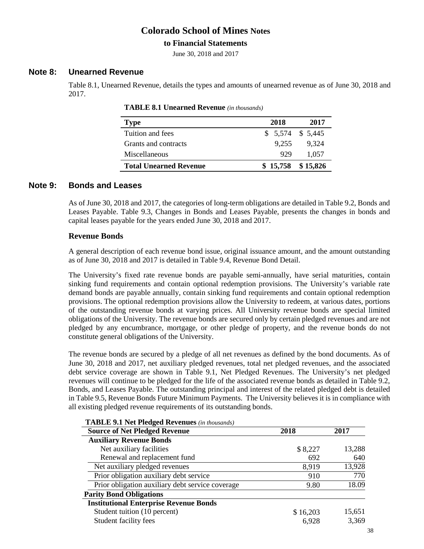### **to Financial Statements**

June 30, 2018 and 2017

#### **Note 8: Unearned Revenue**

Table 8.1, Unearned Revenue, details the types and amounts of unearned revenue as of June 30, 2018 and 2017.

| <b>Type</b>                   | 2018                | 2017  |
|-------------------------------|---------------------|-------|
| Tuition and fees              | $$5,574$ $$5,445$   |       |
| Grants and contracts          | 9.255               | 9.324 |
| Miscellaneous                 | 929                 | 1.057 |
| <b>Total Unearned Revenue</b> | $$15,758$ $$15,826$ |       |

| <b>TABLE 8.1 Unearned Revenue</b> (in thousands) |  |
|--------------------------------------------------|--|
|--------------------------------------------------|--|

#### **Note 9: Bonds and Leases**

As of June 30, 2018 and 2017, the categories of long-term obligations are detailed in Table 9.2, Bonds and Leases Payable. Table 9.3, Changes in Bonds and Leases Payable, presents the changes in bonds and capital leases payable for the years ended June 30, 2018 and 2017.

#### **Revenue Bonds**

A general description of each revenue bond issue, original issuance amount, and the amount outstanding as of June 30, 2018 and 2017 is detailed in Table 9.4, Revenue Bond Detail.

The University's fixed rate revenue bonds are payable semi-annually, have serial maturities, contain sinking fund requirements and contain optional redemption provisions. The University's variable rate demand bonds are payable annually, contain sinking fund requirements and contain optional redemption provisions. The optional redemption provisions allow the University to redeem, at various dates, portions of the outstanding revenue bonds at varying prices. All University revenue bonds are special limited obligations of the University. The revenue bonds are secured only by certain pledged revenues and are not pledged by any encumbrance, mortgage, or other pledge of property, and the revenue bonds do not constitute general obligations of the University.

The revenue bonds are secured by a pledge of all net revenues as defined by the bond documents. As of June 30, 2018 and 2017, net auxiliary pledged revenues, total net pledged revenues, and the associated debt service coverage are shown in Table 9.1, Net Pledged Revenues. The University's net pledged revenues will continue to be pledged for the life of the associated revenue bonds as detailed in Table 9.2, Bonds, and Leases Payable. The outstanding principal and interest of the related pledged debt is detailed in Table 9.5, Revenue Bonds Future Minimum Payments. The University believes it is in compliance with all existing pledged revenue requirements of its outstanding bonds.

| <b>IADLE 9.1 Net Fieuged Revenues</b> ( <i>in mousanas</i> ) |          |        |
|--------------------------------------------------------------|----------|--------|
| <b>Source of Net Pledged Revenue</b>                         | 2018     | 2017   |
| <b>Auxiliary Revenue Bonds</b>                               |          |        |
| Net auxiliary facilities                                     | \$8,227  | 13,288 |
| Renewal and replacement fund                                 | 692      | 640    |
| Net auxiliary pledged revenues                               | 8,919    | 13,928 |
| Prior obligation auxiliary debt service                      | 910      | 770    |
| Prior obligation auxiliary debt service coverage             | 9.80     | 18.09  |
| <b>Parity Bond Obligations</b>                               |          |        |
| <b>Institutional Enterprise Revenue Bonds</b>                |          |        |
| Student tuition (10 percent)                                 | \$16,203 | 15,651 |
| Student facility fees                                        | 6,928    | 3,369  |
|                                                              |          |        |

**TABLE 9.1 Net Pledged Revenues** *(in thousands)*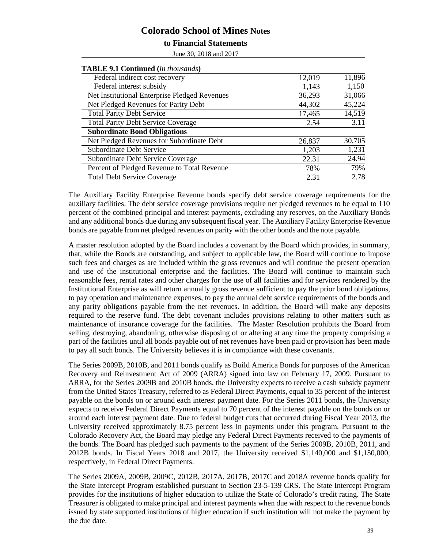#### **to Financial Statements**

June 30, 2018 and 2017

| <b>TABLE 9.1 Continued</b> (in thousands)     |        |        |
|-----------------------------------------------|--------|--------|
| Federal indirect cost recovery                | 12,019 | 11,896 |
| Federal interest subsidy                      | 1,143  | 1,150  |
| Net Institutional Enterprise Pledged Revenues | 36,293 | 31,066 |
| Net Pledged Revenues for Parity Debt          | 44,302 | 45,224 |
| <b>Total Parity Debt Service</b>              | 17,465 | 14,519 |
| <b>Total Parity Debt Service Coverage</b>     | 2.54   | 3.11   |
| <b>Subordinate Bond Obligations</b>           |        |        |
| Net Pledged Revenues for Subordinate Debt     | 26,837 | 30,705 |
| <b>Subordinate Debt Service</b>               | 1,203  | 1,231  |
| Subordinate Debt Service Coverage             | 22.31  | 24.94  |
| Percent of Pledged Revenue to Total Revenue   | 78%    | 79%    |
| <b>Total Debt Service Coverage</b>            | 2.31   | 2.78   |

The Auxiliary Facility Enterprise Revenue bonds specify debt service coverage requirements for the auxiliary facilities. The debt service coverage provisions require net pledged revenues to be equal to 110 percent of the combined principal and interest payments, excluding any reserves, on the Auxiliary Bonds and any additional bonds due during any subsequent fiscal year. The Auxiliary Facility Enterprise Revenue bonds are payable from net pledged revenues on parity with the other bonds and the note payable.

A master resolution adopted by the Board includes a covenant by the Board which provides, in summary, that, while the Bonds are outstanding, and subject to applicable law, the Board will continue to impose such fees and charges as are included within the gross revenues and will continue the present operation and use of the institutional enterprise and the facilities. The Board will continue to maintain such reasonable fees, rental rates and other charges for the use of all facilities and for services rendered by the Institutional Enterprise as will return annually gross revenue sufficient to pay the prior bond obligations, to pay operation and maintenance expenses, to pay the annual debt service requirements of the bonds and any parity obligations payable from the net revenues. In addition, the Board will make any deposits required to the reserve fund. The debt covenant includes provisions relating to other matters such as maintenance of insurance coverage for the facilities. The Master Resolution prohibits the Board from selling, destroying, abandoning, otherwise disposing of or altering at any time the property comprising a part of the facilities until all bonds payable out of net revenues have been paid or provision has been made to pay all such bonds. The University believes it is in compliance with these covenants.

The Series 2009B, 2010B, and 2011 bonds qualify as Build America Bonds for purposes of the American Recovery and Reinvestment Act of 2009 (ARRA) signed into law on February 17, 2009. Pursuant to ARRA, for the Series 2009B and 2010B bonds, the University expects to receive a cash subsidy payment from the United States Treasury, referred to as Federal Direct Payments, equal to 35 percent of the interest payable on the bonds on or around each interest payment date. For the Series 2011 bonds, the University expects to receive Federal Direct Payments equal to 70 percent of the interest payable on the bonds on or around each interest payment date. Due to federal budget cuts that occurred during Fiscal Year 2013, the University received approximately 8.75 percent less in payments under this program. Pursuant to the Colorado Recovery Act, the Board may pledge any Federal Direct Payments received to the payments of the bonds. The Board has pledged such payments to the payment of the Series 2009B, 2010B, 2011, and 2012B bonds. In Fiscal Years 2018 and 2017, the University received \$1,140,000 and \$1,150,000, respectively, in Federal Direct Payments.

The Series 2009A, 2009B, 2009C, 2012B, 2017A, 2017B, 2017C and 2018A revenue bonds qualify for the State Intercept Program established pursuant to Section 23-5-139 CRS. The State Intercept Program provides for the institutions of higher education to utilize the State of Colorado's credit rating. The State Treasurer is obligated to make principal and interest payments when due with respect to the revenue bonds issued by state supported institutions of higher education if such institution will not make the payment by the due date.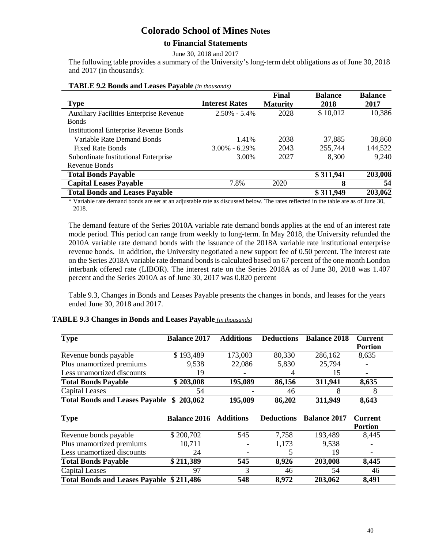### **to Financial Statements**

June 30, 2018 and 2017

The following table provides a summary of the University's long-term debt obligations as of June 30, 2018 and 2017 (in thousands):

|                                                |                       | Final           | <b>Balance</b> | <b>Balance</b> |
|------------------------------------------------|-----------------------|-----------------|----------------|----------------|
| <b>Type</b>                                    | <b>Interest Rates</b> | <b>Maturity</b> | 2018           | 2017           |
| <b>Auxiliary Facilities Enterprise Revenue</b> | $2.50\% - 5.4\%$      | 2028            | \$10,012       | 10,386         |
| <b>Bonds</b>                                   |                       |                 |                |                |
| <b>Institutional Enterprise Revenue Bonds</b>  |                       |                 |                |                |
| Variable Rate Demand Bonds                     | 1.41%                 | 2038            | 37,885         | 38,860         |
| <b>Fixed Rate Bonds</b>                        | $3.00\% - 6.29\%$     | 2043            | 255,744        | 144,522        |
| Subordinate Institutional Enterprise           | 3.00%                 | 2027            | 8,300          | 9,240          |
| Revenue Bonds                                  |                       |                 |                |                |
| <b>Total Bonds Payable</b>                     |                       |                 | \$311,941      | 203,008        |
| <b>Capital Leases Payable</b>                  | 7.8%                  | 2020            | 8              | 54             |
| <b>Total Bonds and Leases Payable</b>          |                       |                 | \$311,949      | 203,062        |

#### **TABLE 9.2 Bonds and Leases Payable** *(in thousands)*

\* Variable rate demand bonds are set at an adjustable rate as discussed below. The rates reflected in the table are as of June 30, 2018.

The demand feature of the Series 2010A variable rate demand bonds applies at the end of an interest rate mode period. This period can range from weekly to long-term. In May 2018, the University refunded the 2010A variable rate demand bonds with the issuance of the 2018A variable rate institutional enterprise revenue bonds. In addition, the University negotiated a new support fee of 0.50 percent. The interest rate on the Series 2018A variable rate demand bonds is calculated based on 67 percent of the one month London interbank offered rate (LIBOR). The interest rate on the Series 2018A as of June 30, 2018 was 1.407 percent and the Series 2010A as of June 30, 2017 was 0.820 percent

Table 9.3, Changes in Bonds and Leases Payable presents the changes in bonds, and leases for the years ended June 30, 2018 and 2017.

#### **TABLE 9.3 Changes in Bonds and Leases Payable** *(in thousands)*

| <b>Type</b>                                     | <b>Balance 2017</b> | <b>Additions</b> | <b>Deductions</b> | <b>Balance 2018</b> | <b>Current</b> |
|-------------------------------------------------|---------------------|------------------|-------------------|---------------------|----------------|
|                                                 |                     |                  |                   |                     | <b>Portion</b> |
| Revenue bonds payable                           | \$193,489           | 173,003          | 80,330            | 286,162             | 8,635          |
| Plus unamortized premiums                       | 9,538               | 22,086           | 5,830             | 25,794              |                |
| Less unamortized discounts                      | 19                  |                  | 4                 | 15                  |                |
| <b>Total Bonds Payable</b>                      | \$203,008           | 195,089          | 86,156            | 311,941             | 8,635          |
| <b>Capital Leases</b>                           | 54                  |                  | 46                | 8                   | 8              |
| <b>Total Bonds and Leases Payable</b>           | 203,062<br>\$       | 195,089          | 86,202            | 311,949             | 8,643          |
| <b>Type</b>                                     | <b>Balance 2016</b> | <b>Additions</b> | <b>Deductions</b> | <b>Balance 2017</b> | <b>Current</b> |
|                                                 |                     |                  |                   |                     | <b>Portion</b> |
| Revenue bonds payable                           | \$200,702           | 545              | 7,758             | 193,489             | 8,445          |
| Plus unamortized premiums                       | 10,711              |                  | 1,173             | 9,538               |                |
| Less unamortized discounts                      | 24                  |                  |                   | 19                  |                |
| <b>Total Bonds Payable</b>                      | \$211,389           | 545              | 8,926             | 203,008             | 8,445          |
| <b>Capital Leases</b>                           | 97                  | 3                | 46                | 54                  | 46             |
| <b>Total Bonds and Leases Payable \$211,486</b> |                     | 548              | 8,972             | 203,062             | 8,491          |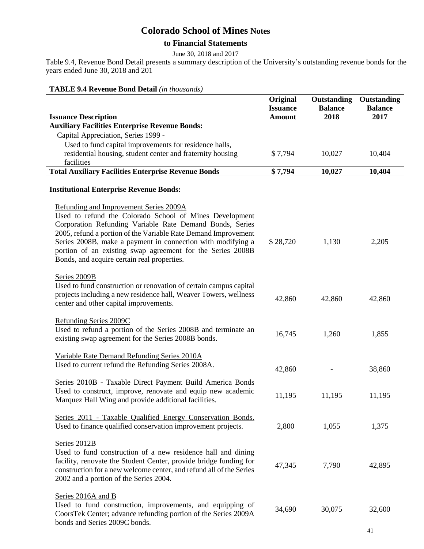### **to Financial Statements**

June 30, 2018 and 2017

Table 9.4, Revenue Bond Detail presents a summary description of the University's outstanding revenue bonds for the years ended June 30, 2018 and 201

### **TABLE 9.4 Revenue Bond Detail** *(in thousands)*

|                                                                                                                                                                                                                                                                                                                                                                                                             | Original<br><b>Issuance</b> | Outstanding<br><b>Balance</b> | Outstanding<br><b>Balance</b> |
|-------------------------------------------------------------------------------------------------------------------------------------------------------------------------------------------------------------------------------------------------------------------------------------------------------------------------------------------------------------------------------------------------------------|-----------------------------|-------------------------------|-------------------------------|
| <b>Issuance Description</b><br><b>Auxiliary Facilities Enterprise Revenue Bonds:</b>                                                                                                                                                                                                                                                                                                                        | <b>Amount</b>               | 2018                          | 2017                          |
| Capital Appreciation, Series 1999 -                                                                                                                                                                                                                                                                                                                                                                         |                             |                               |                               |
| Used to fund capital improvements for residence halls,                                                                                                                                                                                                                                                                                                                                                      |                             |                               |                               |
| residential housing, student center and fraternity housing<br>facilities                                                                                                                                                                                                                                                                                                                                    | \$7,794                     | 10,027                        | 10,404                        |
| <b>Total Auxiliary Facilities Enterprise Revenue Bonds</b>                                                                                                                                                                                                                                                                                                                                                  | \$7,794                     | 10,027                        | 10,404                        |
|                                                                                                                                                                                                                                                                                                                                                                                                             |                             |                               |                               |
| <b>Institutional Enterprise Revenue Bonds:</b>                                                                                                                                                                                                                                                                                                                                                              |                             |                               |                               |
| Refunding and Improvement Series 2009A<br>Used to refund the Colorado School of Mines Development<br>Corporation Refunding Variable Rate Demand Bonds, Series<br>2005, refund a portion of the Variable Rate Demand Improvement<br>Series 2008B, make a payment in connection with modifying a<br>portion of an existing swap agreement for the Series 2008B<br>Bonds, and acquire certain real properties. | \$28,720                    | 1,130                         | 2,205                         |
| Series 2009B<br>Used to fund construction or renovation of certain campus capital<br>projects including a new residence hall, Weaver Towers, wellness<br>center and other capital improvements.                                                                                                                                                                                                             | 42,860                      | 42,860                        | 42,860                        |
| Refunding Series 2009C<br>Used to refund a portion of the Series 2008B and terminate an<br>existing swap agreement for the Series 2008B bonds.                                                                                                                                                                                                                                                              | 16,745                      | 1,260                         | 1,855                         |
| Variable Rate Demand Refunding Series 2010A<br>Used to current refund the Refunding Series 2008A.                                                                                                                                                                                                                                                                                                           | 42,860                      |                               | 38,860                        |
| Series 2010B - Taxable Direct Payment Build America Bonds<br>Used to construct, improve, renovate and equip new academic<br>Marquez Hall Wing and provide additional facilities.                                                                                                                                                                                                                            | 11,195                      | 11,195                        | 11,195                        |
| Series 2011 - Taxable Qualified Energy Conservation Bonds.<br>Used to finance qualified conservation improvement projects.                                                                                                                                                                                                                                                                                  | 2,800                       | 1,055                         | 1,375                         |
| Series 2012B<br>Used to fund construction of a new residence hall and dining<br>facility, renovate the Student Center, provide bridge funding for<br>construction for a new welcome center, and refund all of the Series<br>2002 and a portion of the Series 2004.                                                                                                                                          | 47,345                      | 7,790                         | 42,895                        |
| Series 2016A and B<br>Used to fund construction, improvements, and equipping of<br>CoorsTek Center; advance refunding portion of the Series 2009A<br>bonds and Series 2009C bonds.                                                                                                                                                                                                                          | 34,690                      | 30,075                        | 32,600                        |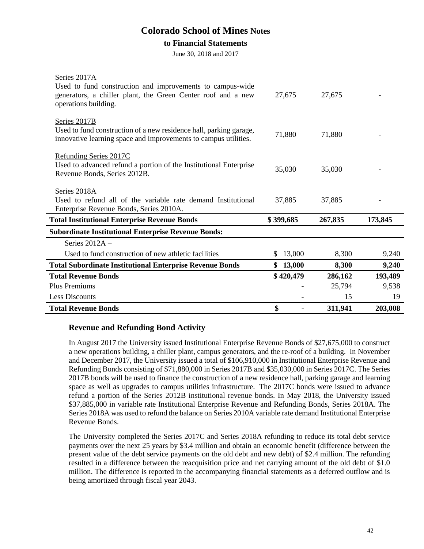#### **to Financial Statements**

June 30, 2018 and 2017

| <b>Total Institutional Enterprise Revenue Bonds</b><br><b>Subordinate Institutional Enterprise Revenue Bonds:</b> | \$399,685    | 267,835 | 173,845 |
|-------------------------------------------------------------------------------------------------------------------|--------------|---------|---------|
|                                                                                                                   |              |         |         |
| Series 2012A -                                                                                                    |              |         |         |
| Used to fund construction of new athletic facilities                                                              | 13,000<br>S. | 8,300   | 9,240   |
|                                                                                                                   |              |         |         |
| <b>Total Subordinate Institutional Enterprise Revenue Bonds</b>                                                   | \$13,000     | 8,300   | 9,240   |
| <b>Total Revenue Bonds</b>                                                                                        | \$420,479    | 286,162 | 193,489 |
|                                                                                                                   |              |         |         |
| Plus Premiums                                                                                                     |              | 25,794  | 9,538   |
| Less Discounts                                                                                                    |              | 15      | 19      |
| <b>Total Revenue Bonds</b>                                                                                        | \$           | 311,941 | 203,008 |
|                                                                                                                   |              |         |         |

### **Revenue and Refunding Bond Activity**

In August 2017 the University issued Institutional Enterprise Revenue Bonds of \$27,675,000 to construct a new operations building, a chiller plant, campus generators, and the re-roof of a building. In November and December 2017, the University issued a total of \$106,910,000 in Institutional Enterprise Revenue and Refunding Bonds consisting of \$71,880,000 in Series 2017B and \$35,030,000 in Series 2017C. The Series 2017B bonds will be used to finance the construction of a new residence hall, parking garage and learning space as well as upgrades to campus utilities infrastructure. The 2017C bonds were issued to advance refund a portion of the Series 2012B institutional revenue bonds. In May 2018, the University issued \$37,885,000 in variable rate Institutional Enterprise Revenue and Refunding Bonds, Series 2018A. The Series 2018A was used to refund the balance on Series 2010A variable rate demand Institutional Enterprise Revenue Bonds.

The University completed the Series 2017C and Series 2018A refunding to reduce its total debt service payments over the next 25 years by \$3.4 million and obtain an economic benefit (difference between the present value of the debt service payments on the old debt and new debt) of \$2.4 million. The refunding resulted in a difference between the reacquisition price and net carrying amount of the old debt of \$1.0 million. The difference is reported in the accompanying financial statements as a deferred outflow and is being amortized through fiscal year 2043.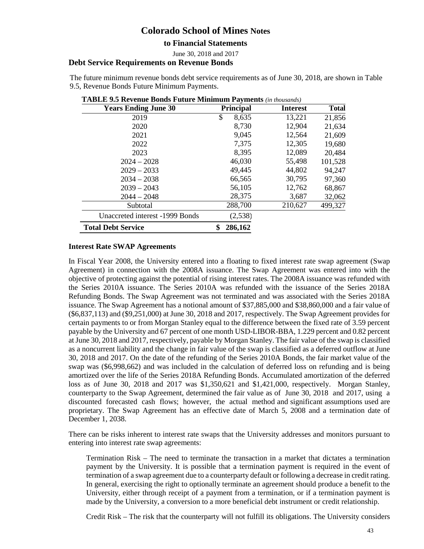**to Financial Statements** 

June 30, 2018 and 2017

#### **Debt Service Requirements on Revenue Bonds**

The future minimum revenue bonds debt service requirements as of June 30, 2018, are shown in Table 9.5, Revenue Bonds Future Minimum Payments.

| <b>Years Ending June 30</b>     | <b>Principal</b> | Interest | <b>Total</b> |
|---------------------------------|------------------|----------|--------------|
| 2019                            | \$<br>8,635      | 13,221   | 21,856       |
| 2020                            | 8,730            | 12,904   | 21,634       |
| 2021                            | 9,045            | 12,564   | 21,609       |
| 2022                            | 7,375            | 12,305   | 19,680       |
| 2023                            | 8,395            | 12,089   | 20,484       |
| $2024 - 2028$                   | 46,030           | 55,498   | 101,528      |
| $2029 - 2033$                   | 49,445           | 44,802   | 94,247       |
| $2034 - 2038$                   | 66,565           | 30,795   | 97,360       |
| $2039 - 2043$                   | 56,105           | 12,762   | 68,867       |
| $2044 - 2048$                   | 28,375           | 3,687    | 32,062       |
| Subtotal                        | 288,700          | 210,627  | 499,327      |
| Unaccreted interest -1999 Bonds | (2,538)          |          |              |
| <b>Total Debt Service</b>       | 286,162<br>\$    |          |              |

#### **TABLE 9.5 Revenue Bonds Future Minimum Payments** *(in thousands)*

#### **Interest Rate SWAP Agreements**

In Fiscal Year 2008, the University entered into a floating to fixed interest rate swap agreement (Swap Agreement) in connection with the 2008A issuance. The Swap Agreement was entered into with the objective of protecting against the potential of rising interest rates. The 2008A issuance was refunded with the Series 2010A issuance. The Series 2010A was refunded with the issuance of the Series 2018A Refunding Bonds. The Swap Agreement was not terminated and was associated with the Series 2018A issuance. The Swap Agreement has a notional amount of \$37,885,000 and \$38,860,000 and a fair value of (\$6,837,113) and (\$9,251,000) at June 30, 2018 and 2017, respectively. The Swap Agreement provides for certain payments to or from Morgan Stanley equal to the difference between the fixed rate of 3.59 percent payable by the University and 67 percent of one month USD-LIBOR-BBA, 1.229 percent and 0.82 percent at June 30, 2018 and 2017, respectively, payable by Morgan Stanley. The fair value of the swap is classified as a noncurrent liability and the change in fair value of the swap is classified as a deferred outflow at June 30, 2018 and 2017. On the date of the refunding of the Series 2010A Bonds, the fair market value of the swap was (\$6,998,662) and was included in the calculation of deferred loss on refunding and is being amortized over the life of the Series 2018A Refunding Bonds. Accumulated amortization of the deferred loss as of June 30, 2018 and 2017 was \$1,350,621 and \$1,421,000, respectively. Morgan Stanley, counterparty to the Swap Agreement, determined the fair value as of June 30, 2018 and 2017, using a discounted forecasted cash flows; however, the actual method and significant assumptions used are proprietary. The Swap Agreement has an effective date of March 5, 2008 and a termination date of December 1, 2038.

There can be risks inherent to interest rate swaps that the University addresses and monitors pursuant to entering into interest rate swap agreements:

Termination Risk – The need to terminate the transaction in a market that dictates a termination payment by the University. It is possible that a termination payment is required in the event of termination of a swap agreement due to a counterparty default or following a decrease in credit rating. In general, exercising the right to optionally terminate an agreement should produce a benefit to the University, either through receipt of a payment from a termination, or if a termination payment is made by the University, a conversion to a more beneficial debt instrument or credit relationship.

Credit Risk – The risk that the counterparty will not fulfill its obligations. The University considers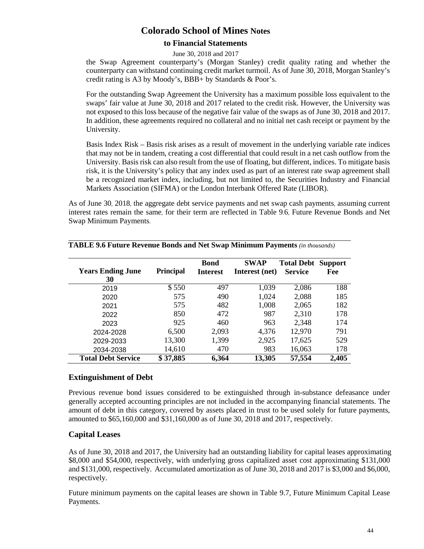### **to Financial Statements**

#### June 30, 2018 and 2017

the Swap Agreement counterparty's (Morgan Stanley) credit quality rating and whether the counterparty can withstand continuing credit market turmoil. As of June 30, 2018, Morgan Stanley's credit rating is A3 by Moody's, BBB+ by Standards & Poor's.

For the outstanding Swap Agreement the University has a maximum possible loss equivalent to the swaps' fair value at June 30, 2018 and 2017 related to the credit risk. However, the University was not exposed to this loss because of the negative fair value of the swaps as of June 30, 2018 and 2017. In addition, these agreements required no collateral and no initial net cash receipt or payment by the University.

Basis Index Risk – Basis risk arises as a result of movement in the underlying variable rate indices that may not be in tandem, creating a cost differential that could result in a net cash outflow from the University. Basis risk can also result from the use of floating, but different, indices. To mitigate basis risk, it is the University's policy that any index used as part of an interest rate swap agreement shall be a recognized market index, including, but not limited to, the Securities Industry and Financial Markets Association (SIFMA) or the London Interbank Offered Rate (LIBOR).

As of June 30, 2018, the aggregate debt service payments and net swap cash payments, assuming current interest rates remain the same, for their term are reflected in Table 9.6, Future Revenue Bonds and Net Swap Minimum Payments.

| <b>Years Ending June</b><br>30 | <b>Principal</b> | <b>Bond</b><br><b>Interest</b> | <b>SWAP</b><br>Interest (net) | <b>Total Debt</b><br><b>Service</b> | <b>Support</b><br>Fee |
|--------------------------------|------------------|--------------------------------|-------------------------------|-------------------------------------|-----------------------|
| 2019                           | \$550            | 497                            | 1,039                         | 2,086                               | 188                   |
| 2020                           | 575              | 490                            | 1,024                         | 2,088                               | 185                   |
| 2021                           | 575              | 482                            | 1,008                         | 2,065                               | 182                   |
| 2022                           | 850              | 472                            | 987                           | 2,310                               | 178                   |
| 2023                           | 925              | 460                            | 963                           | 2,348                               | 174                   |
| 2024-2028                      | 6,500            | 2,093                          | 4,376                         | 12,970                              | 791                   |
| 2029-2033                      | 13,300           | 1,399                          | 2,925                         | 17,625                              | 529                   |
| 2034-2038                      | 14,610           | 470                            | 983                           | 16,063                              | 178                   |
| <b>Total Debt Service</b>      | \$37,885         | 6,364                          | 13,305                        | 57,554                              | 2,405                 |

| <b>TABLE 9.6 Future Revenue Bonds and Net Swap Minimum Payments</b> (in thousands) |  |
|------------------------------------------------------------------------------------|--|
|------------------------------------------------------------------------------------|--|

### **Extinguishment of Debt**

Previous revenue bond issues considered to be extinguished through in-substance defeasance under generally accepted accounting principles are not included in the accompanying financial statements. The amount of debt in this category, covered by assets placed in trust to be used solely for future payments, amounted to \$65,160,000 and \$31,160,000 as of June 30, 2018 and 2017, respectively.

### **Capital Leases**

As of June 30, 2018 and 2017, the University had an outstanding liability for capital leases approximating \$8,000 and \$54,000, respectively, with underlying gross capitalized asset cost approximating \$131,000 and \$131,000, respectively. Accumulated amortization as of June 30, 2018 and 2017 is \$3,000 and \$6,000, respectively.

Future minimum payments on the capital leases are shown in Table 9.7, Future Minimum Capital Lease Payments.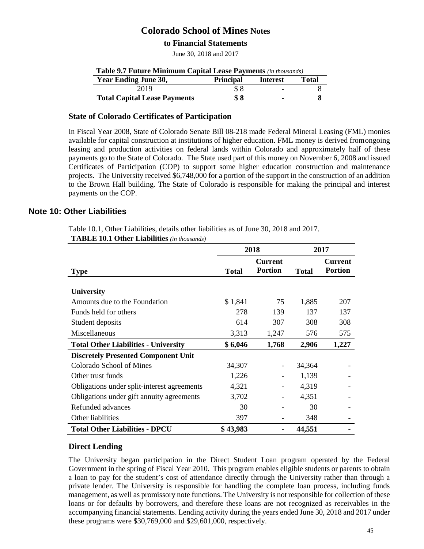### **to Financial Statements**

June 30, 2018 and 2017

| Table 9.7 Future Minimum Capital Lease Payments (in thousands)              |     |  |  |  |
|-----------------------------------------------------------------------------|-----|--|--|--|
| <b>Year Ending June 30,</b><br><b>Principal</b><br>Total<br><b>Interest</b> |     |  |  |  |
| 2019                                                                        | \$8 |  |  |  |
| <b>Total Capital Lease Payments</b>                                         | \$8 |  |  |  |

### **State of Colorado Certificates of Participation**

In Fiscal Year 2008, State of Colorado Senate Bill 08-218 made Federal Mineral Leasing (FML) monies available for capital construction at institutions of higher education. FML money is derived fromongoing leasing and production activities on federal lands within Colorado and approximately half of these payments go to the State of Colorado. The State used part of this money on November 6, 2008 and issued Certificates of Participation (COP) to support some higher education construction and maintenance projects. The University received \$6,748,000 for a portion of the support in the construction of an addition to the Brown Hall building. The State of Colorado is responsible for making the principal and interest payments on the COP.

#### **Note 10: Other Liabilities**

Table 10.1, Other Liabilities, details other liabilities as of June 30, 2018 and 2017.

**TABLE 10.1 Other Liabilities** *(in thousands)*

|                                             | 2018         |                                  | 2017         |                                  |
|---------------------------------------------|--------------|----------------------------------|--------------|----------------------------------|
| <b>Type</b>                                 | <b>Total</b> | <b>Current</b><br><b>Portion</b> | <b>Total</b> | <b>Current</b><br><b>Portion</b> |
| <b>University</b>                           |              |                                  |              |                                  |
| Amounts due to the Foundation               | \$1,841      | 75                               | 1,885        | 207                              |
| Funds held for others                       | 278          | 139                              | 137          | 137                              |
| Student deposits                            | 614          | 307                              | 308          | 308                              |
| Miscellaneous                               | 3,313        | 1,247                            | 576          | 575                              |
| <b>Total Other Liabilities - University</b> | \$6,046      | 1,768                            | 2,906        | 1,227                            |
| <b>Discretely Presented Component Unit</b>  |              |                                  |              |                                  |
| Colorado School of Mines                    | 34,307       |                                  | 34,364       |                                  |
| Other trust funds                           | 1,226        |                                  | 1,139        |                                  |
| Obligations under split-interest agreements | 4,321        |                                  | 4,319        |                                  |
| Obligations under gift annuity agreements   | 3,702        |                                  | 4,351        |                                  |
| Refunded advances                           | 30           |                                  | 30           |                                  |
| Other liabilities                           | 397          |                                  | 348          |                                  |
| <b>Total Other Liabilities - DPCU</b>       | \$43,983     |                                  | 44,551       |                                  |

#### **Direct Lending**

The University began participation in the Direct Student Loan program operated by the Federal Government in the spring of Fiscal Year 2010. This program enables eligible students or parents to obtain a loan to pay for the student's cost of attendance directly through the University rather than through a private lender. The University is responsible for handling the complete loan process, including funds management, as well as promissory note functions. The University is not responsible for collection of these loans or for defaults by borrowers, and therefore these loans are not recognized as receivables in the accompanying financial statements. Lending activity during the years ended June 30, 2018 and 2017 under these programs were \$30,769,000 and \$29,601,000, respectively.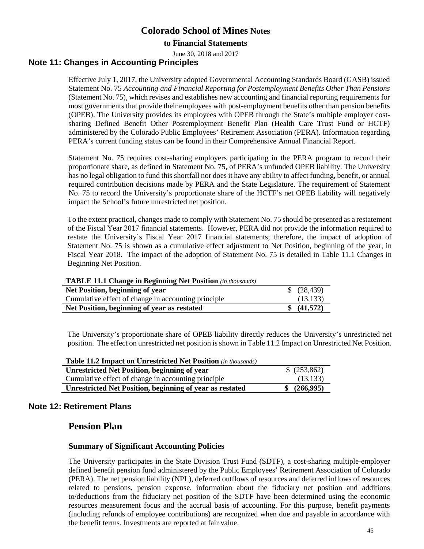### **to Financial Statements**

June 30, 2018 and 2017

### **Note 11: Changes in Accounting Principles**

Effective July 1, 2017, the University adopted Governmental Accounting Standards Board (GASB) issued Statement No. 75 *Accounting and Financial Reporting for Postemployment Benefits Other Than Pensions* (Statement No. 75)*,* which revises and establishes new accounting and financial reporting requirements for most governments that provide their employees with post-employment benefits other than pension benefits (OPEB). The University provides its employees with OPEB through the State's multiple employer costsharing Defined Benefit Other Postemployment Benefit Plan (Health Care Trust Fund or HCTF) administered by the Colorado Public Employees' Retirement Association (PERA). Information regarding PERA's current funding status can be found in their Comprehensive Annual Financial Report.

Statement No. 75 requires cost-sharing employers participating in the PERA program to record their proportionate share, as defined in Statement No. 75, of PERA's unfunded OPEB liability. The University has no legal obligation to fund this shortfall nor does it have any ability to affect funding, benefit, or annual required contribution decisions made by PERA and the State Legislature. The requirement of Statement No. 75 to record the University's proportionate share of the HCTF's net OPEB liability will negatively impact the School's future unrestricted net position.

To the extent practical, changes made to comply with Statement No. 75 should be presented as a restatement of the Fiscal Year 2017 financial statements. However, PERA did not provide the information required to restate the University's Fiscal Year 2017 financial statements; therefore, the impact of adoption of Statement No. 75 is shown as a cumulative effect adjustment to Net Position, beginning of the year, in Fiscal Year 2018. The impact of the adoption of Statement No. 75 is detailed in Table 11.1 Changes in Beginning Net Position.

#### **TABLE 11.1 Change in Beginning Net Position** *(in thousands)*

| \$ (28, 439)<br>Net Position, beginning of year                  |  |
|------------------------------------------------------------------|--|
| Cumulative effect of change in accounting principle<br>(13, 133) |  |
| \$ (41,572)<br>Net Position, beginning of year as restated       |  |

The University's proportionate share of OPEB liability directly reduces the University's unrestricted net position. The effect on unrestricted net position is shown in Table 11.2 Impact on Unrestricted Net Position.

| <b>Table 11.2 Impact on Unrestricted Net Position</b> (in thousands) |              |
|----------------------------------------------------------------------|--------------|
| <b>Unrestricted Net Position, beginning of year</b>                  | \$ (253,862) |
| Cumulative effect of change in accounting principle                  | (13, 133)    |
| <b>Unrestricted Net Position, beginning of year as restated</b>      | (266,995)    |

### **Note 12: Retirement Plans**

### **Pension Plan**

#### **Summary of Significant Accounting Policies**

The University participates in the State Division Trust Fund (SDTF), a cost-sharing multiple-employer defined benefit pension fund administered by the Public Employees' Retirement Association of Colorado (PERA). The net pension liability (NPL), deferred outflows of resources and deferred inflows of resources related to pensions, pension expense, information about the fiduciary net position and additions to/deductions from the fiduciary net position of the SDTF have been determined using the economic resources measurement focus and the accrual basis of accounting. For this purpose, benefit payments (including refunds of employee contributions) are recognized when due and payable in accordance with the benefit terms. Investments are reported at fair value.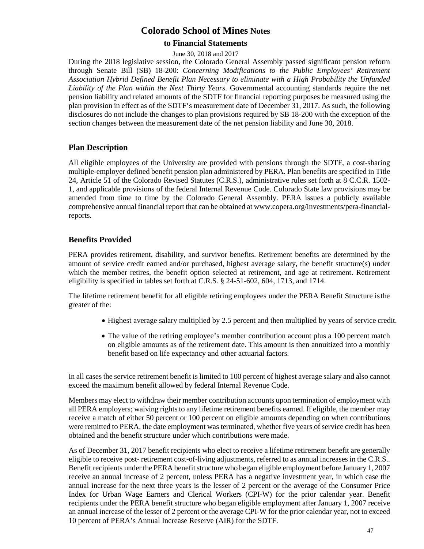### **to Financial Statements**

#### June 30, 2018 and 2017

During the 2018 legislative session, the Colorado General Assembly passed significant pension reform through Senate Bill (SB) 18-200: *Concerning Modifications to the Public Employees' Retirement Association Hybrid Defined Benefit Plan Necessary to eliminate with a High Probability the Unfunded Liability of the Plan within the Next Thirty Years*. Governmental accounting standards require the net pension liability and related amounts of the SDTF for financial reporting purposes be measured using the plan provision in effect as of the SDTF's measurement date of December 31, 2017. As such, the following disclosures do not include the changes to plan provisions required by SB 18-200 with the exception of the section changes between the measurement date of the net pension liability and June 30, 2018.

### **Plan Description**

All eligible employees of the University are provided with pensions through the SDTF, a cost-sharing multiple-employer defined benefit pension plan administered by PERA. Plan benefits are specified in Title 24, Article 51 of the Colorado Revised Statutes (C.R.S.), administrative rules set forth at 8 C.C.R. 1502- 1, and applicable provisions of the federal Internal Revenue Code. Colorado State law provisions may be amended from time to time by the Colorado General Assembly. PERA issues a publicly available comprehensive annual financial report that can be obtained at [www.copera.org/investments/pera-financial](http://www.copera.org/investments/pera-financial-)reports.

### **Benefits Provided**

PERA provides retirement, disability, and survivor benefits. Retirement benefits are determined by the amount of service credit earned and/or purchased, highest average salary, the benefit structure(s) under which the member retires, the benefit option selected at retirement, and age at retirement. Retirement eligibility is specified in tables set forth at C.R.S. § 24-51-602, 604, 1713, and 1714.

The lifetime retirement benefit for all eligible retiring employees under the PERA Benefit Structure isthe greater of the:

- Highest average salary multiplied by 2.5 percent and then multiplied by years of service credit.
- The value of the retiring employee's member contribution account plus a 100 percent match on eligible amounts as of the retirement date. This amount is then annuitized into a monthly benefit based on life expectancy and other actuarial factors.

In all cases the service retirement benefit is limited to 100 percent of highest average salary and also cannot exceed the maximum benefit allowed by federal Internal Revenue Code.

Members may elect to withdraw their member contribution accounts upon termination of employment with all PERA employers; waiving rightsto any lifetime retirement benefits earned. If eligible, the member may receive a match of either 50 percent or 100 percent on eligible amounts depending on when contributions were remitted to PERA, the date employment was terminated, whether five years of service credit has been obtained and the benefit structure under which contributions were made.

As of December 31, 2017 benefit recipients who elect to receive a lifetime retirement benefit are generally eligible to receive post- retirement cost-of-living adjustments, referred to as annual increases in the C.R.S.. Benefit recipients under the PERA benefit structure who began eligible employment before January 1, 2007 receive an annual increase of 2 percent, unless PERA has a negative investment year, in which case the annual increase for the next three years is the lesser of 2 percent or the average of the Consumer Price Index for Urban Wage Earners and Clerical Workers (CPI-W) for the prior calendar year. Benefit recipients under the PERA benefit structure who began eligible employment after January 1, 2007 receive an annual increase of the lesser of 2 percent or the average CPI-W for the prior calendar year, not to exceed 10 percent of PERA's Annual Increase Reserve (AIR) for the SDTF.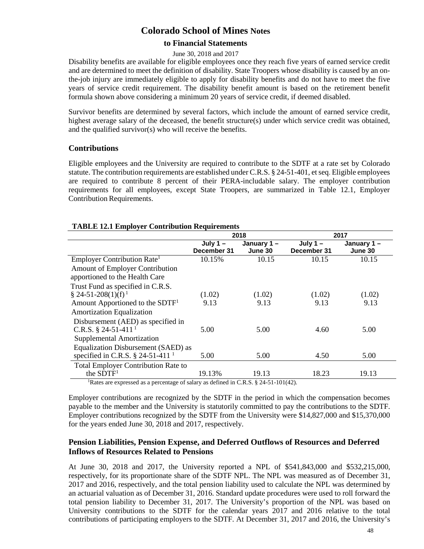### **to Financial Statements**

#### June 30, 2018 and 2017

Disability benefits are available for eligible employees once they reach five years of earned service credit and are determined to meet the definition of disability. State Troopers whose disability is caused by an onthe-job injury are immediately eligible to apply for disability benefits and do not have to meet the five years of service credit requirement. The disability benefit amount is based on the retirement benefit formula shown above considering a minimum 20 years of service credit, if deemed disabled.

Survivor benefits are determined by several factors, which include the amount of earned service credit, highest average salary of the deceased, the benefit structure(s) under which service credit was obtained, and the qualified survivor(s) who will receive the benefits.

#### **Contributions**

Eligible employees and the University are required to contribute to the SDTF at a rate set by Colorado statute. The contribution requirements are established under C.R.S. § 24-51-401, et seq. Eligible employees are required to contribute 8 percent of their PERA-includable salary. The employer contribution requirements for all employees, except State Troopers, are summarized in Table 12.1, Employer Contribution Requirements.

#### **TABLE 12.1 Employer Contribution Requirements**

|                                                                                                              | 2018                      |                       | 2017                      |                       |
|--------------------------------------------------------------------------------------------------------------|---------------------------|-----------------------|---------------------------|-----------------------|
|                                                                                                              | July $1 -$<br>December 31 | January 1-<br>June 30 | July $1 -$<br>December 31 | January 1-<br>June 30 |
| Employer Contribution Rate <sup>1</sup>                                                                      | 10.15%                    | 10.15                 | 10.15                     | 10.15                 |
| Amount of Employer Contribution                                                                              |                           |                       |                           |                       |
| apportioned to the Health Care                                                                               |                           |                       |                           |                       |
| Trust Fund as specified in C.R.S.                                                                            |                           |                       |                           |                       |
| $\S$ 24-51-208(1)(f) <sup>1</sup>                                                                            | (1.02)                    | (1.02)                | (1.02)                    | (1.02)                |
| Amount Apportioned to the SDTF <sup>1</sup>                                                                  | 9.13                      | 9.13                  | 9.13                      | 9.13                  |
| <b>Amortization Equalization</b>                                                                             |                           |                       |                           |                       |
| Disbursement (AED) as specified in                                                                           |                           |                       |                           |                       |
| C.R.S. § 24-51-411 <sup>1</sup>                                                                              | 5.00                      | 5.00                  | 4.60                      | 5.00                  |
| Supplemental Amortization                                                                                    |                           |                       |                           |                       |
| Equalization Disbursement (SAED) as                                                                          |                           |                       |                           |                       |
| specified in C.R.S. $\S$ 24-51-411 <sup>1</sup>                                                              | 5.00                      | 5.00                  | 4.50                      | 5.00                  |
| <b>Total Employer Contribution Rate to</b>                                                                   |                           |                       |                           |                       |
| the $SDTF1$                                                                                                  | 19.13%                    | 19.13                 | 18.23                     | 19.13                 |
| $D_{\text{other}}$ and continued in a noncontext of columns defined in CID $R$ , $R$ $D$ $R$ $I$ $I$ $I$ $I$ |                           |                       |                           |                       |

<sup>1</sup>Rates are expressed as a percentage of salary as defined in C.R.S. § 24-51-101(42).

Employer contributions are recognized by the SDTF in the period in which the compensation becomes payable to the member and the University is statutorily committed to pay the contributions to the SDTF. Employer contributions recognized by the SDTF from the University were \$14,827,000 and \$15,370,000 for the years ended June 30, 2018 and 2017, respectively.

### **Pension Liabilities, Pension Expense, and Deferred Outflows of Resources and Deferred Inflows of Resources Related to Pensions**

At June 30, 2018 and 2017, the University reported a NPL of \$541,843,000 and \$532,215,000, respectively, for its proportionate share of the SDTF NPL. The NPL was measured as of December 31, 2017 and 2016, respectively, and the total pension liability used to calculate the NPL was determined by an actuarial valuation as of December 31, 2016. Standard update procedures were used to roll forward the total pension liability to December 31, 2017. The University's proportion of the NPL was based on University contributions to the SDTF for the calendar years 2017 and 2016 relative to the total contributions of participating employers to the SDTF. At December 31, 2017 and 2016, the University's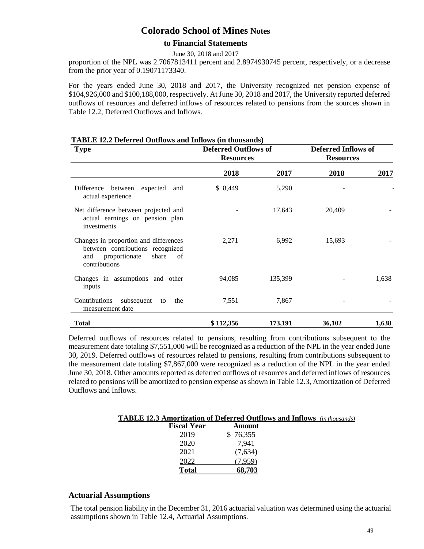### **to Financial Statements**

June 30, 2018 and 2017

proportion of the NPL was 2.7067813411 percent and 2.8974930745 percent, respectively, or a decrease from the prior year of 0.19071173340.

For the years ended June 30, 2018 and 2017, the University recognized net pension expense of \$104,926,000 and \$100,188,000, respectively. At June 30, 2018 and 2017, the University reported deferred outflows of resources and deferred inflows of resources related to pensions from the sources shown in Table 12.2, Deferred Outflows and Inflows.

| <b>Type</b>                                                                                                                       | <b>Deferred Outflows of</b><br><b>Resources</b> |         |        |       | <b>Deferred Inflows of</b><br><b>Resources</b> |  |  |
|-----------------------------------------------------------------------------------------------------------------------------------|-------------------------------------------------|---------|--------|-------|------------------------------------------------|--|--|
|                                                                                                                                   | 2018                                            | 2017    | 2018   | 2017  |                                                |  |  |
| expected and<br>Difference<br>between<br>actual experience                                                                        | \$8,449                                         | 5,290   |        |       |                                                |  |  |
| Net difference between projected and<br>actual earnings on pension plan<br>investments                                            |                                                 | 17,643  | 20,409 |       |                                                |  |  |
| Changes in proportion and differences<br>between contributions recognized<br>proportionate<br>share<br>and<br>of<br>contributions | 2,271                                           | 6,992   | 15,693 |       |                                                |  |  |
| Changes in assumptions and other<br>inputs                                                                                        | 94,085                                          | 135,399 |        | 1,638 |                                                |  |  |
| Contributions<br>subsequent<br>the<br>to<br>measurement date                                                                      | 7,551                                           | 7,867   |        |       |                                                |  |  |
| <b>Total</b>                                                                                                                      | \$112,356                                       | 173,191 | 36,102 | 1,638 |                                                |  |  |

#### **TABLE 12.2 Deferred Outflows and Inflows (in thousands)**

Deferred outflows of resources related to pensions, resulting from contributions subsequent to the measurement date totaling \$7,551,000 will be recognized as a reduction of the NPL in the year ended June 30, 2019. Deferred outflows of resources related to pensions, resulting from contributions subsequent to the measurement date totaling \$7,867,000 were recognized as a reduction of the NPL in the year ended June 30, 2018. Other amounts reported as deferred outflows of resources and deferred inflows of resources related to pensions will be amortized to pension expense as shown in Table 12.3, Amortization of Deferred Outflows and Inflows.

| <b>TABLE 12.3 Amortization of Deferred Outflows and Inflows</b> (in thousands) |          |  |
|--------------------------------------------------------------------------------|----------|--|
| <b>Fiscal Year</b>                                                             | Amount   |  |
| 2019                                                                           | \$76,355 |  |
| 2020                                                                           | 7,941    |  |
| 2021                                                                           | (7,634)  |  |
| 2022                                                                           | 7.959)   |  |
| Total                                                                          | 68.703   |  |

### **Actuarial Assumptions**

The total pension liability in the December 31, 2016 actuarial valuation was determined using the actuarial assumptions shown in Table 12.4, Actuarial Assumptions.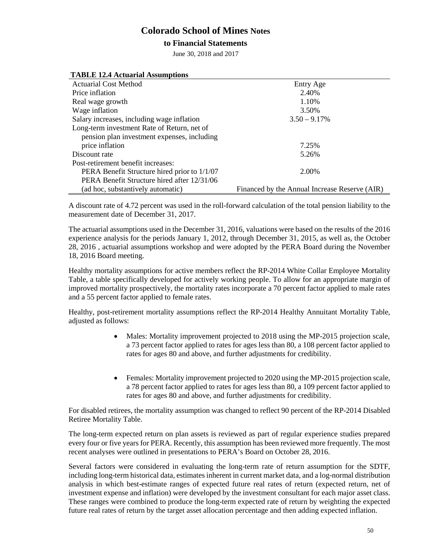### **to Financial Statements**

June 30, 2018 and 2017

| <b>TABLE 12.4 Actuarial Assumptions</b>      |                                               |
|----------------------------------------------|-----------------------------------------------|
| <b>Actuarial Cost Method</b>                 | Entry Age                                     |
| Price inflation                              | 2.40%                                         |
| Real wage growth                             | 1.10%                                         |
| Wage inflation                               | 3.50%                                         |
| Salary increases, including wage inflation   | $3.50 - 9.17%$                                |
| Long-term investment Rate of Return, net of  |                                               |
| pension plan investment expenses, including  |                                               |
| price inflation                              | 7.25%                                         |
| Discount rate                                | 5.26%                                         |
| Post-retirement benefit increases:           |                                               |
| PERA Benefit Structure hired prior to 1/1/07 | 2.00%                                         |
| PERA Benefit Structure hired after 12/31/06  |                                               |
| (ad hoc, substantively automatic)            | Financed by the Annual Increase Reserve (AIR) |

A discount rate of 4.72 percent was used in the roll-forward calculation of the total pension liability to the measurement date of December 31, 2017.

The actuarial assumptions used in the December 31, 2016, valuations were based on the results of the 2016 experience analysis for the periods January 1, 2012, through December 31, 2015, as well as, the October 28, 2016 , actuarial assumptions workshop and were adopted by the PERA Board during the November 18, 2016 Board meeting.

Healthy mortality assumptions for active members reflect the RP-2014 White Collar Employee Mortality Table, a table specifically developed for actively working people. To allow for an appropriate margin of improved mortality prospectively, the mortality rates incorporate a 70 percent factor applied to male rates and a 55 percent factor applied to female rates.

Healthy, post-retirement mortality assumptions reflect the RP-2014 Healthy Annuitant Mortality Table, adjusted as follows:

- Males: Mortality improvement projected to 2018 using the MP-2015 projection scale, a 73 percent factor applied to rates for ages less than 80, a 108 percent factor applied to rates for ages 80 and above, and further adjustments for credibility.
- Females: Mortality improvement projected to 2020 using the MP-2015 projection scale, a 78 percent factor applied to rates for ages less than 80, a 109 percent factor applied to rates for ages 80 and above, and further adjustments for credibility.

For disabled retirees, the mortality assumption was changed to reflect 90 percent of the RP-2014 Disabled Retiree Mortality Table.

The long-term expected return on plan assets is reviewed as part of regular experience studies prepared every four or five years for PERA. Recently, this assumption has been reviewed more frequently. The most recent analyses were outlined in presentations to PERA's Board on October 28, 2016.

Several factors were considered in evaluating the long-term rate of return assumption for the SDTF, including long-term historical data, estimates inherent in current market data, and a log-normal distribution analysis in which best-estimate ranges of expected future real rates of return (expected return, net of investment expense and inflation) were developed by the investment consultant for each major asset class. These ranges were combined to produce the long-term expected rate of return by weighting the expected future real rates of return by the target asset allocation percentage and then adding expected inflation.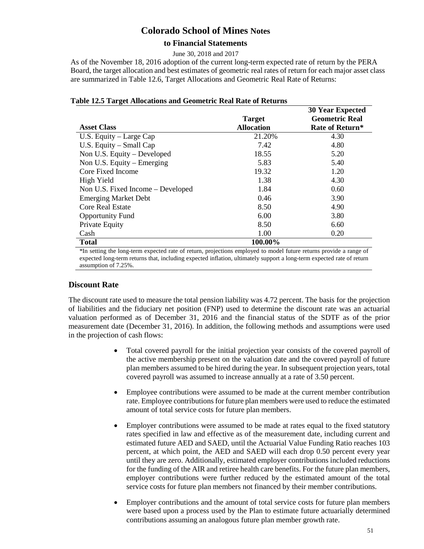### **to Financial Statements**

June 30, 2018 and 2017

As of the November 18, 2016 adoption of the current long-term expected rate of return by the PERA Board, the target allocation and best estimates of geometric real rates of return for each major asset class are summarized in Table 12.6, Target Allocations and Geometric Real Rate of Returns:

| o                                 | <b>Target</b>     | <b>30 Year Expected</b><br><b>Geometric Real</b> |
|-----------------------------------|-------------------|--------------------------------------------------|
| <b>Asset Class</b>                | <b>Allocation</b> | Rate of Return*                                  |
| U.S. Equity - Large Cap           | 21.20%            | 4.30                                             |
| U.S. Equity $-$ Small Cap         | 7.42              | 4.80                                             |
| Non U.S. Equity – Developed       | 18.55             | 5.20                                             |
| Non U.S. Equity $-$ Emerging      | 5.83              | 5.40                                             |
| Core Fixed Income                 | 19.32             | 1.20                                             |
| High Yield                        | 1.38              | 4.30                                             |
| Non U.S. Fixed Income - Developed | 1.84              | 0.60                                             |
| <b>Emerging Market Debt</b>       | 0.46              | 3.90                                             |
| Core Real Estate                  | 8.50              | 4.90                                             |
| <b>Opportunity Fund</b>           | 6.00              | 3.80                                             |
| Private Equity                    | 8.50              | 6.60                                             |
| Cash                              | 1.00              | 0.20                                             |
| <b>Total</b>                      | 100.00%           |                                                  |

#### **Table 12.5 Target Allocations and Geometric Real Rate of Returns**

\*In setting the long-term expected rate of return, projections employed to model future returns provide a range of expected long-term returns that, including expected inflation, ultimately support a long-term expected rate of return assumption of 7.25%.

### **Discount Rate**

The discount rate used to measure the total pension liability was 4.72 percent. The basis for the projection of liabilities and the fiduciary net position (FNP) used to determine the discount rate was an actuarial valuation performed as of December 31, 2016 and the financial status of the SDTF as of the prior measurement date (December 31, 2016). In addition, the following methods and assumptions were used in the projection of cash flows:

- Total covered payroll for the initial projection year consists of the covered payroll of the active membership present on the valuation date and the covered payroll of future plan members assumed to be hired during the year. In subsequent projection years, total covered payroll was assumed to increase annually at a rate of 3.50 percent.
- Employee contributions were assumed to be made at the current member contribution rate. Employee contributions for future plan members were used to reduce the estimated amount of total service costs for future plan members.
- Employer contributions were assumed to be made at rates equal to the fixed statutory rates specified in law and effective as of the measurement date, including current and estimated future AED and SAED, until the Actuarial Value Funding Ratio reaches 103 percent, at which point, the AED and SAED will each drop 0.50 percent every year until they are zero. Additionally, estimated employer contributions included reductions for the funding of the AIR and retiree health care benefits. For the future plan members, employer contributions were further reduced by the estimated amount of the total service costs for future plan members not financed by their member contributions.
- Employer contributions and the amount of total service costs for future plan members were based upon a process used by the Plan to estimate future actuarially determined contributions assuming an analogous future plan member growth rate.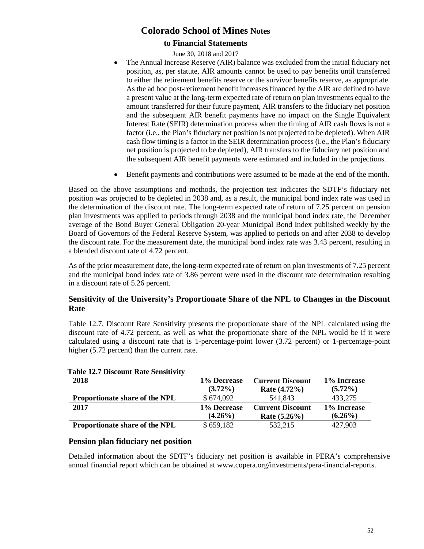### **to Financial Statements**

June 30, 2018 and 2017

- The Annual Increase Reserve (AIR) balance was excluded from the initial fiduciary net position, as, per statute, AIR amounts cannot be used to pay benefits until transferred to either the retirement benefits reserve or the survivor benefits reserve, as appropriate. As the ad hoc post-retirement benefit increases financed by the AIR are defined to have a present value at the long-term expected rate of return on plan investments equal to the amount transferred for their future payment, AIR transfers to the fiduciary net position and the subsequent AIR benefit payments have no impact on the Single Equivalent Interest Rate (SEIR) determination process when the timing of AIR cash flows is not a factor (i.e., the Plan's fiduciary net position is not projected to be depleted). When AIR cash flow timing is a factor in the SEIR determination process (i.e., the Plan's fiduciary net position is projected to be depleted), AIR transfers to the fiduciary net position and the subsequent AIR benefit payments were estimated and included in the projections.
- Benefit payments and contributions were assumed to be made at the end of the month.

Based on the above assumptions and methods, the projection test indicates the SDTF's fiduciary net position was projected to be depleted in 2038 and, as a result, the municipal bond index rate was used in the determination of the discount rate. The long-term expected rate of return of 7.25 percent on pension plan investments was applied to periods through 2038 and the municipal bond index rate, the December average of the Bond Buyer General Obligation 20-year Municipal Bond Index published weekly by the Board of Governors of the Federal Reserve System, was applied to periods on and after 2038 to develop the discount rate. For the measurement date, the municipal bond index rate was 3.43 percent, resulting in a blended discount rate of 4.72 percent.

As of the prior measurement date, the long-term expected rate of return on plan investments of 7.25 percent and the municipal bond index rate of 3.86 percent were used in the discount rate determination resulting in a discount rate of 5.26 percent.

### **Sensitivity of the University's Proportionate Share of the NPL to Changes in the Discount Rate**

Table 12.7, Discount Rate Sensitivity presents the proportionate share of the NPL calculated using the discount rate of 4.72 percent, as well as what the proportionate share of the NPL would be if it were calculated using a discount rate that is 1-percentage-point lower (3.72 percent) or 1-percentage-point higher (5.72 percent) than the current rate.

| 2018                                  | 1% Decrease | <b>Current Discount</b> | 1% Increase |
|---------------------------------------|-------------|-------------------------|-------------|
|                                       | $(3.72\%)$  | Rate $(4.72\%)$         | $(5.72\%)$  |
| <b>Proportionate share of the NPL</b> | \$674,092   | 541,843                 | 433,275     |
|                                       |             |                         |             |
| 2017                                  | 1% Decrease | <b>Current Discount</b> | 1% Increase |
|                                       | $(4.26\%)$  | Rate $(5.26\%)$         | $(6.26\%)$  |

#### **Table 12.7 Discount Rate Sensitivity**

#### **Pension plan fiduciary net position**

Detailed information about the SDTF's fiduciary net position is available in PERA's comprehensive annual financial report which can be obtained at [www.copera.org/investments/pera-financial-reports.](http://www.copera.org/investments/pera-financial-reports)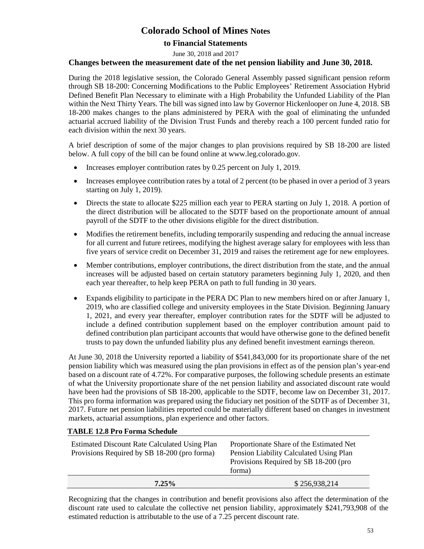### **to Financial Statements**

June 30, 2018 and 2017

#### **Changes between the measurement date of the net pension liability and June 30, 2018.**

During the 2018 legislative session, the Colorado General Assembly passed significant pension reform through SB 18-200: Concerning Modifications to the Public Employees' Retirement Association Hybrid Defined Benefit Plan Necessary to eliminate with a High Probability the Unfunded Liability of the Plan within the Next Thirty Years. The bill was signed into law by Governor Hickenlooper on June 4, 2018. SB 18-200 makes changes to the plans administered by PERA with the goal of eliminating the unfunded actuarial accrued liability of the Division Trust Funds and thereby reach a 100 percent funded ratio for each division within the next 30 years.

A brief description of some of the major changes to plan provisions required by SB 18-200 are listed below. A full copy of the bill can be found online at [www.leg.colorado.gov.](http://www.leg.colorado.gov/)

- Increases employer contribution rates by 0.25 percent on July 1, 2019.
- Increases employee contribution rates by a total of 2 percent (to be phased in over a period of 3 years starting on July 1, 2019).
- Directs the state to allocate \$225 million each year to PERA starting on July 1, 2018. A portion of the direct distribution will be allocated to the SDTF based on the proportionate amount of annual payroll of the SDTF to the other divisions eligible for the direct distribution.
- Modifies the retirement benefits, including temporarily suspending and reducing the annual increase for all current and future retirees, modifying the highest average salary for employees with less than five years of service credit on December 31, 2019 and raises the retirement age for new employees.
- Member contributions, employer contributions, the direct distribution from the state, and the annual increases will be adjusted based on certain statutory parameters beginning July 1, 2020, and then each year thereafter, to help keep PERA on path to full funding in 30 years.
- Expands eligibility to participate in the PERA DC Plan to new members hired on or after January 1, 2019, who are classified college and university employees in the State Division. Beginning January 1, 2021, and every year thereafter, employer contribution rates for the SDTF will be adjusted to include a defined contribution supplement based on the employer contribution amount paid to defined contribution plan participant accounts that would have otherwise gone to the defined benefit trusts to pay down the unfunded liability plus any defined benefit investment earnings thereon.

At June 30, 2018 the University reported a liability of \$541,843,000 for its proportionate share of the net pension liability which was measured using the plan provisions in effect as of the pension plan's year-end based on a discount rate of 4.72%. For comparative purposes, the following schedule presents an estimate of what the University proportionate share of the net pension liability and associated discount rate would have been had the provisions of SB 18-200, applicable to the SDTF, become law on December 31, 2017. This pro forma information was prepared using the fiduciary net position of the SDTF as of December 31, 2017. Future net pension liabilities reported could be materially different based on changes in investment markets, actuarial assumptions, plan experience and other factors.

#### **TABLE 12.8 Pro Forma Schedule**

| <b>Estimated Discount Rate Calculated Using Plan</b><br>Provisions Required by SB 18-200 (pro forma) | Proportionate Share of the Estimated Net<br>Pension Liability Calculated Using Plan<br>Provisions Required by SB 18-200 (pro<br>forma) |
|------------------------------------------------------------------------------------------------------|----------------------------------------------------------------------------------------------------------------------------------------|
| $7.25\%$                                                                                             | \$256,938,214                                                                                                                          |

Recognizing that the changes in contribution and benefit provisions also affect the determination of the discount rate used to calculate the collective net pension liability, approximately \$241,793,908 of the estimated reduction is attributable to the use of a 7.25 percent discount rate.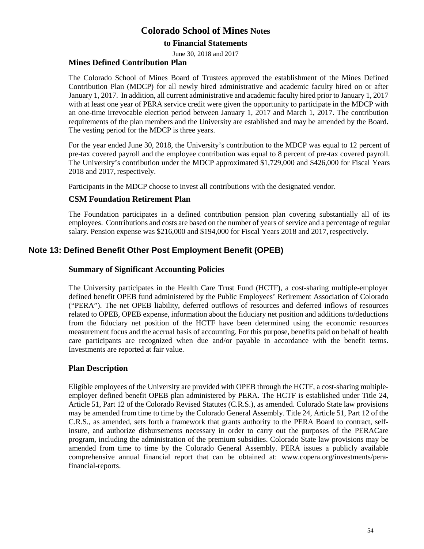### **to Financial Statements**

June 30, 2018 and 2017

#### **Mines Defined Contribution Plan**

The Colorado School of Mines Board of Trustees approved the establishment of the Mines Defined Contribution Plan (MDCP) for all newly hired administrative and academic faculty hired on or after January 1, 2017. In addition, all current administrative and academic faculty hired prior to January 1, 2017 with at least one year of PERA service credit were given the opportunity to participate in the MDCP with an one-time irrevocable election period between January 1, 2017 and March 1, 2017. The contribution requirements of the plan members and the University are established and may be amended by the Board. The vesting period for the MDCP is three years.

For the year ended June 30, 2018, the University's contribution to the MDCP was equal to 12 percent of pre-tax covered payroll and the employee contribution was equal to 8 percent of pre-tax covered payroll. The University's contribution under the MDCP approximated \$1,729,000 and \$426,000 for Fiscal Years 2018 and 2017, respectively.

Participants in the MDCP choose to invest all contributions with the designated vendor.

### **CSM Foundation Retirement Plan**

The Foundation participates in a defined contribution pension plan covering substantially all of its employees. Contributions and costs are based on the number of years of service and a percentage of regular salary. Pension expense was \$216,000 and \$194,000 for Fiscal Years 2018 and 2017, respectively.

### **Note 13: Defined Benefit Other Post Employment Benefit (OPEB)**

#### **Summary of Significant Accounting Policies**

The University participates in the Health Care Trust Fund (HCTF), a cost-sharing multiple-employer defined benefit OPEB fund administered by the Public Employees' Retirement Association of Colorado ("PERA"). The net OPEB liability, deferred outflows of resources and deferred inflows of resources related to OPEB, OPEB expense, information about the fiduciary net position and additions to/deductions from the fiduciary net position of the HCTF have been determined using the economic resources measurement focus and the accrual basis of accounting. For this purpose, benefits paid on behalf of health care participants are recognized when due and/or payable in accordance with the benefit terms. Investments are reported at fair value.

### **Plan Description**

Eligible employees of the University are provided with OPEB through the HCTF, a cost-sharing multipleemployer defined benefit OPEB plan administered by PERA. The HCTF is established under Title 24, Article 51, Part 12 of the Colorado Revised Statutes (C.R.S.), as amended. Colorado State law provisions may be amended from time to time by the Colorado General Assembly. Title 24, Article 51, Part 12 of the C.R.S., as amended, sets forth a framework that grants authority to the PERA Board to contract, selfinsure, and authorize disbursements necessary in order to carry out the purposes of the PERACare program, including the administration of the premium subsidies. Colorado State law provisions may be amended from time to time by the Colorado General Assembly. PERA issues a publicly available comprehensive annual financial report that can be obtained at: www.copera.org/investments/perafinancial-reports.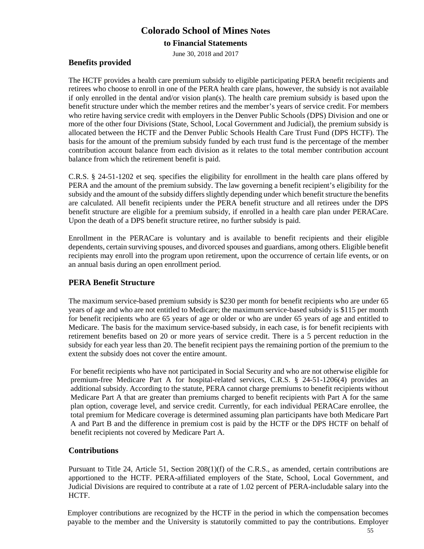### **to Financial Statements**

June 30, 2018 and 2017

### **Benefits provided**

The HCTF provides a health care premium subsidy to eligible participating PERA benefit recipients and retirees who choose to enroll in one of the PERA health care plans, however, the subsidy is not available if only enrolled in the dental and/or vision plan(s). The health care premium subsidy is based upon the benefit structure under which the member retires and the member's years of service credit. For members who retire having service credit with employers in the Denver Public Schools (DPS) Division and one or more of the other four Divisions (State, School, Local Government and Judicial), the premium subsidy is allocated between the HCTF and the Denver Public Schools Health Care Trust Fund (DPS HCTF). The basis for the amount of the premium subsidy funded by each trust fund is the percentage of the member contribution account balance from each division as it relates to the total member contribution account balance from which the retirement benefit is paid.

C.R.S. § 24-51-1202 et seq. specifies the eligibility for enrollment in the health care plans offered by PERA and the amount of the premium subsidy. The law governing a benefit recipient's eligibility for the subsidy and the amount of the subsidy differs slightly depending under which benefit structure the benefits are calculated. All benefit recipients under the PERA benefit structure and all retirees under the DPS benefit structure are eligible for a premium subsidy, if enrolled in a health care plan under PERACare. Upon the death of a DPS benefit structure retiree, no further subsidy is paid.

Enrollment in the PERACare is voluntary and is available to benefit recipients and their eligible dependents, certain surviving spouses, and divorced spouses and guardians, among others. Eligible benefit recipients may enroll into the program upon retirement, upon the occurrence of certain life events, or on an annual basis during an open enrollment period.

### **PERA Benefit Structure**

The maximum service-based premium subsidy is \$230 per month for benefit recipients who are under 65 years of age and who are not entitled to Medicare; the maximum service-based subsidy is \$115 per month for benefit recipients who are 65 years of age or older or who are under 65 years of age and entitled to Medicare. The basis for the maximum service-based subsidy, in each case, is for benefit recipients with retirement benefits based on 20 or more years of service credit. There is a 5 percent reduction in the subsidy for each year less than 20. The benefit recipient pays the remaining portion of the premium to the extent the subsidy does not cover the entire amount.

For benefit recipients who have not participated in Social Security and who are not otherwise eligible for premium-free Medicare Part A for hospital-related services, C.R.S. § 24-51-1206(4) provides an additional subsidy. According to the statute, PERA cannot charge premiums to benefit recipients without Medicare Part A that are greater than premiums charged to benefit recipients with Part A for the same plan option, coverage level, and service credit. Currently, for each individual PERACare enrollee, the total premium for Medicare coverage is determined assuming plan participants have both Medicare Part A and Part B and the difference in premium cost is paid by the HCTF or the DPS HCTF on behalf of benefit recipients not covered by Medicare Part A.

### **Contributions**

Pursuant to Title 24, Article 51, Section 208(1)(f) of the C.R.S., as amended, certain contributions are apportioned to the HCTF. PERA-affiliated employers of the State, School, Local Government, and Judicial Divisions are required to contribute at a rate of 1.02 percent of PERA-includable salary into the HCTF.

Employer contributions are recognized by the HCTF in the period in which the compensation becomes payable to the member and the University is statutorily committed to pay the contributions. Employer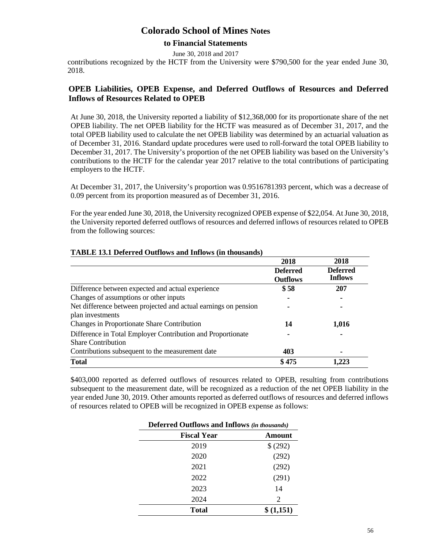#### **to Financial Statements**

June 30, 2018 and 2017

contributions recognized by the HCTF from the University were \$790,500 for the year ended June 30, 2018.

### **OPEB Liabilities, OPEB Expense, and Deferred Outflows of Resources and Deferred Inflows of Resources Related to OPEB**

At June 30, 2018, the University reported a liability of \$12,368,000 for its proportionate share of the net OPEB liability. The net OPEB liability for the HCTF was measured as of December 31, 2017, and the total OPEB liability used to calculate the net OPEB liability was determined by an actuarial valuation as of December 31, 2016. Standard update procedures were used to roll-forward the total OPEB liability to December 31, 2017. The University's proportion of the net OPEB liability was based on the University's contributions to the HCTF for the calendar year 2017 relative to the total contributions of participating employers to the HCTF.

At December 31, 2017, the University's proportion was 0.9516781393 percent, which was a decrease of 0.09 percent from its proportion measured as of December 31, 2016.

For the year ended June 30, 2018, the University recognized OPEB expense of \$22,054. At June 30, 2018, the University reported deferred outflows of resources and deferred inflows of resources related to OPEB from the following sources:

|                                                                 | 2018                               | 2018                              |
|-----------------------------------------------------------------|------------------------------------|-----------------------------------|
|                                                                 | <b>Deferred</b><br><b>Outflows</b> | <b>Deferred</b><br><b>Inflows</b> |
| Difference between expected and actual experience               | \$58                               | 207                               |
| Changes of assumptions or other inputs                          |                                    |                                   |
| Net difference between projected and actual earnings on pension |                                    |                                   |
| plan investments                                                |                                    |                                   |
| Changes in Proportionate Share Contribution                     | 14                                 | 1,016                             |
| Difference in Total Employer Contribution and Proportionate     |                                    |                                   |
| <b>Share Contribution</b>                                       |                                    |                                   |
| Contributions subsequent to the measurement date                | 403                                |                                   |
| <b>Total</b>                                                    | \$475                              | 1,223                             |

#### **TABLE 13.1 Deferred Outflows and Inflows (in thousands)**

\$403,000 reported as deferred outflows of resources related to OPEB, resulting from contributions subsequent to the measurement date, will be recognized as a reduction of the net OPEB liability in the year ended June 30, 2019. Other amounts reported as deferred outflows of resources and deferred inflows of resources related to OPEB will be recognized in OPEB expense as follows:

| <b>Deferred Outflows and Inflows (in thousands)</b> |           |  |  |
|-----------------------------------------------------|-----------|--|--|
| <b>Fiscal Year</b>                                  | Amount    |  |  |
| 2019                                                | \$ (292)  |  |  |
| 2020                                                | (292)     |  |  |
| 2021                                                | (292)     |  |  |
| 2022                                                | (291)     |  |  |
| 2023                                                | 14        |  |  |
| 2024                                                | 2         |  |  |
| Total                                               | \$(1,151) |  |  |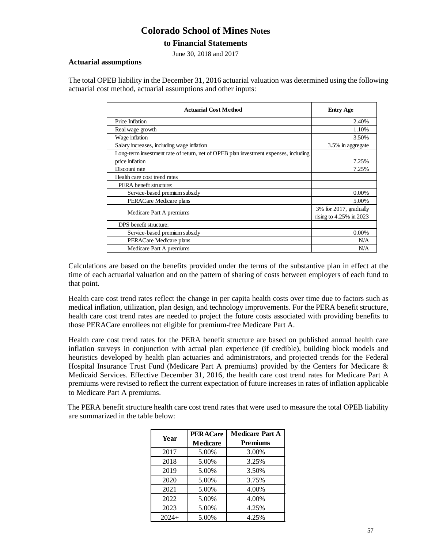### **to Financial Statements**

June 30, 2018 and 2017

#### **Actuarial assumptions**

The total OPEB liability in the December 31, 2016 actuarial valuation was determined using the following actuarial cost method, actuarial assumptions and other inputs:

| <b>Actuarial Cost Method</b>                                                         | <b>Entry Age</b>           |
|--------------------------------------------------------------------------------------|----------------------------|
| Price Inflation                                                                      | 2.40%                      |
| Real wage growth                                                                     | 1.10%                      |
| Wage inflation                                                                       | 3.50%                      |
| Salary increases, including wage inflation                                           | 3.5% in aggregate          |
| Long-term investment rate of return, net of OPEB plan investment expenses, including |                            |
| price inflation                                                                      | 7.25%                      |
| Discount rate                                                                        | 7.25%                      |
| Health care cost trend rates                                                         |                            |
| PERA benefit structure:                                                              |                            |
| Service-based premium subsidy                                                        | $0.00\%$                   |
| PERACare Medicare plans                                                              | 5.00%                      |
|                                                                                      | 3% for 2017, gradually     |
| Medicare Part A premiums                                                             | rising to $4.25\%$ in 2023 |
| DPS benefit structure:                                                               |                            |
| Service-based premium subsidy                                                        | $0.00\%$                   |
| PERACare Medicare plans                                                              | N/A                        |
| Medicare Part A premiums                                                             | N/A                        |

Calculations are based on the benefits provided under the terms of the substantive plan in effect at the time of each actuarial valuation and on the pattern of sharing of costs between employers of each fund to that point.

Health care cost trend rates reflect the change in per capita health costs over time due to factors such as medical inflation, utilization, plan design, and technology improvements. For the PERA benefit structure, health care cost trend rates are needed to project the future costs associated with providing benefits to those PERACare enrollees not eligible for premium-free Medicare Part A.

Health care cost trend rates for the PERA benefit structure are based on published annual health care inflation surveys in conjunction with actual plan experience (if credible), building block models and heuristics developed by health plan actuaries and administrators, and projected trends for the Federal Hospital Insurance Trust Fund (Medicare Part A premiums) provided by the Centers for Medicare & Medicaid Services. Effective December 31, 2016, the health care cost trend rates for Medicare Part A premiums were revised to reflect the current expectation of future increases in rates of inflation applicable to Medicare Part A premiums.

The PERA benefit structure health care cost trend rates that were used to measure the total OPEB liability are summarized in the table below:

| Year    | <b>PERACare</b> | <b>Medicare Part A</b> |
|---------|-----------------|------------------------|
|         | Medicare        | <b>Premiums</b>        |
| 2017    | 5.00%           | 3.00%                  |
| 2018    | 5.00%           | 3.25%                  |
| 2019    | 5.00%           | 3.50%                  |
| 2020    | 5.00%           | 3.75%                  |
| 2021    | 5.00%           | 4.00%                  |
| 2022    | 5.00%           | 4.00%                  |
| 2023    | 5.00%           | 4.25%                  |
| $2024+$ | 5.00%           | 4.25%                  |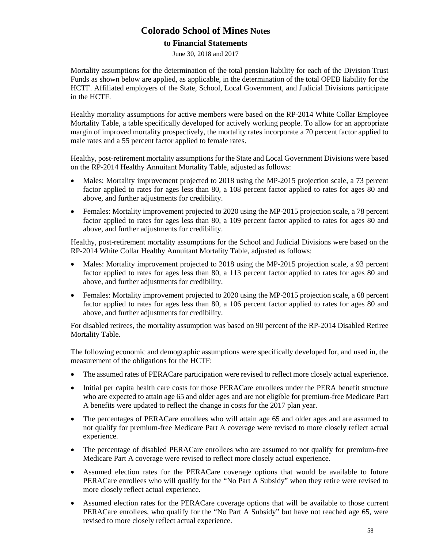### **to Financial Statements**

June 30, 2018 and 2017

Mortality assumptions for the determination of the total pension liability for each of the Division Trust Funds as shown below are applied, as applicable, in the determination of the total OPEB liability for the HCTF. Affiliated employers of the State, School, Local Government, and Judicial Divisions participate in the HCTF.

Healthy mortality assumptions for active members were based on the RP-2014 White Collar Employee Mortality Table, a table specifically developed for actively working people. To allow for an appropriate margin of improved mortality prospectively, the mortality rates incorporate a 70 percent factor applied to male rates and a 55 percent factor applied to female rates.

Healthy, post-retirement mortality assumptions for the State and Local Government Divisions were based on the RP-2014 Healthy Annuitant Mortality Table, adjusted as follows:

- Males: Mortality improvement projected to 2018 using the MP-2015 projection scale, a 73 percent factor applied to rates for ages less than 80, a 108 percent factor applied to rates for ages 80 and above, and further adjustments for credibility.
- Females: Mortality improvement projected to 2020 using the MP-2015 projection scale, a 78 percent factor applied to rates for ages less than 80, a 109 percent factor applied to rates for ages 80 and above, and further adjustments for credibility.

Healthy, post-retirement mortality assumptions for the School and Judicial Divisions were based on the RP-2014 White Collar Healthy Annuitant Mortality Table, adjusted as follows:

- Males: Mortality improvement projected to 2018 using the MP-2015 projection scale, a 93 percent factor applied to rates for ages less than 80, a 113 percent factor applied to rates for ages 80 and above, and further adjustments for credibility.
- Females: Mortality improvement projected to 2020 using the MP-2015 projection scale, a 68 percent factor applied to rates for ages less than 80, a 106 percent factor applied to rates for ages 80 and above, and further adjustments for credibility.

For disabled retirees, the mortality assumption was based on 90 percent of the RP-2014 Disabled Retiree Mortality Table.

The following economic and demographic assumptions were specifically developed for, and used in, the measurement of the obligations for the HCTF:

- The assumed rates of PERACare participation were revised to reflect more closely actual experience.
- Initial per capita health care costs for those PERACare enrollees under the PERA benefit structure who are expected to attain age 65 and older ages and are not eligible for premium-free Medicare Part A benefits were updated to reflect the change in costs for the 2017 plan year.
- The percentages of PERACare enrollees who will attain age 65 and older ages and are assumed to not qualify for premium-free Medicare Part A coverage were revised to more closely reflect actual experience.
- The percentage of disabled PERACare enrollees who are assumed to not qualify for premium-free Medicare Part A coverage were revised to reflect more closely actual experience.
- Assumed election rates for the PERACare coverage options that would be available to future PERACare enrollees who will qualify for the "No Part A Subsidy" when they retire were revised to more closely reflect actual experience.
- Assumed election rates for the PERACare coverage options that will be available to those current PERACare enrollees, who qualify for the "No Part A Subsidy" but have not reached age 65, were revised to more closely reflect actual experience.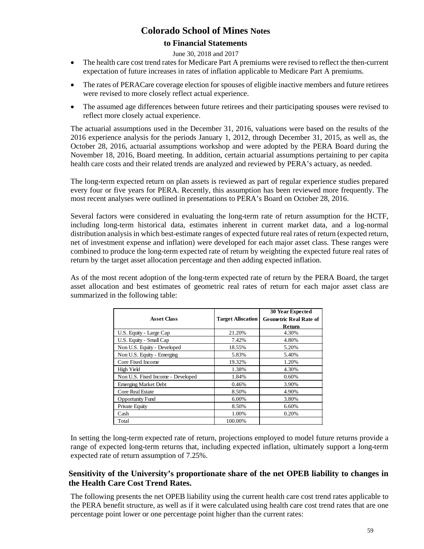### **to Financial Statements**

#### June 30, 2018 and 2017

- The health care cost trend rates for Medicare Part A premiums were revised to reflect the then-current expectation of future increases in rates of inflation applicable to Medicare Part A premiums.
- The rates of PERACare coverage election for spouses of eligible inactive members and future retirees were revised to more closely reflect actual experience.
- The assumed age differences between future retirees and their participating spouses were revised to reflect more closely actual experience.

The actuarial assumptions used in the December 31, 2016, valuations were based on the results of the 2016 experience analysis for the periods January 1, 2012, through December 31, 2015, as well as, the October 28, 2016, actuarial assumptions workshop and were adopted by the PERA Board during the November 18, 2016, Board meeting. In addition, certain actuarial assumptions pertaining to per capita health care costs and their related trends are analyzed and reviewed by PERA's actuary, as needed.

The long-term expected return on plan assets is reviewed as part of regular experience studies prepared every four or five years for PERA. Recently, this assumption has been reviewed more frequently. The most recent analyses were outlined in presentations to PERA's Board on October 28, 2016.

Several factors were considered in evaluating the long-term rate of return assumption for the HCTF, including long-term historical data, estimates inherent in current market data, and a log-normal distribution analysis in which best-estimate ranges of expected future real rates of return (expected return, net of investment expense and inflation) were developed for each major asset class. These ranges were combined to produce the long-term expected rate of return by weighting the expected future real rates of return by the target asset allocation percentage and then adding expected inflation.

As of the most recent adoption of the long-term expected rate of return by the PERA Board, the target asset allocation and best estimates of geometric real rates of return for each major asset class are summarized in the following table:

| <b>Asset Class</b>                | <b>Target Allocation</b> | <b>30 Year Expected</b><br><b>Geometric Real Rate of</b><br>Return |
|-----------------------------------|--------------------------|--------------------------------------------------------------------|
| U.S. Equity - Large Cap           | 21.20%                   | 4.30%                                                              |
| U.S. Equity - Small Cap           | 7.42%                    | 4.80%                                                              |
| Non U.S. Equity - Developed       | 18.55%                   | 5.20%                                                              |
| Non U.S. Equity - Emerging        | 5.83%                    | 5.40%                                                              |
| Core Fixed Income                 | 19.32%                   | 1.20%                                                              |
| High Yield                        | 1.38%                    | 4.30%                                                              |
| Non U.S. Fixed Income - Developed | 1.84%                    | 0.60%                                                              |
| <b>Emerging Market Debt</b>       | 0.46%                    | 3.90%                                                              |
| <b>Core Real Estate</b>           | 8.50%                    | 4.90%                                                              |
| <b>Opportunity Fund</b>           | 6.00%                    | 3.80%                                                              |
| Private Equity                    | 8.50%                    | 6.60%                                                              |
| Cash                              | 1.00%                    | 0.20%                                                              |
| Total                             | 100.00%                  |                                                                    |

In setting the long-term expected rate of return, projections employed to model future returns provide a range of expected long-term returns that, including expected inflation, ultimately support a long-term expected rate of return assumption of 7.25%.

### **Sensitivity of the University's proportionate share of the net OPEB liability to changes in the Health Care Cost Trend Rates.**

The following presents the net OPEB liability using the current health care cost trend rates applicable to the PERA benefit structure, as well as if it were calculated using health care cost trend rates that are one percentage point lower or one percentage point higher than the current rates: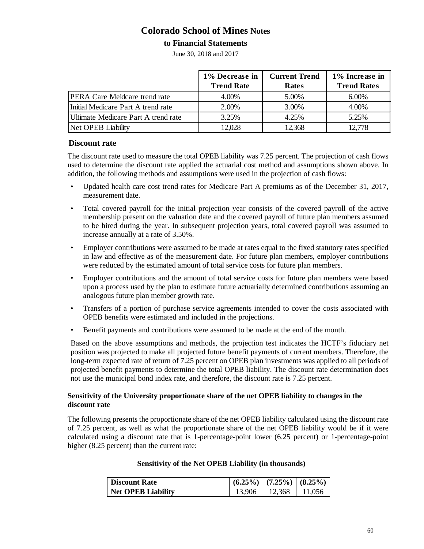### **to Financial Statements**

June 30, 2018 and 2017

|                                      | 1% Decrease in<br><b>Trend Rate</b> | <b>Current Trend</b><br><b>Rates</b> | 1% Increase in<br><b>Trend Rates</b> |
|--------------------------------------|-------------------------------------|--------------------------------------|--------------------------------------|
| <b>PERA Care Meidcare trend rate</b> | 4.00%                               | 5.00%                                | 6.00%                                |
| Initial Medicare Part A trend rate   | 2.00%                               | 3.00%                                | 4.00%                                |
| Ultimate Medicare Part A trend rate  | 3.25%                               | 4.25%                                | 5.25%                                |
| Net OPEB Liability                   | 12,028                              | 12,368                               | 12,778                               |

#### **Discount rate**

The discount rate used to measure the total OPEB liability was 7.25 percent. The projection of cash flows used to determine the discount rate applied the actuarial cost method and assumptions shown above. In addition, the following methods and assumptions were used in the projection of cash flows:

- Updated health care cost trend rates for Medicare Part A premiums as of the December 31, 2017, measurement date.
- Total covered payroll for the initial projection year consists of the covered payroll of the active membership present on the valuation date and the covered payroll of future plan members assumed to be hired during the year. In subsequent projection years, total covered payroll was assumed to increase annually at a rate of 3.50%.
- Employer contributions were assumed to be made at rates equal to the fixed statutory rates specified in law and effective as of the measurement date. For future plan members, employer contributions were reduced by the estimated amount of total service costs for future plan members.
- Employer contributions and the amount of total service costs for future plan members were based upon a process used by the plan to estimate future actuarially determined contributions assuming an analogous future plan member growth rate.
- Transfers of a portion of purchase service agreements intended to cover the costs associated with OPEB benefits were estimated and included in the projections.
- Benefit payments and contributions were assumed to be made at the end of the month.

Based on the above assumptions and methods, the projection test indicates the HCTF's fiduciary net position was projected to make all projected future benefit payments of current members. Therefore, the long-term expected rate of return of 7.25 percent on OPEB plan investments was applied to all periods of projected benefit payments to determine the total OPEB liability. The discount rate determination does not use the municipal bond index rate, and therefore, the discount rate is 7.25 percent.

#### **Sensitivity of the University proportionate share of the net OPEB liability to changes in the discount rate**

The following presents the proportionate share of the net OPEB liability calculated using the discount rate of 7.25 percent, as well as what the proportionate share of the net OPEB liability would be if it were calculated using a discount rate that is 1-percentage-point lower (6.25 percent) or 1-percentage-point higher (8.25 percent) than the current rate:

### **Sensitivity of the Net OPEB Liability (in thousands)**

| <b>Discount Rate</b>      |        | $(6.25\%)$ $(7.25\%)$ $(8.25\%)$ |        |
|---------------------------|--------|----------------------------------|--------|
| <b>Net OPEB Liability</b> | 13.906 | 12.368                           | 11.056 |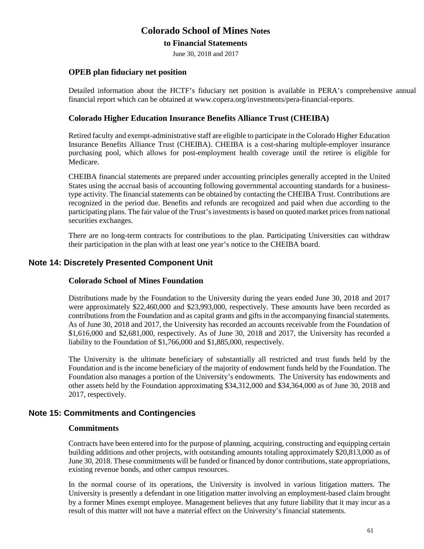### **to Financial Statements**

June 30, 2018 and 2017

### **OPEB plan fiduciary net position**

Detailed information about the HCTF's fiduciary net position is available in PERA's comprehensive annual financial report which can be obtained at www.copera.org/investments/pera-financial-reports.

### **Colorado Higher Education Insurance Benefits Alliance Trust (CHEIBA)**

Retired faculty and exempt-administrative staff are eligible to participate in the Colorado Higher Education Insurance Benefits Alliance Trust (CHEIBA). CHEIBA is a cost-sharing multiple-employer insurance purchasing pool, which allows for post-employment health coverage until the retiree is eligible for Medicare.

CHEIBA financial statements are prepared under accounting principles generally accepted in the United States using the accrual basis of accounting following governmental accounting standards for a businesstype activity. The financial statements can be obtained by contacting the CHEIBA Trust. Contributions are recognized in the period due. Benefits and refunds are recognized and paid when due according to the participating plans. The fair value of the Trust's investments is based on quoted market prices from national securities exchanges.

There are no long-term contracts for contributions to the plan. Participating Universities can withdraw their participation in the plan with at least one year's notice to the CHEIBA board.

### **Note 14: Discretely Presented Component Unit**

#### **Colorado School of Mines Foundation**

Distributions made by the Foundation to the University during the years ended June 30, 2018 and 2017 were approximately \$22,460,000 and \$23,993,000, respectively. These amounts have been recorded as contributionsfrom the Foundation and as capital grants and gifts in the accompanying financial statements. As of June 30, 2018 and 2017, the University has recorded an accounts receivable from the Foundation of \$1,616,000 and \$2,681,000, respectively. As of June 30, 2018 and 2017, the University has recorded a liability to the Foundation of \$1,766,000 and \$1,885,000, respectively.

The University is the ultimate beneficiary of substantially all restricted and trust funds held by the Foundation and is the income beneficiary of the majority of endowment funds held by the Foundation. The Foundation also manages a portion of the University's endowments. The University has endowments and other assets held by the Foundation approximating \$34,312,000 and \$34,364,000 as of June 30, 2018 and 2017, respectively.

### **Note 15: Commitments and Contingencies**

#### **Commitments**

Contracts have been entered into for the purpose of planning, acquiring, constructing and equipping certain building additions and other projects, with outstanding amounts totaling approximately \$20,813,000 as of June 30, 2018. These commitments will be funded or financed by donor contributions, state appropriations, existing revenue bonds, and other campus resources.

In the normal course of its operations, the University is involved in various litigation matters. The University is presently a defendant in one litigation matter involving an employment-based claim brought by a former Mines exempt employee. Management believes that any future liability that it may incur as a result of this matter will not have a material effect on the University's financial statements.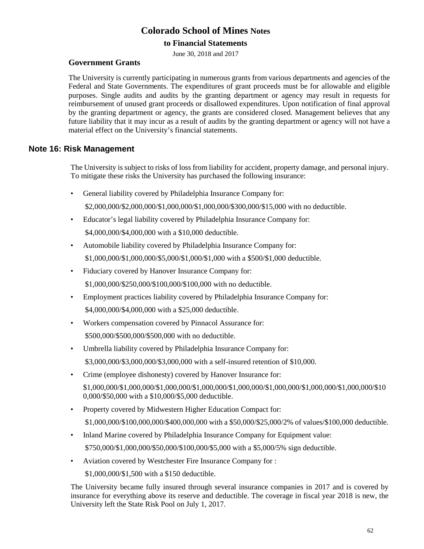### **to Financial Statements**

June 30, 2018 and 2017

### **Government Grants**

The University is currently participating in numerous grants from various departments and agencies of the Federal and State Governments. The expenditures of grant proceeds must be for allowable and eligible purposes. Single audits and audits by the granting department or agency may result in requests for reimbursement of unused grant proceeds or disallowed expenditures. Upon notification of final approval by the granting department or agency, the grants are considered closed. Management believes that any future liability that it may incur as a result of audits by the granting department or agency will not have a material effect on the University's financial statements.

### **Note 16: Risk Management**

The University is subject to risks of loss from liability for accident, property damage, and personal injury. To mitigate these risks the University has purchased the following insurance:

• General liability covered by Philadelphia Insurance Company for:

\$2,000,000/\$2,000,000/\$1,000,000/\$1,000,000/\$300,000/\$15,000 with no deductible.

- Educator's legal liability covered by Philadelphia Insurance Company for: \$4,000,000/\$4,000,000 with a \$10,000 deductible.
- Automobile liability covered by Philadelphia Insurance Company for: \$1,000,000/\$1,000,000/\$5,000/\$1,000/\$1,000 with a \$500/\$1,000 deductible.
- Fiduciary covered by Hanover Insurance Company for: \$1,000,000/\$250,000/\$100,000/\$100,000 with no deductible.
- Employment practices liability covered by Philadelphia Insurance Company for: \$4,000,000/\$4,000,000 with a \$25,000 deductible.
- Workers compensation covered by Pinnacol Assurance for: \$500,000/\$500,000/\$500,000 with no deductible.
- Umbrella liability covered by Philadelphia Insurance Company for: \$3,000,000/\$3,000,000/\$3,000,000 with a self-insured retention of \$10,000.
- Crime (employee dishonesty) covered by Hanover Insurance for:  $$1,000,000/$1,000,000/$1,000,000/$1,000,000/$1,000,000/$1,000,000/$1,000,000/$1,000,000/$10$ 0,000/\$50,000 with a \$10,000/\$5,000 deductible.
- Property covered by Midwestern Higher Education Compact for: \$1,000,000/\$100,000,000/\$400,000,000 with a \$50,000/\$25,000/2% of values/\$100,000 deductible.
- Inland Marine covered by Philadelphia Insurance Company for Equipment value: \$750,000/\$1,000,000/\$50,000/\$100,000/\$5,000 with a \$5,000/5% sign deductible.
- Aviation covered by Westchester Fire Insurance Company for :

\$1,000,000/\$1,500 with a \$150 deductible.

The University became fully insured through several insurance companies in 2017 and is covered by insurance for everything above its reserve and deductible. The coverage in fiscal year 2018 is new, the University left the State Risk Pool on July 1, 2017.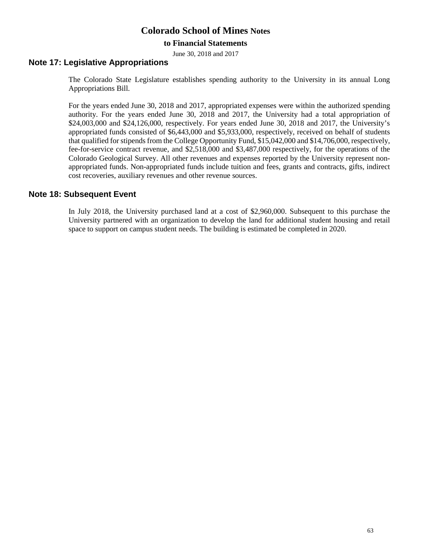### **to Financial Statements**

June 30, 2018 and 2017

### **Note 17: Legislative Appropriations**

The Colorado State Legislature establishes spending authority to the University in its annual Long Appropriations Bill.

For the years ended June 30, 2018 and 2017, appropriated expenses were within the authorized spending authority. For the years ended June 30, 2018 and 2017, the University had a total appropriation of \$24,003,000 and \$24,126,000, respectively. For years ended June 30, 2018 and 2017, the University's appropriated funds consisted of \$6,443,000 and \$5,933,000, respectively, received on behalf of students that qualified for stipends from the College Opportunity Fund, \$15,042,000 and \$14,706,000, respectively, fee-for-service contract revenue, and \$2,518,000 and \$3,487,000 respectively, for the operations of the Colorado Geological Survey. All other revenues and expenses reported by the University represent nonappropriated funds. Non-appropriated funds include tuition and fees, grants and contracts, gifts, indirect cost recoveries, auxiliary revenues and other revenue sources.

### **Note 18: Subsequent Event**

In July 2018, the University purchased land at a cost of \$2,960,000. Subsequent to this purchase the University partnered with an organization to develop the land for additional student housing and retail space to support on campus student needs. The building is estimated be completed in 2020.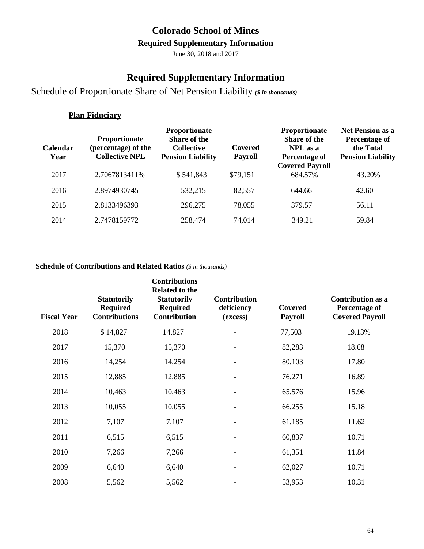## **Colorado School of Mines**

### **Required Supplementary Information**

June 30, 2018 and 2017

### **Required Supplementary Information**

Schedule of Proportionate Share of Net Pension Liability *(\$ in thousands)*

|                         | <b>Plan Fiduciary</b>                                                |                                                                                       |                           |                                                                                             |                                                                                   |
|-------------------------|----------------------------------------------------------------------|---------------------------------------------------------------------------------------|---------------------------|---------------------------------------------------------------------------------------------|-----------------------------------------------------------------------------------|
| <b>Calendar</b><br>Year | <b>Proportionate</b><br>(percentage) of the<br><b>Collective NPL</b> | <b>Proportionate</b><br>Share of the<br><b>Collective</b><br><b>Pension Liability</b> | Covered<br><b>Payroll</b> | <b>Proportionate</b><br>Share of the<br>NPL as a<br>Percentage of<br><b>Covered Payroll</b> | <b>Net Pension as a</b><br>Percentage of<br>the Total<br><b>Pension Liability</b> |
| 2017                    | 2.7067813411%                                                        | \$541,843                                                                             | \$79,151                  | 684.57%                                                                                     | 43.20%                                                                            |
| 2016                    | 2.8974930745                                                         | 532,215                                                                               | 82,557                    | 644.66                                                                                      | 42.60                                                                             |
| 2015                    | 2.8133496393                                                         | 296,275                                                                               | 78,055                    | 379.57                                                                                      | 56.11                                                                             |
| 2014                    | 2.7478159772                                                         | 258,474                                                                               | 74,014                    | 349.21                                                                                      | 59.84                                                                             |

### **Schedule of Contributions and Related Ratios** *(\$ in thousands)*

| <b>Fiscal Year</b> | <b>Statutorily</b><br><b>Required</b><br><b>Contributions</b> | <b>Contributions</b><br><b>Related to the</b><br><b>Statutorily</b><br><b>Required</b><br><b>Contribution</b> | <b>Contribution</b><br>deficiency<br>(excess) | Covered<br><b>Payroll</b> | <b>Contribution as a</b><br><b>Percentage of</b><br><b>Covered Payroll</b> |
|--------------------|---------------------------------------------------------------|---------------------------------------------------------------------------------------------------------------|-----------------------------------------------|---------------------------|----------------------------------------------------------------------------|
| 2018               | \$14,827                                                      | 14,827                                                                                                        |                                               | 77,503                    | 19.13%                                                                     |
| 2017               | 15,370                                                        | 15,370                                                                                                        |                                               | 82,283                    | 18.68                                                                      |
| 2016               | 14,254                                                        | 14,254                                                                                                        |                                               | 80,103                    | 17.80                                                                      |
| 2015               | 12,885                                                        | 12,885                                                                                                        |                                               | 76,271                    | 16.89                                                                      |
| 2014               | 10,463                                                        | 10,463                                                                                                        |                                               | 65,576                    | 15.96                                                                      |
| 2013               | 10,055                                                        | 10,055                                                                                                        |                                               | 66,255                    | 15.18                                                                      |
| 2012               | 7,107                                                         | 7,107                                                                                                         |                                               | 61,185                    | 11.62                                                                      |
| 2011               | 6,515                                                         | 6,515                                                                                                         |                                               | 60,837                    | 10.71                                                                      |
| 2010               | 7,266                                                         | 7,266                                                                                                         |                                               | 61,351                    | 11.84                                                                      |
| 2009               | 6,640                                                         | 6,640                                                                                                         |                                               | 62,027                    | 10.71                                                                      |
| 2008               | 5,562                                                         | 5,562                                                                                                         |                                               | 53,953                    | 10.31                                                                      |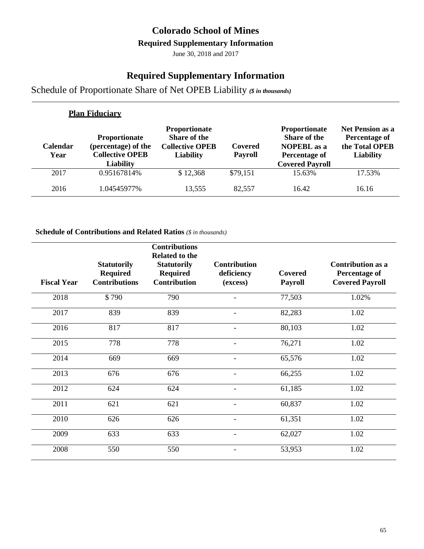### **Colorado School of Mines**

### **Required Supplementary Information**

June 30, 2018 and 2017

### **Required Supplementary Information**

Schedule of Proportionate Share of Net OPEB Liability *(\$ in thousands)*

|                         | <b>Plan Fiduciary</b>                                                                     |                                                                                           |                           |                                                                                                              |                                                                                |
|-------------------------|-------------------------------------------------------------------------------------------|-------------------------------------------------------------------------------------------|---------------------------|--------------------------------------------------------------------------------------------------------------|--------------------------------------------------------------------------------|
| <b>Calendar</b><br>Year | <b>Proportionate</b><br>(percentage) of the<br><b>Collective OPEB</b><br><b>Liability</b> | <b>Proportionate</b><br><b>Share of the</b><br><b>Collective OPEB</b><br><b>Liability</b> | Covered<br><b>Payroll</b> | Proportionate<br><b>Share of the</b><br><b>NOPEBL</b> as a<br><b>Percentage of</b><br><b>Covered Payroll</b> | <b>Net Pension as a</b><br>Percentage of<br>the Total OPEB<br><b>Liability</b> |
| 2017                    | 0.95167814%                                                                               | \$12,368                                                                                  | \$79,151                  | 15.63%                                                                                                       | 17.53%                                                                         |
| 2016                    | 1.04545977%                                                                               | 13,555                                                                                    | 82,557                    | 16.42                                                                                                        | 16.16                                                                          |

### **Schedule of Contributions and Related Ratios** *(\$ in thousands)*

| <b>Fiscal Year</b> | <b>Statutorily</b><br><b>Required</b><br><b>Contributions</b> | <b>Contributions</b><br><b>Related to the</b><br><b>Statutorily</b><br><b>Required</b><br><b>Contribution</b> | <b>Contribution</b><br>deficiency<br>(excess) | Covered<br><b>Payroll</b> | <b>Contribution as a</b><br><b>Percentage of</b><br><b>Covered Payroll</b> |
|--------------------|---------------------------------------------------------------|---------------------------------------------------------------------------------------------------------------|-----------------------------------------------|---------------------------|----------------------------------------------------------------------------|
| 2018               | \$790                                                         | 790                                                                                                           |                                               | 77,503                    | 1.02%                                                                      |
| 2017               | 839                                                           | 839                                                                                                           | $\overline{\phantom{a}}$                      | 82,283                    | 1.02                                                                       |
| 2016               | 817                                                           | 817                                                                                                           |                                               | 80,103                    | 1.02                                                                       |
| 2015               | 778                                                           | 778                                                                                                           |                                               | 76,271                    | 1.02                                                                       |
| 2014               | 669                                                           | 669                                                                                                           | $\overline{\phantom{a}}$                      | 65,576                    | 1.02                                                                       |
| 2013               | 676                                                           | 676                                                                                                           |                                               | 66,255                    | 1.02                                                                       |
| 2012               | 624                                                           | 624                                                                                                           | $\overline{\phantom{a}}$                      | 61,185                    | 1.02                                                                       |
| 2011               | 621                                                           | 621                                                                                                           |                                               | 60,837                    | 1.02                                                                       |
| 2010               | 626                                                           | 626                                                                                                           |                                               | 61,351                    | 1.02                                                                       |
| 2009               | 633                                                           | 633                                                                                                           | $\overline{\phantom{a}}$                      | 62,027                    | 1.02                                                                       |
| 2008               | 550                                                           | 550                                                                                                           |                                               | 53,953                    | 1.02                                                                       |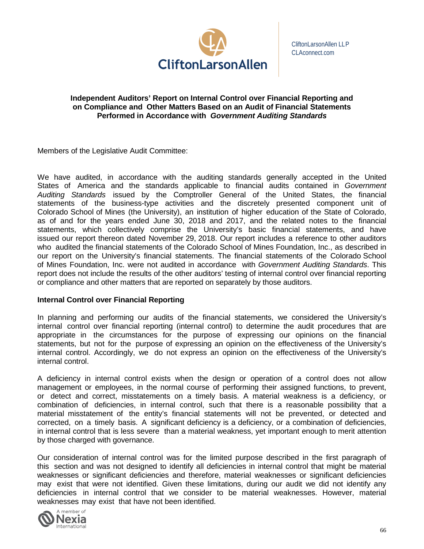

#### **Independent Auditors' Report on Internal Control over Financial Reporting and on Compliance and Other Matters Based on an Audit of Financial Statements Performed in Accordance with** *Government Auditing Standards*

Members of the Legislative Audit Committee:

We have audited, in accordance with the auditing standards generally accepted in the United States of America and the standards applicable to financial audits contained in *Government Auditing Standards* issued by the Comptroller General of the United States, the financial statements of the business-type activities and the discretely presented component unit of Colorado School of Mines (the University), an institution of higher education of the State of Colorado, as of and for the years ended June 30, 2018 and 2017, and the related notes to the financial statements, which collectively comprise the University's basic financial statements, and have issued our report thereon dated November 29, 2018. Our report includes a reference to other auditors who audited the financial statements of the Colorado School of Mines Foundation, Inc., as described in our report on the University's financial statements. The financial statements of the Colorado School of Mines Foundation, Inc. were not audited in accordance with *Government Auditing Standards*. This report does not include the results of the other auditors' testing of internal control over financial reporting or compliance and other matters that are reported on separately by those auditors.

#### **Internal Control over Financial Reporting**

In planning and performing our audits of the financial statements, we considered the University's internal control over financial reporting (internal control) to determine the audit procedures that are appropriate in the circumstances for the purpose of expressing our opinions on the financial statements, but not for the purpose of expressing an opinion on the effectiveness of the University's internal control. Accordingly, we do not express an opinion on the effectiveness of the University's internal control.

A deficiency in internal control exists when the design or operation of a control does not allow management or employees, in the normal course of performing their assigned functions, to prevent, or detect and correct, misstatements on a timely basis. A material weakness is a deficiency, or combination of deficiencies, in internal control, such that there is a reasonable possibility that a material misstatement of the entity's financial statements will not be prevented, or detected and corrected, on a timely basis. A significant deficiency is a deficiency, or a combination of deficiencies, in internal control that is less severe than a material weakness, yet important enough to merit attention by those charged with governance.

Our consideration of internal control was for the limited purpose described in the first paragraph of this section and was not designed to identify all deficiencies in internal control that might be material weaknesses or significant deficiencies and therefore, material weaknesses or significant deficiencies may exist that were not identified. Given these limitations, during our audit we did not identify any deficiencies in internal control that we consider to be material weaknesses. However, material weaknesses may exist that have not been identified.

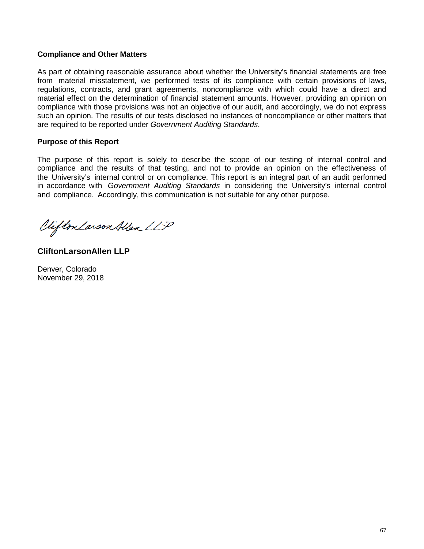#### **Compliance and Other Matters**

As part of obtaining reasonable assurance about whether the University's financial statements are free from material misstatement, we performed tests of its compliance with certain provisions of laws, regulations, contracts, and grant agreements, noncompliance with which could have a direct and material effect on the determination of financial statement amounts. However, providing an opinion on compliance with those provisions was not an objective of our audit, and accordingly, we do not express such an opinion. The results of our tests disclosed no instances of noncompliance or other matters that are required to be reported under *Government Auditing Standards*.

#### **Purpose of this Report**

The purpose of this report is solely to describe the scope of our testing of internal control and compliance and the results of that testing, and not to provide an opinion on the effectiveness of the University's internal control or on compliance. This report is an integral part of an audit performed in accordance with *Government Auditing Standards* in considering the University's internal control and compliance. Accordingly, this communication is not suitable for any other purpose.

Clifton Larson Allen LLP

**CliftonLarsonAllen LLP**

Denver, Colorado November 29, 2018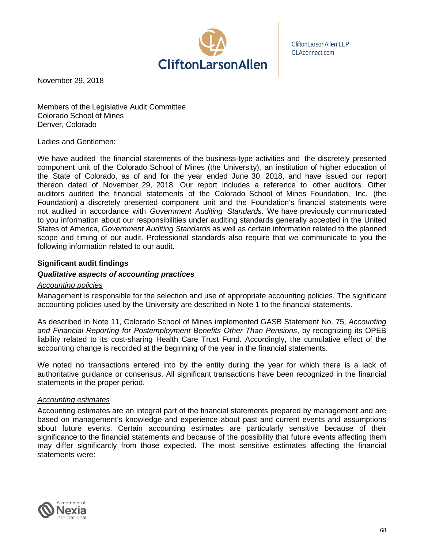

CliftonLarsonAllen LLP CLAconnect.com

November 29, 2018

Members of the Legislative Audit Committee Colorado School of Mines Denver, Colorado

#### Ladies and Gentlemen:

We have audited the financial statements of the business-type activities and the discretely presented component unit of the Colorado School of Mines (the University), an institution of higher education of the State of Colorado, as of and for the year ended June 30, 2018, and have issued our report thereon dated of November 29, 2018. Our report includes a reference to other auditors. Other auditors audited the financial statements of the Colorado School of Mines Foundation, Inc. (the Foundation) a discretely presented component unit and the Foundation's financial statements were not audited in accordance with *Government Auditing Standards*. We have previously communicated to you information about our responsibilities under auditing standards generally accepted in the United States of America, *Government Auditing Standards* as well as certain information related to the planned scope and timing of our audit. Professional standards also require that we communicate to you the following information related to our audit.

### **Significant audit findings**

#### *Qualitative aspects of accounting practices*

#### *Accounting policies*

Management is responsible for the selection and use of appropriate accounting policies. The significant accounting policies used by the University are described in Note 1 to the financial statements.

As described in Note 11, Colorado School of Mines implemented GASB Statement No. 75, *Accounting and Financial Reporting for Postemployment Benefits Other Than Pensions*, by recognizing its OPEB liability related to its cost-sharing Health Care Trust Fund. Accordingly, the cumulative effect of the accounting change is recorded at the beginning of the year in the financial statements.

We noted no transactions entered into by the entity during the year for which there is a lack of authoritative guidance or consensus. All significant transactions have been recognized in the financial statements in the proper period.

#### *Accounting estimates*

Accounting estimates are an integral part of the financial statements prepared by management and are based on management's knowledge and experience about past and current events and assumptions about future events. Certain accounting estimates are particularly sensitive because of their significance to the financial statements and because of the possibility that future events affecting them may differ significantly from those expected. The most sensitive estimates affecting the financial statements were:

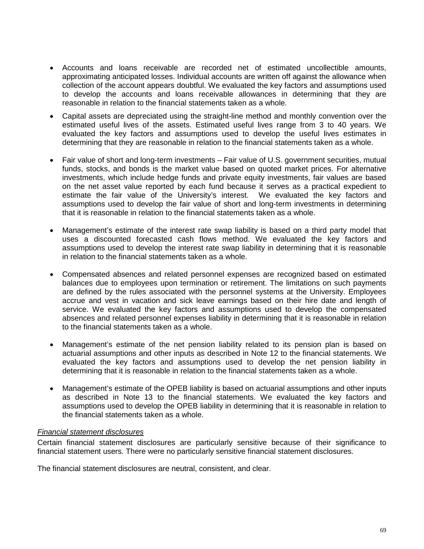- Accounts and loans receivable are recorded net of estimated uncollectible amounts, approximating anticipated losses. Individual accounts are written off against the allowance when collection of the account appears doubtful. We evaluated the key factors and assumptions used to develop the accounts and loans receivable allowances in determining that they are reasonable in relation to the financial statements taken as a whole.
- Capital assets are depreciated using the straight-line method and monthly convention over the estimated useful lives of the assets. Estimated useful lives range from 3 to 40 years. We evaluated the key factors and assumptions used to develop the useful lives estimates in determining that they are reasonable in relation to the financial statements taken as a whole.
- Fair value of short and long-term investments Fair value of U.S. government securities, mutual funds, stocks, and bonds is the market value based on quoted market prices. For alternative investments, which include hedge funds and private equity investments, fair values are based on the net asset value reported by each fund because it serves as a practical expedient to estimate the fair value of the University's interest. We evaluated the key factors and assumptions used to develop the fair value of short and long-term investments in determining that it is reasonable in relation to the financial statements taken as a whole.
- Management's estimate of the interest rate swap liability is based on a third party model that uses a discounted forecasted cash flows method. We evaluated the key factors and assumptions used to develop the interest rate swap liability in determining that it is reasonable in relation to the financial statements taken as a whole.
- Compensated absences and related personnel expenses are recognized based on estimated balances due to employees upon termination or retirement. The limitations on such payments are defined by the rules associated with the personnel systems at the University. Employees accrue and vest in vacation and sick leave earnings based on their hire date and length of service. We evaluated the key factors and assumptions used to develop the compensated absences and related personnel expenses liability in determining that it is reasonable in relation to the financial statements taken as a whole.
- Management's estimate of the net pension liability related to its pension plan is based on actuarial assumptions and other inputs as described in Note 12 to the financial statements. We evaluated the key factors and assumptions used to develop the net pension liability in determining that it is reasonable in relation to the financial statements taken as a whole.
- Management's estimate of the OPEB liability is based on actuarial assumptions and other inputs as described in Note 13 to the financial statements. We evaluated the key factors and assumptions used to develop the OPEB liability in determining that it is reasonable in relation to the financial statements taken as a whole.

### *Financial statement disclosures*

Certain financial statement disclosures are particularly sensitive because of their significance to financial statement users. There were no particularly sensitive financial statement disclosures.

The financial statement disclosures are neutral, consistent, and clear.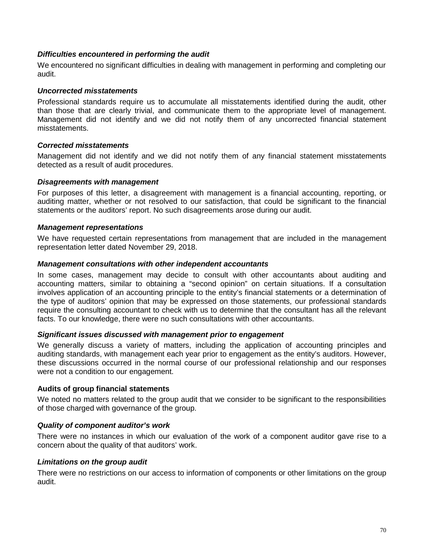## *Difficulties encountered in performing the audit*

We encountered no significant difficulties in dealing with management in performing and completing our audit.

#### *Uncorrected misstatements*

Professional standards require us to accumulate all misstatements identified during the audit, other than those that are clearly trivial, and communicate them to the appropriate level of management. Management did not identify and we did not notify them of any uncorrected financial statement misstatements.

## *Corrected misstatements*

Management did not identify and we did not notify them of any financial statement misstatements detected as a result of audit procedures.

#### *Disagreements with management*

For purposes of this letter, a disagreement with management is a financial accounting, reporting, or auditing matter, whether or not resolved to our satisfaction, that could be significant to the financial statements or the auditors' report. No such disagreements arose during our audit.

#### *Management representations*

We have requested certain representations from management that are included in the management representation letter dated November 29, 2018.

#### *Management consultations with other independent accountants*

In some cases, management may decide to consult with other accountants about auditing and accounting matters, similar to obtaining a "second opinion" on certain situations. If a consultation involves application of an accounting principle to the entity's financial statements or a determination of the type of auditors' opinion that may be expressed on those statements, our professional standards require the consulting accountant to check with us to determine that the consultant has all the relevant facts. To our knowledge, there were no such consultations with other accountants.

#### *Significant issues discussed with management prior to engagement*

We generally discuss a variety of matters, including the application of accounting principles and auditing standards, with management each year prior to engagement as the entity's auditors. However, these discussions occurred in the normal course of our professional relationship and our responses were not a condition to our engagement.

#### **Audits of group financial statements**

We noted no matters related to the group audit that we consider to be significant to the responsibilities of those charged with governance of the group.

# *Quality of component auditor's work*

There were no instances in which our evaluation of the work of a component auditor gave rise to a concern about the quality of that auditors' work.

#### *Limitations on the group audit*

There were no restrictions on our access to information of components or other limitations on the group audit.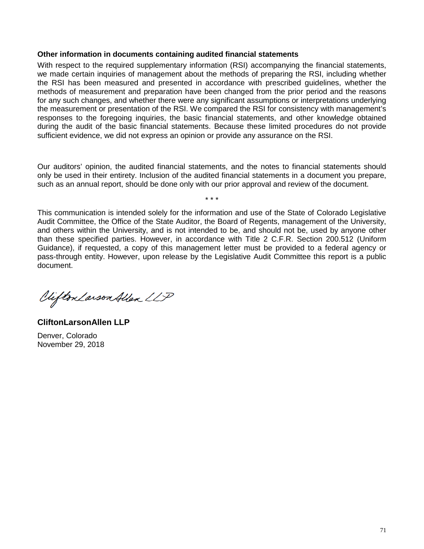#### **Other information in documents containing audited financial statements**

With respect to the required supplementary information (RSI) accompanying the financial statements, we made certain inquiries of management about the methods of preparing the RSI, including whether the RSI has been measured and presented in accordance with prescribed guidelines, whether the methods of measurement and preparation have been changed from the prior period and the reasons for any such changes, and whether there were any significant assumptions or interpretations underlying the measurement or presentation of the RSI. We compared the RSI for consistency with management's responses to the foregoing inquiries, the basic financial statements, and other knowledge obtained during the audit of the basic financial statements. Because these limited procedures do not provide sufficient evidence, we did not express an opinion or provide any assurance on the RSI.

Our auditors' opinion, the audited financial statements, and the notes to financial statements should only be used in their entirety. Inclusion of the audited financial statements in a document you prepare, such as an annual report, should be done only with our prior approval and review of the document.

\* \* \*

This communication is intended solely for the information and use of the State of Colorado Legislative Audit Committee, the Office of the State Auditor, the Board of Regents, management of the University, and others within the University, and is not intended to be, and should not be, used by anyone other than these specified parties. However, in accordance with Title 2 C.F.R. Section 200.512 (Uniform Guidance), if requested, a copy of this management letter must be provided to a federal agency or pass-through entity. However, upon release by the Legislative Audit Committee this report is a public document.

Clifton Larson Allen LLP

**CliftonLarsonAllen LLP** Denver, Colorado

November 29, 2018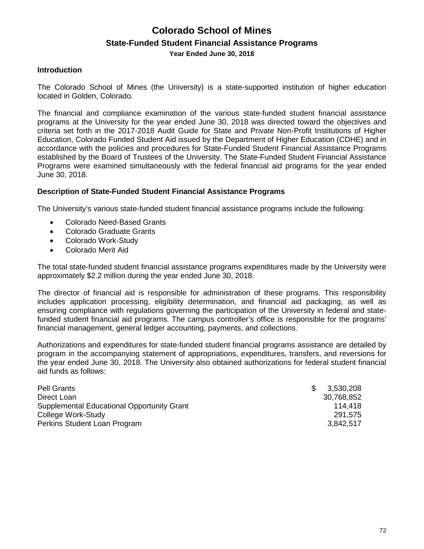# **Colorado School of Mines State-Funded Student Financial Assistance Programs Year Ended June 30, 2018**

## **Introduction**

The Colorado School of Mines (the University) is a state-supported institution of higher education located in Golden, Colorado.

The financial and compliance examination of the various state-funded student financial assistance programs at the University for the year ended June 30, 2018 was directed toward the objectives and criteria set forth in the 2017-2018 Audit Guide for State and Private Non-Profit Institutions of Higher Education, Colorado Funded Student Aid issued by the Department of Higher Education (CDHE) and in accordance with the policies and procedures for State-Funded Student Financial Assistance Programs established by the Board of Trustees of the University. The State-Funded Student Financial Assistance Programs were examined simultaneously with the federal financial aid programs for the year ended June 30, 2018.

## **Description of State-Funded Student Financial Assistance Programs**

The University's various state-funded student financial assistance programs include the following:

- Colorado Need-Based Grants
- Colorado Graduate Grants
- Colorado Work-Study
- Colorado Merit Aid

The total state-funded student financial assistance programs expenditures made by the University were approximately \$2.2 million during the year ended June 30, 2018.

The director of financial aid is responsible for administration of these programs. This responsibility includes application processing, eligibility determination, and financial aid packaging, as well as ensuring compliance with regulations governing the participation of the University in federal and statefunded student financial aid programs. The campus controller's office is responsible for the programs' financial management, general ledger accounting, payments, and collections.

Authorizations and expenditures for state-funded student financial programs assistance are detailed by program in the accompanying statement of appropriations, expenditures, transfers, and reversions for the year ended June 30, 2018. The University also obtained authorizations for federal student financial aid funds as follows:

| Pell Grants                                       | -86 | 3,530,208  |
|---------------------------------------------------|-----|------------|
| Direct Loan                                       |     | 30,768,852 |
| <b>Supplemental Educational Opportunity Grant</b> |     | 114.418    |
| College Work-Study                                |     | 291.575    |
| Perkins Student Loan Program                      |     | 3,842,517  |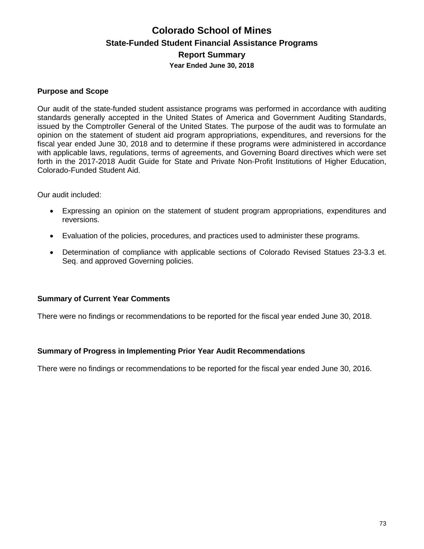# **Colorado School of Mines State-Funded Student Financial Assistance Programs Report Summary Year Ended June 30, 2018**

## **Purpose and Scope**

Our audit of the state-funded student assistance programs was performed in accordance with auditing standards generally accepted in the United States of America and Government Auditing Standards, issued by the Comptroller General of the United States. The purpose of the audit was to formulate an opinion on the statement of student aid program appropriations, expenditures, and reversions for the fiscal year ended June 30, 2018 and to determine if these programs were administered in accordance with applicable laws, regulations, terms of agreements, and Governing Board directives which were set forth in the 2017-2018 Audit Guide for State and Private Non-Profit Institutions of Higher Education, Colorado-Funded Student Aid.

Our audit included:

- Expressing an opinion on the statement of student program appropriations, expenditures and reversions.
- Evaluation of the policies, procedures, and practices used to administer these programs.
- Determination of compliance with applicable sections of Colorado Revised Statues 23-3.3 et. Seq. and approved Governing policies.

#### **Summary of Current Year Comments**

There were no findings or recommendations to be reported for the fiscal year ended June 30, 2018.

# **Summary of Progress in Implementing Prior Year Audit Recommendations**

There were no findings or recommendations to be reported for the fiscal year ended June 30, 2016.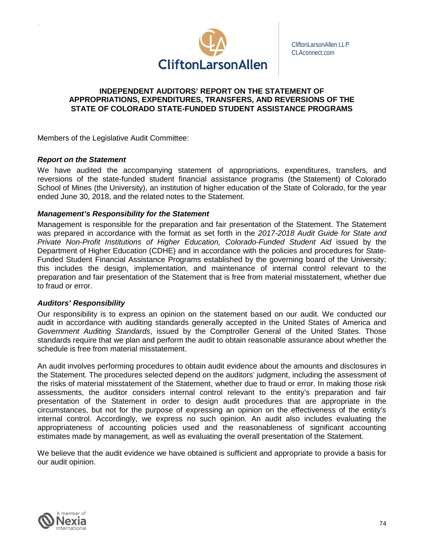

CliftonLarsonAllen LLP CLAconnect.com

#### **INDEPENDENT AUDITORS' REPORT ON THE STATEMENT OF APPROPRIATIONS, EXPENDITURES, TRANSFERS, AND REVERSIONS OF THE STATE OF COLORADO STATE-FUNDED STUDENT ASSISTANCE PROGRAMS**

Members of the Legislative Audit Committee:

## *Report on the Statement*

We have audited the accompanying statement of appropriations, expenditures, transfers, and reversions of the state-funded student financial assistance programs (the Statement) of Colorado School of Mines (the University), an institution of higher education of the State of Colorado, for the year ended June 30, 2018, and the related notes to the Statement.

## *Management's Responsibility for the Statement*

Management is responsible for the preparation and fair presentation of the Statement. The Statement was prepared in accordance with the format as set forth in the *2017-2018 Audit Guide for State and Private Non-Profit Institutions of Higher Education, Colorado-Funded Student Aid* issued by the Department of Higher Education (CDHE) and in accordance with the policies and procedures for State-Funded Student Financial Assistance Programs established by the governing board of the University; this includes the design, implementation, and maintenance of internal control relevant to the preparation and fair presentation of the Statement that is free from material misstatement, whether due to fraud or error.

#### *Auditors' Responsibility*

Our responsibility is to express an opinion on the statement based on our audit. We conducted our audit in accordance with auditing standards generally accepted in the United States of America and *Government Auditing Standards*, issued by the Comptroller General of the United States. Those standards require that we plan and perform the audit to obtain reasonable assurance about whether the schedule is free from material misstatement.

An audit involves performing procedures to obtain audit evidence about the amounts and disclosures in the Statement. The procedures selected depend on the auditors' judgment, including the assessment of the risks of material misstatement of the Statement, whether due to fraud or error. In making those risk assessments, the auditor considers internal control relevant to the entity's preparation and fair presentation of the Statement in order to design audit procedures that are appropriate in the circumstances, but not for the purpose of expressing an opinion on the effectiveness of the entity's internal control. Accordingly, we express no such opinion. An audit also includes evaluating the appropriateness of accounting policies used and the reasonableness of significant accounting estimates made by management, as well as evaluating the overall presentation of the Statement.

We believe that the audit evidence we have obtained is sufficient and appropriate to provide a basis for our audit opinion.

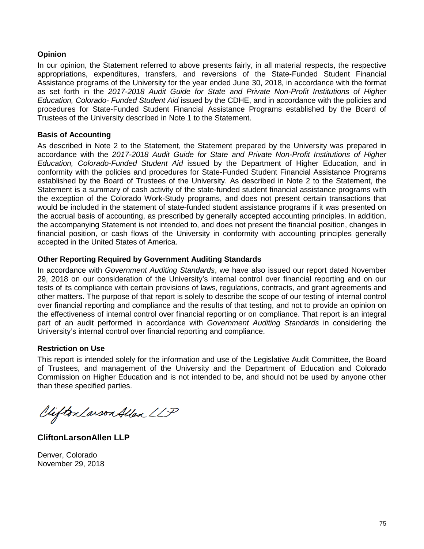# **Opinion**

In our opinion, the Statement referred to above presents fairly, in all material respects, the respective appropriations, expenditures, transfers, and reversions of the State-Funded Student Financial Assistance programs of the University for the year ended June 30, 2018, in accordance with the format as set forth in the *2017-2018 Audit Guide for State and Private Non-Profit Institutions of Higher Education, Colorado- Funded Student Aid* issued by the CDHE, and in accordance with the policies and procedures for State-Funded Student Financial Assistance Programs established by the Board of Trustees of the University described in Note 1 to the Statement.

## **Basis of Accounting**

As described in Note 2 to the Statement, the Statement prepared by the University was prepared in accordance with the *2017-2018 Audit Guide for State and Private Non-Profit Institutions of Higher Education, Colorado-Funded Student Aid* issued by the Department of Higher Education, and in conformity with the policies and procedures for State-Funded Student Financial Assistance Programs established by the Board of Trustees of the University. As described in Note 2 to the Statement, the Statement is a summary of cash activity of the state-funded student financial assistance programs with the exception of the Colorado Work-Study programs, and does not present certain transactions that would be included in the statement of state-funded student assistance programs if it was presented on the accrual basis of accounting, as prescribed by generally accepted accounting principles. In addition, the accompanying Statement is not intended to, and does not present the financial position, changes in financial position, or cash flows of the University in conformity with accounting principles generally accepted in the United States of America.

# **Other Reporting Required by Government Auditing Standards**

In accordance with *Government Auditing Standards*, we have also issued our report dated November 29, 2018 on our consideration of the University's internal control over financial reporting and on our tests of its compliance with certain provisions of laws, regulations, contracts, and grant agreements and other matters. The purpose of that report is solely to describe the scope of our testing of internal control over financial reporting and compliance and the results of that testing, and not to provide an opinion on the effectiveness of internal control over financial reporting or on compliance. That report is an integral part of an audit performed in accordance with *Government Auditing Standards* in considering the University's internal control over financial reporting and compliance.

# **Restriction on Use**

This report is intended solely for the information and use of the Legislative Audit Committee, the Board of Trustees, and management of the University and the Department of Education and Colorado Commission on Higher Education and is not intended to be, and should not be used by anyone other than these specified parties.

Viifton Larson Allen LLP

**CliftonLarsonAllen LLP**

Denver, Colorado November 29, 2018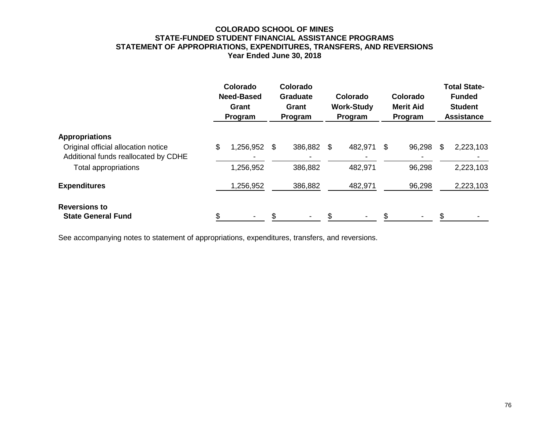# **COLORADO SCHOOL OF MINES STATE-FUNDED STUDENT FINANCIAL ASSISTANCE PROGRAMS STATEMENT OF APPROPRIATIONS, EXPENDITURES, TRANSFERS, AND REVERSIONS Year Ended June 30, 2018**

|                                                                                                                              |    | Colorado<br><b>Need-Based</b><br>Grant<br>Program |    | Colorado<br><b>Graduate</b><br>Grant<br>Program |  | Colorado<br><b>Work-Study</b><br>Program |    | Colorado<br><b>Merit Aid</b><br>Program |    | <b>Total State-</b><br><b>Funded</b><br><b>Student</b><br><b>Assistance</b> |  |
|------------------------------------------------------------------------------------------------------------------------------|----|---------------------------------------------------|----|-------------------------------------------------|--|------------------------------------------|----|-----------------------------------------|----|-----------------------------------------------------------------------------|--|
| <b>Appropriations</b><br>Original official allocation notice<br>Additional funds reallocated by CDHE<br>Total appropriations | \$ | 1,256,952<br>1,256,952                            | \$ | 386,882 \$<br>386,882                           |  | 482,971<br>482,971                       | \$ | 96,298<br>96,298                        | \$ | 2,223,103<br>2,223,103                                                      |  |
| <b>Expenditures</b>                                                                                                          |    | 1,256,952                                         |    | 386,882                                         |  | 482,971                                  |    | 96,298                                  |    | 2,223,103                                                                   |  |
| <b>Reversions to</b><br><b>State General Fund</b>                                                                            |    |                                                   |    |                                                 |  |                                          |    |                                         |    |                                                                             |  |

See accompanying notes to statement of appropriations, expenditures, transfers, and reversions.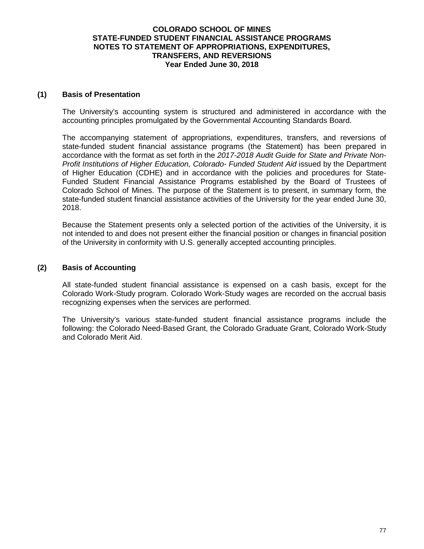## **COLORADO SCHOOL OF MINES STATE-FUNDED STUDENT FINANCIAL ASSISTANCE PROGRAMS NOTES TO STATEMENT OF APPROPRIATIONS, EXPENDITURES, TRANSFERS, AND REVERSIONS Year Ended June 30, 2018**

#### **(1) Basis of Presentation**

The University's accounting system is structured and administered in accordance with the accounting principles promulgated by the Governmental Accounting Standards Board.

The accompanying statement of appropriations, expenditures, transfers, and reversions of state-funded student financial assistance programs (the Statement) has been prepared in accordance with the format as set forth in the *2017-2018 Audit Guide for State and Private Non-Profit Institutions of Higher Education, Colorado- Funded Student Aid* issued by the Department of Higher Education (CDHE) and in accordance with the policies and procedures for State-Funded Student Financial Assistance Programs established by the Board of Trustees of Colorado School of Mines. The purpose of the Statement is to present, in summary form, the state-funded student financial assistance activities of the University for the year ended June 30, 2018.

Because the Statement presents only a selected portion of the activities of the University, it is not intended to and does not present either the financial position or changes in financial position of the University in conformity with U.S. generally accepted accounting principles.

## **(2) Basis of Accounting**

All state-funded student financial assistance is expensed on a cash basis, except for the Colorado Work-Study program. Colorado Work-Study wages are recorded on the accrual basis recognizing expenses when the services are performed.

The University's various state-funded student financial assistance programs include the following: the Colorado Need-Based Grant, the Colorado Graduate Grant, Colorado Work-Study and Colorado Merit Aid.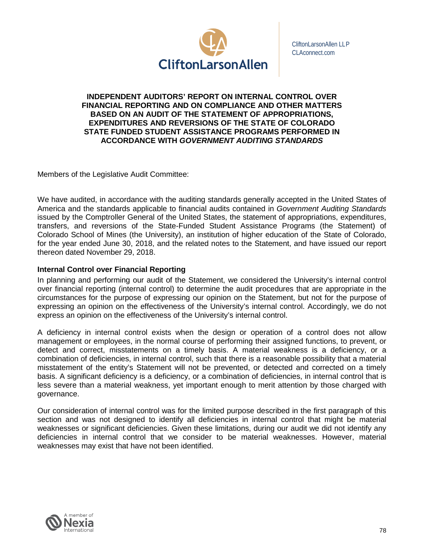

CliftonLarsonAllen LLP CLAconnect.com

#### **INDEPENDENT AUDITORS' REPORT ON INTERNAL CONTROL OVER FINANCIAL REPORTING AND ON COMPLIANCE AND OTHER MATTERS BASED ON AN AUDIT OF THE STATEMENT OF APPROPRIATIONS, EXPENDITURES AND REVERSIONS OF THE STATE OF COLORADO STATE FUNDED STUDENT ASSISTANCE PROGRAMS PERFORMED IN ACCORDANCE WITH** *GOVERNMENT AUDITING STANDARDS*

Members of the Legislative Audit Committee:

We have audited, in accordance with the auditing standards generally accepted in the United States of America and the standards applicable to financial audits contained in *Government Auditing Standards*  issued by the Comptroller General of the United States, the statement of appropriations, expenditures, transfers, and reversions of the State-Funded Student Assistance Programs (the Statement) of Colorado School of Mines (the University), an institution of higher education of the State of Colorado, for the year ended June 30, 2018, and the related notes to the Statement, and have issued our report thereon dated November 29, 2018.

## **Internal Control over Financial Reporting**

In planning and performing our audit of the Statement, we considered the University's internal control over financial reporting (internal control) to determine the audit procedures that are appropriate in the circumstances for the purpose of expressing our opinion on the Statement, but not for the purpose of expressing an opinion on the effectiveness of the University's internal control. Accordingly, we do not express an opinion on the effectiveness of the University's internal control.

A deficiency in internal control exists when the design or operation of a control does not allow management or employees, in the normal course of performing their assigned functions, to prevent, or detect and correct, misstatements on a timely basis. A material weakness is a deficiency, or a combination of deficiencies, in internal control, such that there is a reasonable possibility that a material misstatement of the entity's Statement will not be prevented, or detected and corrected on a timely basis. A significant deficiency is a deficiency, or a combination of deficiencies, in internal control that is less severe than a material weakness, yet important enough to merit attention by those charged with governance.

Our consideration of internal control was for the limited purpose described in the first paragraph of this section and was not designed to identify all deficiencies in internal control that might be material weaknesses or significant deficiencies. Given these limitations, during our audit we did not identify any deficiencies in internal control that we consider to be material weaknesses. However, material weaknesses may exist that have not been identified.